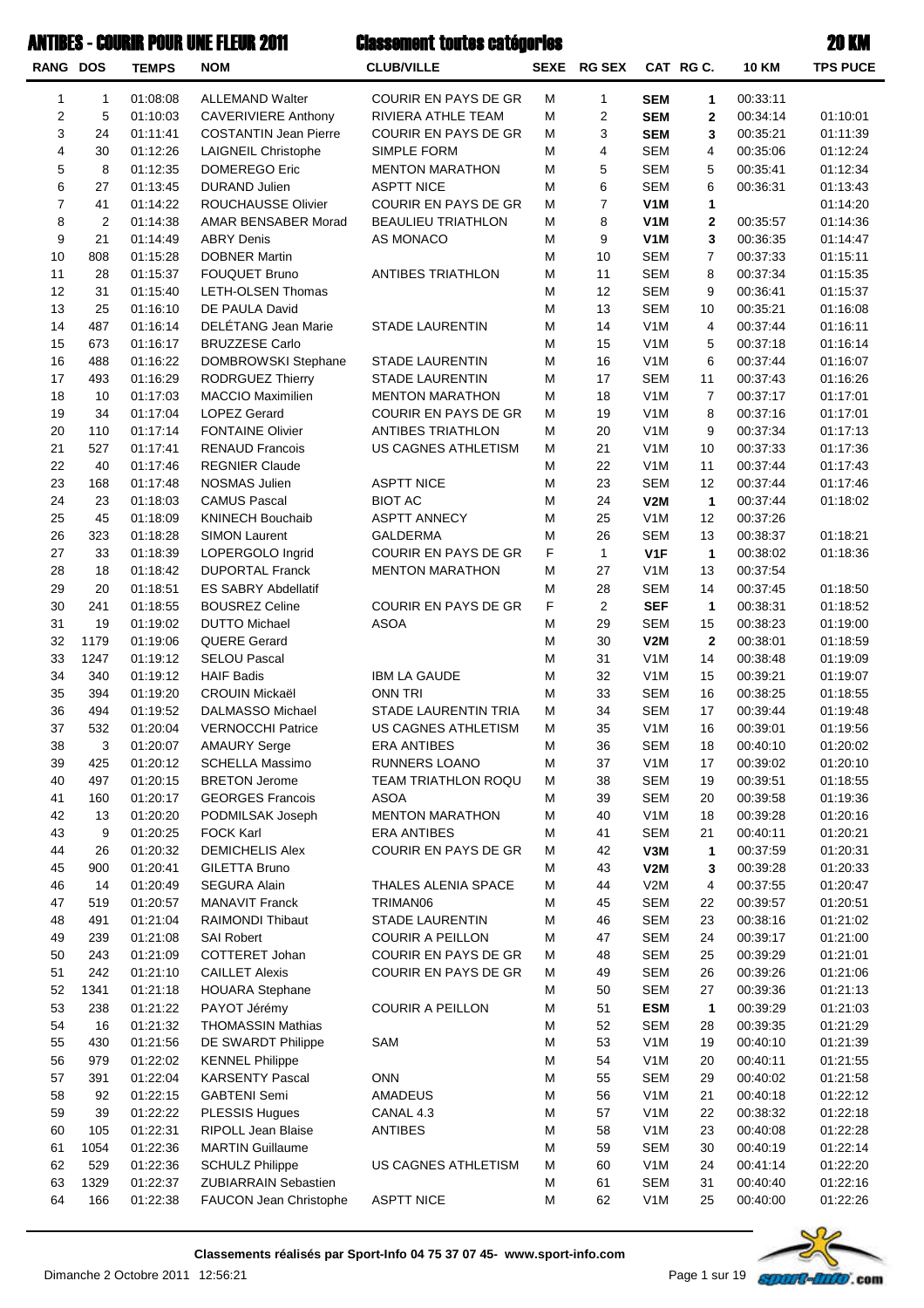#### **ANTIBES - COURIR POUR UNE FLEUR 2011**

# Classement toutes catégories

| <b>RANG DOS</b> |                | <b>TEMPS</b>         | <b>NOM</b>                                       | <b>CLUB/VILLE</b>                  |           | SEXE RG SEX      |                          | CAT RG C.            | <b>10 KM</b>         | <b>TPS PUCE</b>      |
|-----------------|----------------|----------------------|--------------------------------------------------|------------------------------------|-----------|------------------|--------------------------|----------------------|----------------------|----------------------|
| 1               | $\mathbf{1}$   | 01:08:08             | <b>ALLEMAND Walter</b>                           | COURIR EN PAYS DE GR               | M         | $\mathbf{1}$     | <b>SEM</b>               | 1                    | 00:33:11             |                      |
| $\sqrt{2}$      | 5              | 01:10:03             | <b>CAVERIVIERE Anthony</b>                       | RIVIERA ATHLE TEAM                 | M         | $\overline{2}$   | <b>SEM</b>               | $\mathbf{2}$         | 00:34:14             | 01:10:01             |
| 3               | 24             | 01:11:41             | <b>COSTANTIN Jean Pierre</b>                     | <b>COURIR EN PAYS DE GR</b>        | M         | 3                | <b>SEM</b>               | 3                    | 00:35:21             | 01:11:39             |
| 4               | 30             | 01:12:26             | <b>LAIGNEIL Christophe</b>                       | <b>SIMPLE FORM</b>                 | M         | 4                | <b>SEM</b>               | 4                    | 00:35:06             | 01:12:24             |
| 5               | 8              | 01:12:35             | <b>DOMEREGO Eric</b>                             | <b>MENTON MARATHON</b>             | M         | 5                | <b>SEM</b>               | 5                    | 00:35:41             | 01:12:34             |
| 6               | 27             | 01:13:45             | <b>DURAND Julien</b>                             | <b>ASPTT NICE</b>                  | M         | 6                | <b>SEM</b>               | 6                    | 00:36:31             | 01:13:43             |
| $\overline{7}$  | 41             | 01:14:22             | ROUCHAUSSE Olivier                               | COURIR EN PAYS DE GR               | M         | $\boldsymbol{7}$ | V <sub>1</sub> M         | 1                    |                      | 01:14:20             |
| 8               | $\overline{2}$ | 01:14:38             | AMAR BENSABER Morad                              | <b>BEAULIEU TRIATHLON</b>          | M         | 8                | V <sub>1</sub> M         | $\mathbf{2}$         | 00:35:57             | 01:14:36             |
| 9               | 21             | 01:14:49             | <b>ABRY Denis</b>                                | AS MONACO                          | M         | 9                | V <sub>1</sub> M         | 3                    | 00:36:35             | 01:14:47             |
| 10              | 808            | 01:15:28             | <b>DOBNER Martin</b>                             |                                    | M         | 10               | <b>SEM</b>               | $\overline{7}$       | 00:37:33             | 01:15:11             |
| 11              | 28             | 01:15:37             | <b>FOUQUET Bruno</b>                             | <b>ANTIBES TRIATHLON</b>           | M         | 11               | <b>SEM</b>               | 8                    | 00:37:34             | 01:15:35             |
| 12<br>13        | 31<br>25       | 01:15:40<br>01:16:10 | LETH-OLSEN Thomas<br>DE PAULA David              |                                    | M<br>M    | 12<br>13         | <b>SEM</b><br><b>SEM</b> | 9<br>10              | 00:36:41<br>00:35:21 | 01:15:37<br>01:16:08 |
| 14              | 487            | 01:16:14             | DELÉTANG Jean Marie                              | <b>STADE LAURENTIN</b>             | M         | 14               | V <sub>1</sub> M         | 4                    | 00:37:44             | 01:16:11             |
| 15              | 673            | 01:16:17             | <b>BRUZZESE Carlo</b>                            |                                    | M         | 15               | V <sub>1</sub> M         | 5                    | 00:37:18             | 01:16:14             |
| 16              | 488            | 01:16:22             | DOMBROWSKI Stephane                              | <b>STADE LAURENTIN</b>             | M         | 16               | V <sub>1</sub> M         | 6                    | 00:37:44             | 01:16:07             |
| 17              | 493            | 01:16:29             | <b>RODRGUEZ Thierry</b>                          | <b>STADE LAURENTIN</b>             | ${\sf M}$ | 17               | <b>SEM</b>               | 11                   | 00:37:43             | 01:16:26             |
| 18              | 10             | 01:17:03             | MACCIO Maximilien                                | <b>MENTON MARATHON</b>             | M         | 18               | V <sub>1</sub> M         | $\overline{7}$       | 00:37:17             | 01:17:01             |
| 19              | 34             | 01:17:04             | <b>LOPEZ Gerard</b>                              | <b>COURIR EN PAYS DE GR</b>        | M         | 19               | V <sub>1</sub> M         | 8                    | 00:37:16             | 01:17:01             |
| 20              | 110            | 01:17:14             | <b>FONTAINE Olivier</b>                          | <b>ANTIBES TRIATHLON</b>           | M         | 20               | V <sub>1</sub> M         | 9                    | 00:37:34             | 01:17:13             |
| 21              | 527            | 01:17:41             | <b>RENAUD Francois</b>                           | US CAGNES ATHLETISM                | M         | 21               | V <sub>1</sub> M         | 10                   | 00:37:33             | 01:17:36             |
| 22              | 40             | 01:17:46             | <b>REGNIER Claude</b>                            |                                    | M         | 22               | V <sub>1</sub> M         | 11                   | 00:37:44             | 01:17:43             |
| 23              | 168            | 01:17:48             | NOSMAS Julien                                    | <b>ASPTT NICE</b>                  | M         | 23               | <b>SEM</b>               | 12                   | 00:37:44             | 01:17:46             |
| 24              | 23             | 01:18:03             | <b>CAMUS Pascal</b>                              | <b>BIOT AC</b>                     | M         | 24               | V2M                      | $\mathbf{1}$         | 00:37:44             | 01:18:02             |
| 25              | 45             | 01:18:09             | <b>KNINECH Bouchaib</b>                          | <b>ASPTT ANNECY</b>                | M         | 25               | V <sub>1</sub> M         | 12                   | 00:37:26             |                      |
| 26              | 323            | 01:18:28             | <b>SIMON Laurent</b>                             | GALDERMA                           | M         | 26               | <b>SEM</b>               | 13                   | 00:38:37             | 01:18:21             |
| 27              | 33             | 01:18:39             | LOPERGOLO Ingrid                                 | COURIR EN PAYS DE GR               | F         | $\mathbf{1}$     | V <sub>1</sub> F         | $\mathbf{1}$         | 00:38:02             | 01:18:36             |
| 28              | 18             | 01:18:42             | <b>DUPORTAL Franck</b>                           | <b>MENTON MARATHON</b>             | M         | 27               | V <sub>1</sub> M         | 13                   | 00:37:54             |                      |
| 29              | 20             | 01:18:51             | <b>ES SABRY Abdellatif</b>                       |                                    | M         | 28               | <b>SEM</b>               | 14                   | 00:37:45             | 01:18:50             |
| 30<br>31        | 241<br>19      | 01:18:55             | <b>BOUSREZ Celine</b>                            | <b>COURIR EN PAYS DE GR</b>        | F<br>M    | $\overline{2}$   | <b>SEF</b><br><b>SEM</b> | $\mathbf{1}$         | 00:38:31             | 01:18:52             |
| 32              | 1179           | 01:19:02<br>01:19:06 | <b>DUTTO Michael</b><br><b>QUERE Gerard</b>      | <b>ASOA</b>                        | M         | 29<br>30         | V2M                      | 15<br>$\overline{2}$ | 00:38:23<br>00:38:01 | 01:19:00<br>01:18:59 |
| 33              | 1247           | 01:19:12             | <b>SELOU Pascal</b>                              |                                    | M         | 31               | V <sub>1</sub> M         | 14                   | 00:38:48             | 01:19:09             |
| 34              | 340            | 01:19:12             | <b>HAIF Badis</b>                                | <b>IBM LA GAUDE</b>                | M         | 32               | V <sub>1</sub> M         | 15                   | 00:39:21             | 01:19:07             |
| 35              | 394            | 01:19:20             | <b>CROUIN Mickaël</b>                            | <b>ONN TRI</b>                     | M         | 33               | <b>SEM</b>               | 16                   | 00:38:25             | 01:18:55             |
| 36              | 494            | 01:19:52             | DALMASSO Michael                                 | STADE LAURENTIN TRIA               | M         | 34               | <b>SEM</b>               | 17                   | 00:39:44             | 01:19:48             |
| 37              | 532            | 01:20:04             | <b>VERNOCCHI Patrice</b>                         | US CAGNES ATHLETISM                | M         | 35               | V <sub>1</sub> M         | 16                   | 00:39:01             | 01:19:56             |
| 38              | 3              | 01:20:07             | <b>AMAURY Serge</b>                              | <b>ERA ANTIBES</b>                 | M         | 36               | <b>SEM</b>               | 18                   | 00:40:10             | 01:20:02             |
| 39              | 425            | 01:20:12             | SCHELLA Massimo                                  | RUNNERS LOANO                      | M         | 37               | V <sub>1</sub> M         | 17                   | 00:39:02             | 01:20:10             |
| 40              | 497            | 01:20:15             | <b>BRETON Jerome</b>                             | TEAM TRIATHLON ROQU                | M         | 38               | <b>SEM</b>               | 19                   | 00:39:51             | 01:18:55             |
| 41              | 160            | 01:20:17             | <b>GEORGES Francois</b>                          | <b>ASOA</b>                        | M         | 39               | <b>SEM</b>               | 20                   | 00:39:58             | 01:19:36             |
| 42              | 13             | 01:20:20             | PODMILSAK Joseph                                 | <b>MENTON MARATHON</b>             | M         | 40               | V <sub>1</sub> M         | 18                   | 00:39:28             | 01:20:16             |
| 43              | 9              | 01:20:25             | <b>FOCK Karl</b>                                 | <b>ERA ANTIBES</b>                 | M         | 41               | <b>SEM</b>               | 21                   | 00:40:11             | 01:20:21             |
| 44              | 26             | 01:20:32             | <b>DEMICHELIS Alex</b>                           | COURIR EN PAYS DE GR               | M         | 42               | V3M                      | 1                    | 00:37:59             | 01:20:31             |
| 45              | 900            | 01:20:41             | GILETTA Bruno                                    |                                    | M         | 43               | V2M                      | 3                    | 00:39:28             | 01:20:33             |
| 46              | 14             | 01:20:49             | <b>SEGURA Alain</b>                              | THALES ALENIA SPACE                | M         | 44               | V2M                      | 4                    | 00:37:55             | 01:20:47             |
| 47              | 519<br>491     | 01:20:57<br>01:21:04 | <b>MANAVIT Franck</b><br><b>RAIMONDI Thibaut</b> | TRIMAN06<br><b>STADE LAURENTIN</b> | M<br>M    | 45<br>46         | <b>SEM</b><br><b>SEM</b> | 22<br>23             | 00:39:57<br>00:38:16 | 01:20:51             |
| 48<br>49        | 239            | 01:21:08             | <b>SAI Robert</b>                                | <b>COURIR A PEILLON</b>            | M         | 47               | <b>SEM</b>               | 24                   | 00:39:17             | 01:21:02<br>01:21:00 |
| 50              | 243            | 01:21:09             | COTTERET Johan                                   | COURIR EN PAYS DE GR               | M         | 48               | <b>SEM</b>               | 25                   | 00:39:29             | 01:21:01             |
| 51              | 242            | 01:21:10             | <b>CAILLET Alexis</b>                            | COURIR EN PAYS DE GR               | M         | 49               | <b>SEM</b>               | 26                   | 00:39:26             | 01:21:06             |
| 52              | 1341           | 01:21:18             | <b>HOUARA Stephane</b>                           |                                    | M         | 50               | <b>SEM</b>               | 27                   | 00:39:36             | 01:21:13             |
| 53              | 238            | 01:21:22             | PAYOT Jérémy                                     | <b>COURIR A PEILLON</b>            | M         | 51               | <b>ESM</b>               | $\mathbf{1}$         | 00:39:29             | 01:21:03             |
| 54              | 16             | 01:21:32             | <b>THOMASSIN Mathias</b>                         |                                    | M         | 52               | <b>SEM</b>               | 28                   | 00:39:35             | 01:21:29             |
| 55              | 430            | 01:21:56             | DE SWARDT Philippe                               | SAM                                | M         | 53               | V <sub>1</sub> M         | 19                   | 00:40:10             | 01:21:39             |
| 56              | 979            | 01:22:02             | <b>KENNEL Philippe</b>                           |                                    | M         | 54               | V <sub>1</sub> M         | 20                   | 00:40:11             | 01:21:55             |
| 57              | 391            | 01:22:04             | <b>KARSENTY Pascal</b>                           | <b>ONN</b>                         | M         | 55               | <b>SEM</b>               | 29                   | 00:40:02             | 01:21:58             |
| 58              | 92             | 01:22:15             | <b>GABTENI Semi</b>                              | AMADEUS                            | M         | 56               | V <sub>1</sub> M         | 21                   | 00:40:18             | 01:22:12             |
| 59              | 39             | 01:22:22             | PLESSIS Hugues                                   | CANAL 4.3                          | M         | 57               | V <sub>1</sub> M         | 22                   | 00:38:32             | 01:22:18             |
| 60              | 105            | 01:22:31             | RIPOLL Jean Blaise                               | <b>ANTIBES</b>                     | M         | 58               | V <sub>1</sub> M         | 23                   | 00:40:08             | 01:22:28             |
| 61              | 1054           | 01:22:36             | <b>MARTIN Guillaume</b>                          |                                    | M         | 59               | <b>SEM</b>               | 30                   | 00:40:19             | 01:22:14             |
| 62              | 529            | 01:22:36             | <b>SCHULZ Philippe</b>                           | US CAGNES ATHLETISM                | M         | 60               | V <sub>1</sub> M         | 24                   | 00:41:14             | 01:22:20             |
| 63              | 1329           | 01:22:37             | <b>ZUBIARRAIN Sebastien</b>                      |                                    | M         | 61               | <b>SEM</b>               | 31                   | 00:40:40             | 01:22:16             |
| 64              | 166            | 01:22:38             | FAUCON Jean Christophe                           | <b>ASPTT NICE</b>                  | M         | 62               | V <sub>1</sub> M         | 25                   | 00:40:00             | 01:22:26             |

**Classements réalisés par Sport-Info 04 75 37 07 45- www.sport-info.com**

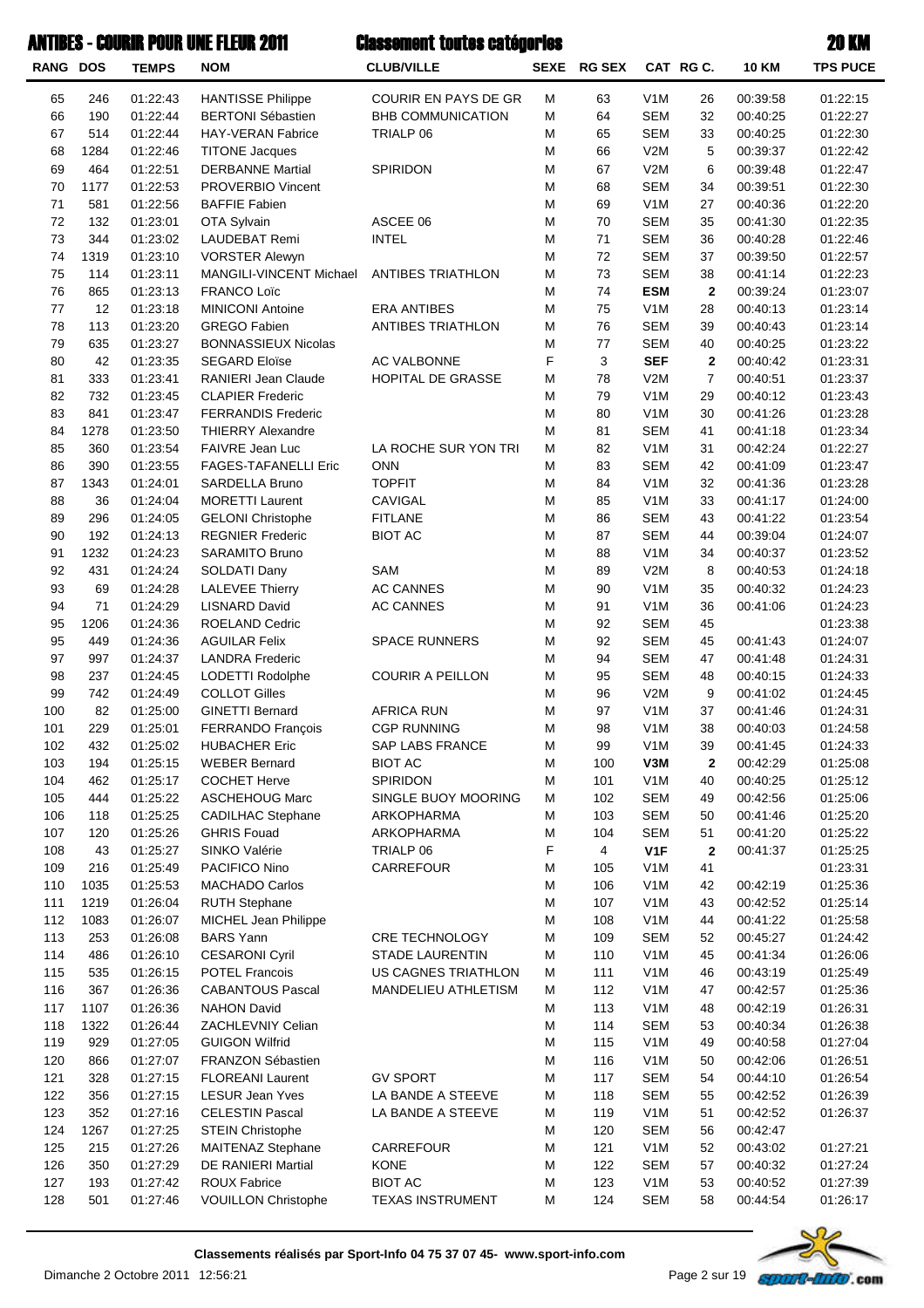| <b>RANG DOS</b> |             | <b>TEMPS</b>         | <b>NOM</b>                                       | <b>CLUB/VILLE</b>                      |        | SEXE RG SEX    |                                | CAT RG C.    | <b>10 KM</b>         | <b>TPS PUCE</b>      |
|-----------------|-------------|----------------------|--------------------------------------------------|----------------------------------------|--------|----------------|--------------------------------|--------------|----------------------|----------------------|
| 65              | 246         | 01:22:43             | <b>HANTISSE Philippe</b>                         | <b>COURIR EN PAYS DE GR</b>            | Μ      | 63             | V <sub>1</sub> M               | 26           | 00:39:58             | 01:22:15             |
| 66              | 190         | 01:22:44             | <b>BERTONI Sébastien</b>                         | <b>BHB COMMUNICATION</b>               | Μ      | 64             | <b>SEM</b>                     | 32           | 00:40:25             | 01:22:27             |
| 67              | 514         | 01:22:44             | <b>HAY-VERAN Fabrice</b>                         | TRIALP 06                              | M      | 65             | <b>SEM</b>                     | 33           | 00:40:25             | 01:22:30             |
| 68              | 1284        | 01:22:46             | <b>TITONE Jacques</b>                            |                                        | М      | 66             | V2M                            | 5            | 00:39:37             | 01:22:42             |
| 69              | 464         | 01:22:51             | <b>DERBANNE Martial</b>                          | SPIRIDON                               | M      | 67             | V2M                            | 6            | 00:39:48             | 01:22:47             |
| 70              | 1177        | 01:22:53             | <b>PROVERBIO Vincent</b>                         |                                        | M      | 68             | <b>SEM</b>                     | 34           | 00:39:51             | 01:22:30             |
| 71              | 581         | 01:22:56             | <b>BAFFIE Fabien</b>                             |                                        | M      | 69             | V <sub>1</sub> M               | 27           | 00:40:36             | 01:22:20             |
| 72              | 132         | 01:23:01             | OTA Sylvain                                      | ASCEE 06                               | M      | 70             | <b>SEM</b>                     | 35           | 00:41:30             | 01:22:35             |
| 73<br>74        | 344         | 01:23:02             | <b>LAUDEBAT Remi</b>                             | <b>INTEL</b>                           | M<br>M | 71<br>72       | <b>SEM</b><br><b>SEM</b>       | 36           | 00:40:28             | 01:22:46             |
| 75              | 1319<br>114 | 01:23:10<br>01:23:11 | <b>VORSTER Alewyn</b><br>MANGILI-VINCENT Michael | ANTIBES TRIATHLON                      | M      | 73             | <b>SEM</b>                     | 37<br>38     | 00:39:50<br>00:41:14 | 01:22:57<br>01:22:23 |
| 76              | 865         | 01:23:13             | <b>FRANCO Loïc</b>                               |                                        | M      | 74             | <b>ESM</b>                     | $\mathbf{2}$ | 00:39:24             | 01:23:07             |
| 77              | 12          | 01:23:18             | <b>MINICONI Antoine</b>                          | <b>ERA ANTIBES</b>                     | M      | 75             | V <sub>1</sub> M               | 28           | 00:40:13             | 01:23:14             |
| 78              | 113         | 01:23:20             | <b>GREGO Fabien</b>                              | ANTIBES TRIATHLON                      | M      | 76             | <b>SEM</b>                     | 39           | 00:40:43             | 01:23:14             |
| 79              | 635         | 01:23:27             | <b>BONNASSIEUX Nicolas</b>                       |                                        | M      | 77             | <b>SEM</b>                     | 40           | 00:40:25             | 01:23:22             |
| 80              | 42          | 01:23:35             | <b>SEGARD Eloïse</b>                             | AC VALBONNE                            | F      | 3              | <b>SEF</b>                     | $\mathbf{2}$ | 00:40:42             | 01:23:31             |
| 81              | 333         | 01:23:41             | RANIERI Jean Claude                              | HOPITAL DE GRASSE                      | Μ      | 78             | V2M                            | 7            | 00:40:51             | 01:23:37             |
| 82              | 732         | 01:23:45             | <b>CLAPIER Frederic</b>                          |                                        | M      | 79             | V <sub>1</sub> M               | 29           | 00:40:12             | 01:23:43             |
| 83              | 841         | 01:23:47             | <b>FERRANDIS Frederic</b>                        |                                        | M      | 80             | V <sub>1</sub> M               | 30           | 00:41:26             | 01:23:28             |
| 84              | 1278        | 01:23:50             | <b>THIERRY Alexandre</b>                         |                                        | M      | 81             | <b>SEM</b>                     | 41           | 00:41:18             | 01:23:34             |
| 85              | 360         | 01:23:54             | FAIVRE Jean Luc                                  | LA ROCHE SUR YON TRI                   | M      | 82             | V <sub>1</sub> M               | 31           | 00:42:24             | 01:22:27             |
| 86              | 390         | 01:23:55             | <b>FAGES-TAFANELLI Eric</b>                      | <b>ONN</b>                             | M      | 83             | <b>SEM</b>                     | 42           | 00:41:09             | 01:23:47             |
| 87              | 1343        | 01:24:01             | SARDELLA Bruno                                   | <b>TOPFIT</b>                          | M      | 84             | V <sub>1</sub> M               | 32           | 00:41:36             | 01:23:28             |
| 88              | 36          | 01:24:04             | <b>MORETTI Laurent</b>                           | <b>CAVIGAL</b>                         | M      | 85             | V <sub>1</sub> M               | 33           | 00:41:17             | 01:24:00             |
| 89              | 296         | 01:24:05             | <b>GELONI Christophe</b>                         | <b>FITLANE</b>                         | M      | 86             | <b>SEM</b>                     | 43           | 00:41:22             | 01:23:54             |
| 90              | 192         | 01:24:13             | <b>REGNIER Frederic</b>                          | <b>BIOT AC</b>                         | M      | 87             | <b>SEM</b>                     | 44           | 00:39:04             | 01:24:07             |
| 91              | 1232        | 01:24:23             | <b>SARAMITO Bruno</b>                            |                                        | M      | 88             | V <sub>1</sub> M               | 34           | 00:40:37             | 01:23:52             |
| 92              | 431         | 01:24:24             | SOLDATI Dany                                     | SAM                                    | M      | 89             | V2M                            | 8            | 00:40:53             | 01:24:18             |
| 93              | 69          | 01:24:28             | <b>LALEVEE Thierry</b>                           | <b>AC CANNES</b>                       | M      | 90             | V <sub>1</sub> M               | 35           | 00:40:32             | 01:24:23             |
| 94              | 71          | 01:24:29             | <b>LISNARD David</b>                             | <b>AC CANNES</b>                       | M      | 91             | V <sub>1</sub> M               | 36           | 00:41:06             | 01:24:23             |
| 95              | 1206        | 01:24:36             | ROELAND Cedric                                   |                                        | M      | 92             | <b>SEM</b>                     | 45           |                      | 01:23:38             |
| 95              | 449<br>997  | 01:24:36             | <b>AGUILAR Felix</b><br><b>LANDRA Frederic</b>   | <b>SPACE RUNNERS</b>                   | M<br>M | 92             | <b>SEM</b><br><b>SEM</b>       | 45           | 00:41:43<br>00:41:48 | 01:24:07<br>01:24:31 |
| 97<br>98        | 237         | 01:24:37<br>01:24:45 |                                                  | <b>COURIR A PEILLON</b>                | M      | 94<br>95       | <b>SEM</b>                     | 47<br>48     | 00:40:15             | 01:24:33             |
| 99              | 742         | 01:24:49             | LODETTI Rodolphe<br><b>COLLOT Gilles</b>         |                                        | M      | 96             | V2M                            | 9            | 00:41:02             | 01:24:45             |
| 100             | 82          | 01:25:00             | <b>GINETTI Bernard</b>                           | <b>AFRICA RUN</b>                      | M      | 97             | V <sub>1</sub> M               | 37           | 00:41:46             | 01:24:31             |
| 101             | 229         | 01:25:01             | <b>FERRANDO François</b>                         | <b>CGP RUNNING</b>                     | M      | 98             | V <sub>1</sub> M               | 38           | 00:40:03             | 01:24:58             |
| 102             | 432         | 01:25:02             | <b>HUBACHER Eric</b>                             | SAP LABS FRANCE                        | M      | 99             | V <sub>1</sub> M               | 39           | 00:41:45             | 01:24:33             |
| 103             | 194         | 01:25:15             | <b>WEBER Bernard</b>                             | <b>BIOT AC</b>                         | Μ      | 100            | V3M                            | 2            | 00:42:29             | 01:25:08             |
| 104             | 462         | 01:25:17             | <b>COCHET Herve</b>                              | <b>SPIRIDON</b>                        | M      | 101            | V <sub>1</sub> M               | 40           | 00:40:25             | 01:25:12             |
| 105             | 444         | 01:25:22             | ASCHEHOUG Marc                                   | SINGLE BUOY MOORING                    | M      | 102            | <b>SEM</b>                     | 49           | 00:42:56             | 01:25:06             |
| 106             | 118         | 01:25:25             | <b>CADILHAC Stephane</b>                         | ARKOPHARMA                             | M      | 103            | <b>SEM</b>                     | 50           | 00:41:46             | 01:25:20             |
| 107             | 120         | 01:25:26             | <b>GHRIS Fouad</b>                               | ARKOPHARMA                             | M      | 104            | <b>SEM</b>                     | 51           | 00:41:20             | 01:25:22             |
| 108             | 43          | 01:25:27             | SINKO Valérie                                    | TRIALP 06                              | F      | $\overline{4}$ | V1F                            | $\mathbf{2}$ | 00:41:37             | 01:25:25             |
| 109             | 216         | 01:25:49             | PACIFICO Nino                                    | CARREFOUR                              | M      | 105            | V <sub>1</sub> M               | 41           |                      | 01:23:31             |
| 110             | 1035        | 01:25:53             | <b>MACHADO Carlos</b>                            |                                        | M      | 106            | V <sub>1</sub> M               | 42           | 00:42:19             | 01:25:36             |
| 111             | 1219        | 01:26:04             | <b>RUTH Stephane</b>                             |                                        | M      | 107            | V <sub>1</sub> M               | 43           | 00:42:52             | 01:25:14             |
| 112             | 1083        | 01:26:07             | MICHEL Jean Philippe                             |                                        | M      | 108            | V <sub>1</sub> M               | 44           | 00:41:22             | 01:25:58             |
| 113             | 253         | 01:26:08             | <b>BARS Yann</b>                                 | <b>CRE TECHNOLOGY</b>                  | M      | 109            | <b>SEM</b>                     | 52           | 00:45:27             | 01:24:42             |
| 114             | 486         | 01:26:10             | <b>CESARONI Cyril</b>                            | <b>STADE LAURENTIN</b>                 | M      | 110            | V <sub>1</sub> M               | 45           | 00:41:34             | 01:26:06             |
| 115             | 535         | 01:26:15             | <b>POTEL Francois</b>                            | US CAGNES TRIATHLON                    | М      | 111            | V <sub>1</sub> M               | 46           | 00:43:19             | 01:25:49             |
| 116             | 367         | 01:26:36             | <b>CABANTOUS Pascal</b>                          | MANDELIEU ATHLETISM                    | M      | 112            | V <sub>1</sub> M               | 47           | 00:42:57             | 01:25:36             |
| 117             | 1107        | 01:26:36             | <b>NAHON David</b>                               |                                        | М      | 113            | V <sub>1</sub> M               | 48           | 00:42:19             | 01:26:31             |
| 118             | 1322        | 01:26:44             | ZACHLEVNIY Celian                                |                                        | Μ      | 114            | <b>SEM</b>                     | 53           | 00:40:34             | 01:26:38             |
| 119             | 929         | 01:27:05             | <b>GUIGON Wilfrid</b>                            |                                        | M      | 115            | V <sub>1</sub> M               | 49           | 00:40:58             | 01:27:04             |
| 120             | 866         | 01:27:07             | FRANZON Sébastien                                |                                        | M      | 116            | V <sub>1</sub> M               | 50           | 00:42:06             | 01:26:51             |
| 121             | 328         | 01:27:15             | <b>FLOREANI Laurent</b>                          | <b>GV SPORT</b>                        | Μ      | 117            | <b>SEM</b>                     | 54           | 00:44:10             | 01:26:54             |
| 122<br>123      | 356<br>352  | 01:27:15<br>01:27:16 | <b>LESUR Jean Yves</b><br><b>CELESTIN Pascal</b> | LA BANDE A STEEVE<br>LA BANDE A STEEVE | Μ<br>M | 118<br>119     | <b>SEM</b><br>V <sub>1</sub> M | 55<br>51     | 00:42:52<br>00:42:52 | 01:26:39<br>01:26:37 |
| 124             | 1267        | 01:27:25             | <b>STEIN Christophe</b>                          |                                        | М      | 120            | <b>SEM</b>                     | 56           | 00:42:47             |                      |
| 125             | 215         | 01:27:26             | MAITENAZ Stephane                                | CARREFOUR                              | M      | 121            | V <sub>1</sub> M               | 52           | 00:43:02             | 01:27:21             |
| 126             | 350         | 01:27:29             | DE RANIERI Martial                               | <b>KONE</b>                            | Μ      | 122            | <b>SEM</b>                     | 57           | 00:40:32             | 01:27:24             |
| 127             | 193         | 01:27:42             | ROUX Fabrice                                     | <b>BIOT AC</b>                         | M      | 123            | V <sub>1</sub> M               | 53           | 00:40:52             | 01:27:39             |
| 128             | 501         | 01:27:46             | <b>VOUILLON Christophe</b>                       | <b>TEXAS INSTRUMENT</b>                | M      | 124            | <b>SEM</b>                     | 58           | 00:44:54             | 01:26:17             |
|                 |             |                      |                                                  |                                        |        |                |                                |              |                      |                      |

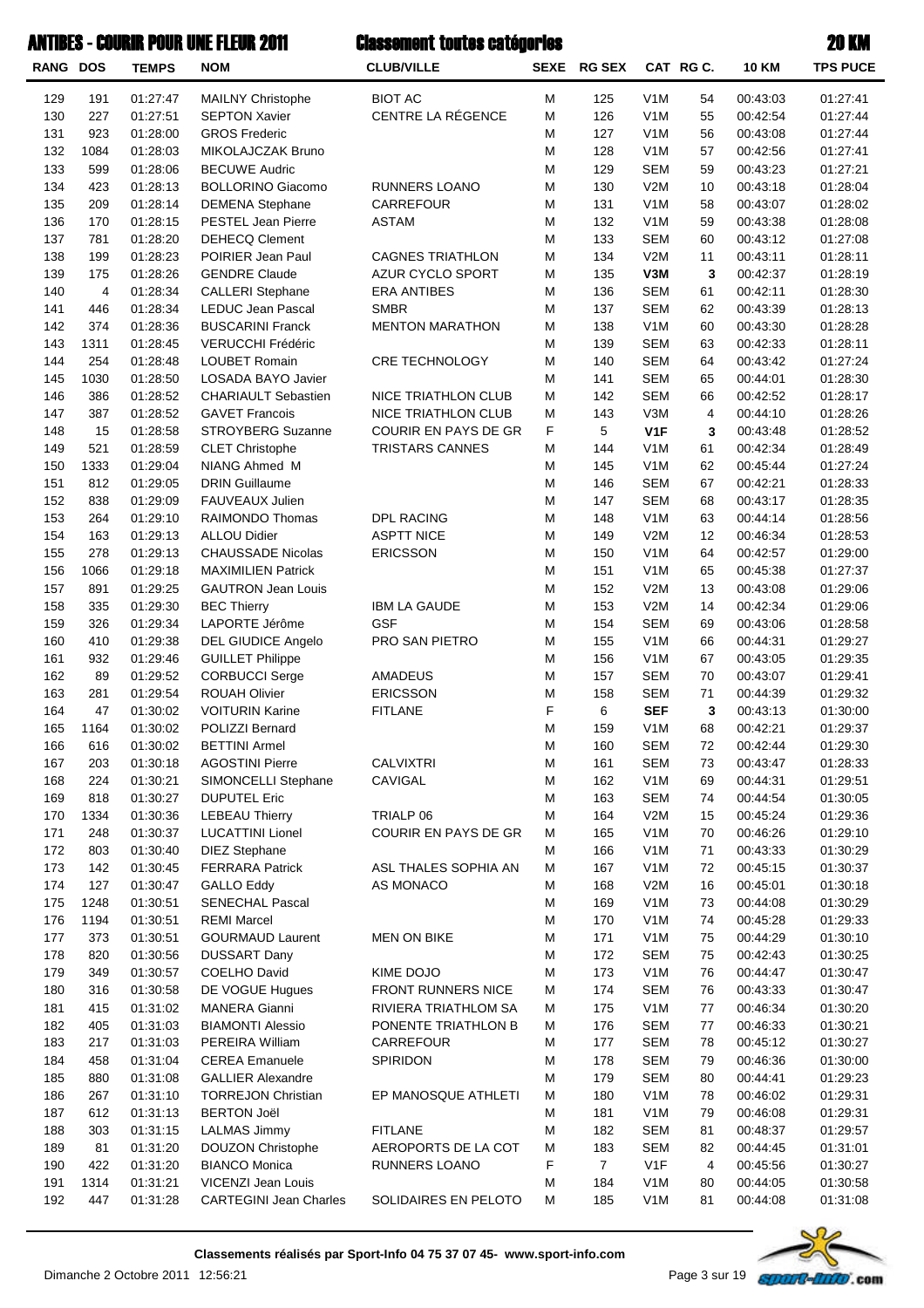| <b>RANG DOS</b> |                         | <b>TEMPS</b> | <b>NOM</b>                    | <b>CLUB/VILLE</b>       | <b>SEXE</b> | <b>RG SEX</b>  |                  | CAT RG C. | <b>10 KM</b> | <b>TPS PUCE</b>      |
|-----------------|-------------------------|--------------|-------------------------------|-------------------------|-------------|----------------|------------------|-----------|--------------|----------------------|
| 129             | 191                     | 01:27:47     | MAILNY Christophe             | <b>BIOT AC</b>          | M           | 125            | V <sub>1</sub> M | 54        | 00:43:03     | 01:27:41             |
| 130             | 227                     | 01:27:51     | <b>SEPTON Xavier</b>          | CENTRE LA RÉGENCE       | M           | 126            | V <sub>1</sub> M | 55        | 00:42:54     | 01:27:44             |
| 131             | 923                     | 01:28:00     | <b>GROS Frederic</b>          |                         | M           | 127            | V <sub>1</sub> M | 56        | 00:43:08     | 01:27:44             |
| 132             | 1084                    | 01:28:03     | MIKOLAJCZAK Bruno             |                         | M           | 128            | V <sub>1</sub> M | 57        | 00:42:56     | 01:27:41             |
| 133             | 599                     | 01:28:06     | <b>BECUWE Audric</b>          |                         | M           | 129            | <b>SEM</b>       | 59        | 00:43:23     | 01:27:21             |
| 134             | 423                     | 01:28:13     | <b>BOLLORINO Giacomo</b>      | RUNNERS LOANO           | M           | 130            | V2M              | 10        | 00:43:18     | 01:28:04             |
| 135             | 209                     | 01:28:14     | <b>DEMENA Stephane</b>        | CARREFOUR               | M           | 131            | V <sub>1</sub> M | 58        | 00:43:07     | 01:28:02             |
| 136             | 170                     | 01:28:15     | <b>PESTEL Jean Pierre</b>     | <b>ASTAM</b>            | M           | 132            | V <sub>1</sub> M | 59        | 00:43:38     | 01:28:08             |
| 137             | 781                     | 01:28:20     | <b>DEHECQ Clement</b>         |                         | M           | 133            | <b>SEM</b>       | 60        | 00:43:12     | 01:27:08             |
| 138             | 199                     | 01:28:23     | POIRIER Jean Paul             | <b>CAGNES TRIATHLON</b> | M           | 134            | V2M              | 11        | 00:43:11     | 01:28:11             |
| 139             | 175                     | 01:28:26     | <b>GENDRE Claude</b>          | AZUR CYCLO SPORT        | M           | 135            | V3M              | 3         | 00:42:37     | 01:28:19             |
| 140             | $\overline{\mathbf{4}}$ | 01:28:34     | <b>CALLERI</b> Stephane       | <b>ERA ANTIBES</b>      | M           | 136            | <b>SEM</b>       | 61        | 00:42:11     | 01:28:30             |
| 141             | 446                     | 01:28:34     | <b>LEDUC Jean Pascal</b>      | <b>SMBR</b>             | M           | 137            | <b>SEM</b>       | 62        | 00:43:39     | 01:28:13             |
| 142             | 374                     | 01:28:36     | <b>BUSCARINI Franck</b>       | <b>MENTON MARATHON</b>  | M           | 138            | V <sub>1</sub> M | 60        | 00:43:30     | 01:28:28             |
| 143             | 1311                    | 01:28:45     | VERUCCHI Frédéric             |                         | M           | 139            | <b>SEM</b>       | 63        | 00:42:33     | 01:28:11             |
| 144             | 254                     | 01:28:48     | <b>LOUBET Romain</b>          | <b>CRE TECHNOLOGY</b>   | M           | 140            | <b>SEM</b>       | 64        | 00:43:42     | 01:27:24             |
| 145             | 1030                    | 01:28:50     | LOSADA BAYO Javier            |                         | M           | 141            | <b>SEM</b>       | 65        | 00:44:01     | 01:28:30             |
| 146             | 386                     | 01:28:52     | <b>CHARIAULT Sebastien</b>    | NICE TRIATHLON CLUB     | M           | 142            | <b>SEM</b>       | 66        | 00:42:52     | 01:28:17             |
| 147             | 387                     | 01:28:52     | <b>GAVET Francois</b>         | NICE TRIATHLON CLUB     | M           | 143            | V3M              | 4         | 00:44:10     | 01:28:26             |
| 148             | 15                      | 01:28:58     | <b>STROYBERG Suzanne</b>      | COURIR EN PAYS DE GR    | F           | 5              | V <sub>1</sub> F | 3         | 00:43:48     | 01:28:52             |
| 149             | 521                     | 01:28:59     | <b>CLET Christophe</b>        | <b>TRISTARS CANNES</b>  | M           | 144            | V <sub>1</sub> M | 61        | 00:42:34     | 01:28:49             |
| 150             | 1333                    | 01:29:04     | <b>NIANG Ahmed M</b>          |                         | M           | 145            | V <sub>1</sub> M | 62        | 00:45:44     | 01:27:24             |
| 151             | 812                     | 01:29:05     | <b>DRIN Guillaume</b>         |                         | M           | 146            | <b>SEM</b>       | 67        | 00:42:21     | 01:28:33             |
| 152             | 838                     | 01:29:09     | <b>FAUVEAUX Julien</b>        |                         | M           | 147            | <b>SEM</b>       | 68        | 00:43:17     | 01:28:35             |
| 153             | 264                     | 01:29:10     | RAIMONDO Thomas               | DPL RACING              | M           | 148            | V <sub>1</sub> M | 63        | 00:44:14     | 01:28:56             |
| 154             | 163                     | 01:29:13     | <b>ALLOU Didier</b>           | <b>ASPTT NICE</b>       | M           | 149            | V2M              | 12        | 00:46:34     | 01:28:53             |
| 155             | 278                     | 01:29:13     | <b>CHAUSSADE Nicolas</b>      | <b>ERICSSON</b>         | M           | 150            | V <sub>1</sub> M | 64        | 00:42:57     | 01:29:00             |
| 156             | 1066                    | 01:29:18     | <b>MAXIMILIEN Patrick</b>     |                         | M           | 151            | V <sub>1</sub> M | 65        | 00:45:38     | 01:27:37             |
| 157             | 891                     | 01:29:25     | <b>GAUTRON Jean Louis</b>     |                         | M           | 152            | V2M              | 13        | 00:43:08     | 01:29:06             |
| 158             | 335                     | 01:29:30     | <b>BEC Thierry</b>            | <b>IBM LA GAUDE</b>     | M           | 153            | V2M              | 14        | 00:42:34     | 01:29:06             |
| 159             | 326                     | 01:29:34     | LAPORTE Jérôme                | GSF                     | M           | 154            | <b>SEM</b>       | 69        | 00:43:06     | 01:28:58             |
| 160             | 410                     | 01:29:38     | <b>DEL GIUDICE Angelo</b>     | PRO SAN PIETRO          | M           | 155            | V <sub>1</sub> M | 66        | 00:44:31     | 01:29:27             |
| 161             | 932                     | 01:29:46     | <b>GUILLET Philippe</b>       |                         | M           | 156            | V <sub>1</sub> M | 67        | 00:43:05     | 01:29:35             |
| 162             | 89                      | 01:29:52     | <b>CORBUCCI Serge</b>         | <b>AMADEUS</b>          | M           | 157            | <b>SEM</b>       | 70        | 00:43:07     | 01:29:41             |
| 163             | 281                     | 01:29:54     | <b>ROUAH Olivier</b>          | <b>ERICSSON</b>         | M           | 158            | <b>SEM</b>       | 71        | 00:44:39     | 01:29:32             |
| 164             | 47                      | 01:30:02     | <b>VOITURIN Karine</b>        | <b>FITLANE</b>          | $\mathsf F$ | 6              | <b>SEF</b>       | 3         | 00:43:13     | 01:30:00             |
| 165             | 1164                    | 01:30:02     | POLIZZI Bernard               |                         | M           | 159            | V <sub>1</sub> M | 68        | 00:42:21     | 01:29:37             |
| 166             | 616                     | 01:30:02     | <b>BETTINI Armel</b>          |                         | M           | 160            | <b>SEM</b>       | 72        | 00:42:44     | 01:29:30             |
| 167             | 203                     | 01:30:18     | <b>AGOSTINI Pierre</b>        | <b>CALVIXTRI</b>        | M           | 161            | <b>SEM</b>       | 73        | 00:43:47     | 01:28:33             |
| 168             | 224                     | 01:30:21     | SIMONCELLI Stephane           | CAVIGAL                 | M           | 162            | V <sub>1</sub> M | 69        | 00:44:31     | 01:29:51             |
| 169             | 818                     | 01:30:27     | <b>DUPUTEL Eric</b>           |                         | M           | 163            | <b>SEM</b>       | 74        | 00:44:54     | 01:30:05             |
| 170             | 1334                    | 01:30:36     | <b>LEBEAU Thierry</b>         | TRIALP 06               | M           | 164            | V2M              | 15        | 00:45:24     | 01:29:36             |
| 171             | 248                     | 01:30:37     | <b>LUCATTINI Lionel</b>       | COURIR EN PAYS DE GR    | M           | 165            | V <sub>1</sub> M | 70        | 00:46:26     | 01:29:10             |
| 172             | 803                     | 01:30:40     | <b>DIEZ Stephane</b>          |                         | M           | 166            | V <sub>1</sub> M | 71        | 00:43:33     | 01:30:29             |
| 173             | 142                     | 01:30:45     | <b>FERRARA Patrick</b>        | ASL THALES SOPHIA AN    | M           | 167            | V <sub>1</sub> M | 72        | 00:45:15     | 01:30:37             |
| 174             | 127                     | 01:30:47     | <b>GALLO Eddy</b>             | AS MONACO               | M           | 168            | V2M              | 16        | 00:45:01     | 01:30:18             |
| 175             | 1248                    | 01:30:51     | <b>SENECHAL Pascal</b>        |                         | M           | 169            | V <sub>1</sub> M | 73        | 00:44:08     | 01:30:29             |
| 176             | 1194                    | 01:30:51     | <b>REMI Marcel</b>            |                         | M           | 170            | V <sub>1</sub> M | 74        | 00:45:28     | 01:29:33             |
| 177             | 373                     | 01:30:51     | <b>GOURMAUD Laurent</b>       | <b>MEN ON BIKE</b>      | M           | 171            | V <sub>1</sub> M | 75        | 00:44:29     | 01:30:10             |
| 178             | 820                     | 01:30:56     | <b>DUSSART Dany</b>           |                         | M           | 172            | <b>SEM</b>       | 75        | 00:42:43     | 01:30:25             |
| 179             | 349                     | 01:30:57     | <b>COELHO David</b>           | KIME DOJO               | M           | 173            | V <sub>1</sub> M | 76        | 00:44:47     | 01:30:47             |
| 180             | 316                     | 01:30:58     | DE VOGUE Hugues               | FRONT RUNNERS NICE      | M           | 174            | <b>SEM</b>       | 76        | 00:43:33     | 01:30:47             |
| 181             | 415                     | 01:31:02     | <b>MANERA Gianni</b>          | RIVIERA TRIATHLOM SA    | M           | 175            | V <sub>1</sub> M | 77        | 00:46:34     | 01:30:20             |
| 182             | 405                     | 01:31:03     | <b>BIAMONTI Alessio</b>       | PONENTE TRIATHLON B     | M           | 176            | <b>SEM</b>       | 77        | 00:46:33     | 01:30:21             |
| 183             | 217                     | 01:31:03     | PEREIRA William               | CARREFOUR               | M           | 177            | <b>SEM</b>       | 78        | 00:45:12     | 01:30:27             |
| 184             | 458                     | 01:31:04     | <b>CEREA Emanuele</b>         | SPIRIDON                | M           | 178            | <b>SEM</b>       | 79        | 00:46:36     | 01:30:00             |
| 185             | 880                     | 01:31:08     | <b>GALLIER Alexandre</b>      |                         | M           | 179            | <b>SEM</b>       | 80        | 00:44:41     | 01:29:23             |
| 186             | 267                     | 01:31:10     | <b>TORREJON Christian</b>     | EP MANOSQUE ATHLETI     | M           | 180            | V <sub>1</sub> M | 78        | 00:46:02     | 01:29:31             |
| 187             | 612                     | 01:31:13     | <b>BERTON Joël</b>            |                         | M           | 181            | V <sub>1</sub> M | 79        | 00:46:08     | 01:29:31             |
| 188             | 303                     | 01:31:15     | <b>LALMAS Jimmy</b>           | <b>FITLANE</b>          | M           | 182            | <b>SEM</b>       | 81        | 00:48:37     | 01:29:57             |
| 189             | 81                      | 01:31:20     | <b>DOUZON Christophe</b>      | AEROPORTS DE LA COT     | M           | 183            | <b>SEM</b>       | 82        | 00:44:45     | 01:31:01             |
| 190             | 422                     | 01:31:20     | <b>BIANCO Monica</b>          |                         | F           | $\overline{7}$ | V <sub>1</sub> F | 4         | 00:45:56     |                      |
| 191             | 1314                    | 01:31:21     | VICENZI Jean Louis            | RUNNERS LOANO           | M           | 184            | V <sub>1</sub> M | 80        | 00:44:05     | 01:30:27<br>01:30:58 |
| 192             | 447                     | 01:31:28     | <b>CARTEGINI Jean Charles</b> | SOLIDAIRES EN PELOTO    | M           | 185            | V <sub>1</sub> M | 81        | 00:44:08     | 01:31:08             |
|                 |                         |              |                               |                         |             |                |                  |           |              |                      |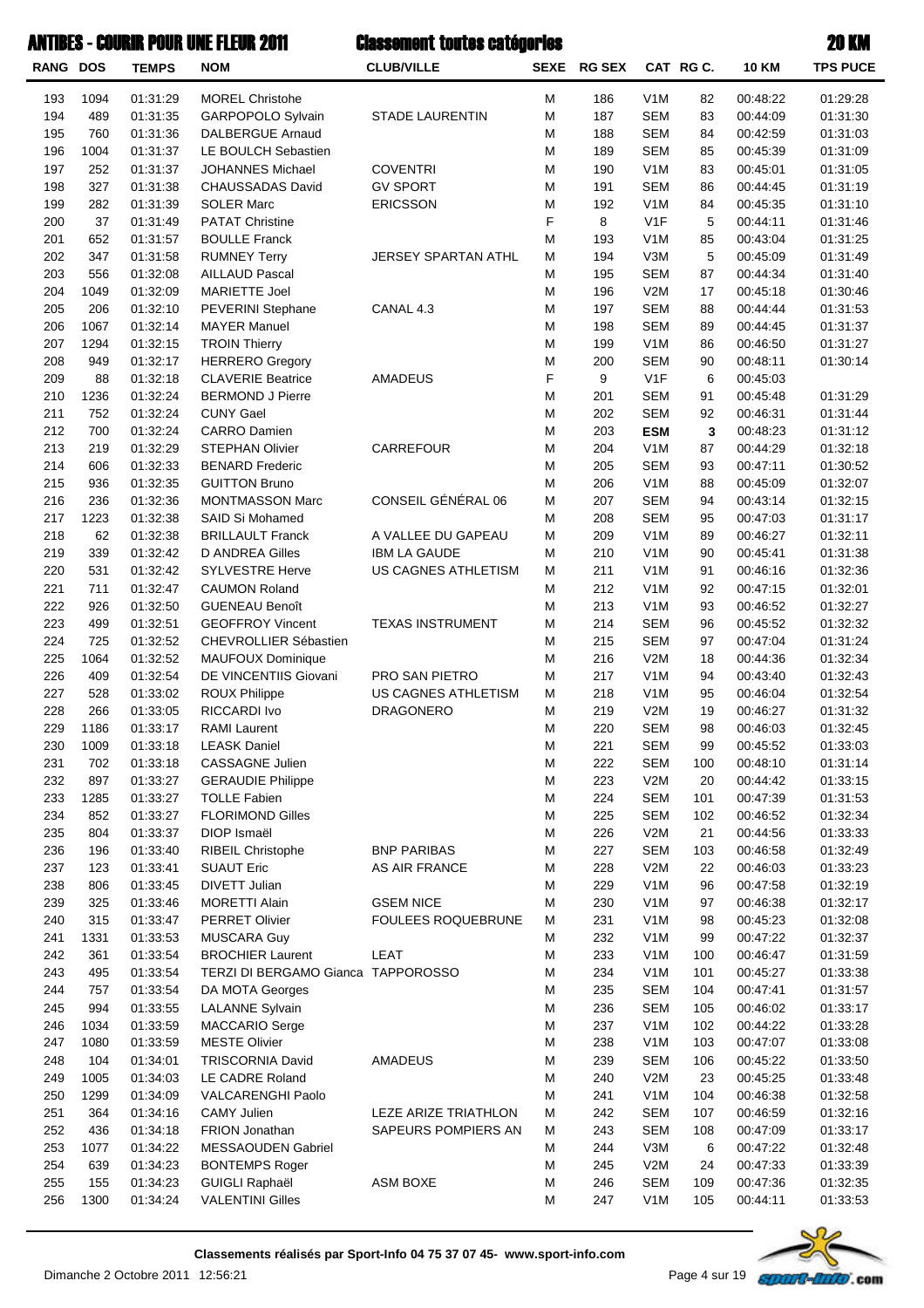| <b>ANTIBES - COURIR POUR UNE FLEUR 2011</b> |             |                      |                                                               | <b>Classement toutes catégories</b> |        |             |                                      |            | <b>20 KM</b>         |                      |
|---------------------------------------------|-------------|----------------------|---------------------------------------------------------------|-------------------------------------|--------|-------------|--------------------------------------|------------|----------------------|----------------------|
| RANG DOS                                    |             | <b>TEMPS</b>         | <b>NOM</b>                                                    | <b>CLUB/VILLE</b>                   |        | SEXE RG SEX |                                      | CAT RG C.  | <b>10 KM</b>         | <b>TPS PUCE</b>      |
| 193                                         | 1094        | 01:31:29             | <b>MOREL Christohe</b>                                        |                                     | М      | 186         | V <sub>1</sub> M                     | 82         | 00:48:22             | 01:29:28             |
| 194                                         | 489         | 01:31:35             | GARPOPOLO Sylvain                                             | <b>STADE LAURENTIN</b>              | M      | 187         | <b>SEM</b>                           | 83         | 00:44:09             | 01:31:30             |
| 195                                         | 760         | 01:31:36             | <b>DALBERGUE Arnaud</b>                                       |                                     | M      | 188         | <b>SEM</b>                           | 84         | 00:42:59             | 01:31:03             |
| 196                                         | 1004        | 01:31:37             | LE BOULCH Sebastien                                           |                                     | M      | 189         | <b>SEM</b>                           | 85         | 00:45:39             | 01:31:09             |
| 197                                         | 252         | 01:31:37             | <b>JOHANNES Michael</b>                                       | <b>COVENTRI</b>                     | M      | 190         | V <sub>1</sub> M                     | 83         | 00:45:01             | 01:31:05             |
| 198                                         | 327         | 01:31:38             | CHAUSSADAS David                                              | <b>GV SPORT</b>                     | M      | 191         | <b>SEM</b>                           | 86         | 00:44:45             | 01:31:19             |
| 199                                         | 282         | 01:31:39             | <b>SOLER Marc</b>                                             | <b>ERICSSON</b>                     | M      | 192         | V <sub>1</sub> M                     | 84         | 00:45:35             | 01:31:10             |
| 200                                         | 37          | 01:31:49             | <b>PATAT Christine</b>                                        |                                     | F      | 8           | V <sub>1F</sub>                      | 5          | 00:44:11             | 01:31:46             |
| 201                                         | 652         | 01:31:57             | <b>BOULLE Franck</b>                                          |                                     | M      | 193         | V <sub>1</sub> M                     | 85         | 00:43:04             | 01:31:25             |
| 202                                         | 347         | 01:31:58             | <b>RUMNEY Terry</b>                                           | JERSEY SPARTAN ATHL                 | M      | 194         | V3M                                  | 5          | 00:45:09             | 01:31:49             |
| 203                                         | 556         | 01:32:08             | <b>AILLAUD Pascal</b><br><b>MARIETTE Joel</b>                 |                                     | M      | 195         | <b>SEM</b>                           | 87         | 00:44:34             | 01:31:40             |
| 204<br>205                                  | 1049<br>206 | 01:32:09<br>01:32:10 |                                                               | CANAL 4.3                           | M<br>M | 196<br>197  | V2M<br><b>SEM</b>                    | 17<br>88   | 00:45:18<br>00:44:44 | 01:30:46<br>01:31:53 |
| 206                                         | 1067        | 01:32:14             | PEVERINI Stephane<br><b>MAYER Manuel</b>                      |                                     | M      | 198         | <b>SEM</b>                           | 89         | 00:44:45             | 01:31:37             |
| 207                                         | 1294        | 01:32:15             | <b>TROIN Thierry</b>                                          |                                     | M      | 199         | V <sub>1</sub> M                     | 86         | 00:46:50             | 01:31:27             |
| 208                                         | 949         | 01:32:17             | <b>HERRERO</b> Gregory                                        |                                     | M      | 200         | <b>SEM</b>                           | 90         | 00:48:11             | 01:30:14             |
| 209                                         | 88          | 01:32:18             | <b>CLAVERIE Beatrice</b>                                      | AMADEUS                             | F      | 9           | V <sub>1F</sub>                      | 6          | 00:45:03             |                      |
| 210                                         | 1236        | 01:32:24             | <b>BERMOND J Pierre</b>                                       |                                     | M      | 201         | <b>SEM</b>                           | 91         | 00:45:48             | 01:31:29             |
| 211                                         | 752         | 01:32:24             | <b>CUNY Gael</b>                                              |                                     | M      | 202         | <b>SEM</b>                           | 92         | 00:46:31             | 01:31:44             |
| 212                                         | 700         | 01:32:24             | <b>CARRO Damien</b>                                           |                                     | M      | 203         | <b>ESM</b>                           | 3          | 00:48:23             | 01:31:12             |
| 213                                         | 219         | 01:32:29             | <b>STEPHAN Olivier</b>                                        | <b>CARREFOUR</b>                    | M      | 204         | V <sub>1</sub> M                     | 87         | 00:44:29             | 01:32:18             |
| 214                                         | 606         | 01:32:33             | <b>BENARD Frederic</b>                                        |                                     | M      | 205         | <b>SEM</b>                           | 93         | 00:47:11             | 01:30:52             |
| 215                                         | 936         | 01:32:35             | <b>GUITTON Bruno</b>                                          |                                     | M      | 206         | V <sub>1</sub> M                     | 88         | 00:45:09             | 01:32:07             |
| 216                                         | 236         | 01:32:36             | MONTMASSON Marc                                               | CONSEIL GÉNÉRAL 06                  | M      | 207         | <b>SEM</b>                           | 94         | 00:43:14             | 01:32:15             |
| 217                                         | 1223        | 01:32:38             | SAID Si Mohamed                                               |                                     | M      | 208         | <b>SEM</b>                           | 95         | 00:47:03             | 01:31:17             |
| 218                                         | 62          | 01:32:38             | <b>BRILLAULT Franck</b>                                       | A VALLEE DU GAPEAU                  | M      | 209         | V <sub>1</sub> M                     | 89         | 00:46:27             | 01:32:11             |
| 219                                         | 339         | 01:32:42             | D ANDREA Gilles                                               | <b>IBM LA GAUDE</b>                 | M      | 210         | V <sub>1</sub> M                     | 90         | 00:45:41             | 01:31:38             |
| 220                                         | 531         | 01:32:42             | <b>SYLVESTRE Herve</b>                                        | US CAGNES ATHLETISM                 | M      | 211         | V <sub>1</sub> M                     | 91         | 00:46:16             | 01:32:36             |
| 221                                         | 711         | 01:32:47             | <b>CAUMON Roland</b>                                          |                                     | M      | 212         | V <sub>1</sub> M                     | 92         | 00:47:15             | 01:32:01             |
| 222                                         | 926         | 01:32:50             | <b>GUENEAU Benoît</b>                                         |                                     | M      | 213         | V <sub>1</sub> M                     | 93         | 00:46:52             | 01:32:27             |
| 223                                         | 499         | 01:32:51             | <b>GEOFFROY Vincent</b>                                       | <b>TEXAS INSTRUMENT</b>             | M      | 214         | <b>SEM</b>                           | 96         | 00:45:52             | 01:32:32             |
| 224                                         | 725         | 01:32:52             | <b>CHEVROLLIER Sébastien</b>                                  |                                     | M      | 215         | <b>SEM</b>                           | 97         | 00:47:04             | 01:31:24             |
| 225                                         | 1064        | 01:32:52             | MAUFOUX Dominique                                             |                                     | M      | 216         | V2M                                  | 18         | 00:44:36             | 01:32:34             |
| 226                                         | 409         | 01:32:54             | DE VINCENTIIS Giovani                                         | PRO SAN PIETRO                      | M      | 217         | V <sub>1</sub> M                     | 94         | 00:43:40             | 01:32:43             |
| 227                                         | 528         | 01:33:02             | <b>ROUX Philippe</b>                                          | US CAGNES ATHLETISM                 | M      | 218         | V <sub>1</sub> M                     | 95         | 00:46:04             | 01:32:54             |
| 228                                         | 266         | 01:33:05             | RICCARDI Ivo                                                  | <b>DRAGONERO</b>                    | M      | 219         | V2M                                  | 19         | 00:46:27             | 01:31:32             |
| 229                                         | 1186        | 01:33:17             | RAMI Laurent                                                  |                                     | M      | 220         | SEM                                  | 98         | 00:46:03             | 01:32:45             |
| 230                                         | 1009        | 01:33:18             | <b>LEASK Daniel</b>                                           |                                     | M      | 221         | <b>SEM</b>                           | 99         | 00:45:52             | 01:33:03             |
| 231                                         | 702         | 01:33:18             | CASSAGNE Julien                                               |                                     | M      | 222         | <b>SEM</b>                           | 100        | 00:48:10             | 01:31:14             |
| 232                                         | 897         | 01:33:27             | <b>GERAUDIE Philippe</b>                                      |                                     | M      | 223         | V2M                                  | 20         | 00:44:42             | 01:33:15             |
| 233                                         | 1285        | 01:33:27             | <b>TOLLE Fabien</b>                                           |                                     | M      | 224         | <b>SEM</b>                           | 101        | 00:47:39             | 01:31:53             |
| 234                                         | 852         | 01:33:27             | <b>FLORIMOND Gilles</b>                                       |                                     | M      | 225         | <b>SEM</b>                           | 102        | 00:46:52             | 01:32:34             |
| 235                                         | 804         | 01:33:37             | DIOP Ismaël                                                   |                                     | M      | 226         | V2M                                  | 21         | 00:44:56             | 01:33:33             |
| 236                                         | 196         | 01:33:40             | <b>RIBEIL Christophe</b>                                      | <b>BNP PARIBAS</b>                  | M      | 227         | <b>SEM</b>                           | 103        | 00:46:58             | 01:32:49             |
| 237                                         | 123         | 01:33:41             | <b>SUAUT Eric</b>                                             | AS AIR FRANCE                       | M      | 228         | V2M                                  | 22         | 00:46:03             | 01:33:23             |
| 238                                         | 806         | 01:33:45             | DIVETT Julian                                                 |                                     | M      | 229         | V <sub>1</sub> M                     | 96         | 00:47:58             | 01:32:19             |
| 239                                         | 325         | 01:33:46             | <b>MORETTI Alain</b>                                          | <b>GSEM NICE</b>                    | M      | 230         | V <sub>1</sub> M                     | 97         | 00:46:38             | 01:32:17             |
| 240                                         | 315         | 01:33:47             | <b>PERRET Olivier</b>                                         | FOULEES ROQUEBRUNE                  | M      | 231         | V <sub>1</sub> M                     | 98         | 00:45:23             | 01:32:08             |
| 241                                         | 1331        | 01:33:53             | MUSCARA Guy                                                   |                                     | M      | 232         | V <sub>1</sub> M                     | 99         | 00:47:22             | 01:32:37             |
| 242<br>243                                  | 361<br>495  | 01:33:54<br>01:33:54 | <b>BROCHIER Laurent</b><br>TERZI DI BERGAMO Gianca TAPPOROSSO | LEAT                                | M<br>M | 233<br>234  | V <sub>1</sub> M<br>V <sub>1</sub> M | 100<br>101 | 00:46:47<br>00:45:27 | 01:31:59<br>01:33:38 |
| 244                                         | 757         | 01:33:54             | DA MOTA Georges                                               |                                     | M      | 235         | <b>SEM</b>                           | 104        | 00:47:41             | 01:31:57             |
| 245                                         | 994         | 01:33:55             | <b>LALANNE Sylvain</b>                                        |                                     | M      | 236         | <b>SEM</b>                           | 105        | 00:46:02             | 01:33:17             |
| 246                                         | 1034        | 01:33:59             | MACCARIO Serge                                                |                                     | M      | 237         | V <sub>1</sub> M                     | 102        | 00:44:22             | 01:33:28             |
| 247                                         | 1080        | 01:33:59             | <b>MESTE Olivier</b>                                          |                                     | M      | 238         | V <sub>1</sub> M                     | 103        | 00:47:07             | 01:33:08             |
| 248                                         | 104         | 01:34:01             | <b>TRISCORNIA David</b>                                       | AMADEUS                             | M      | 239         | <b>SEM</b>                           | 106        | 00:45:22             | 01:33:50             |
| 249                                         | 1005        | 01:34:03             | LE CADRE Roland                                               |                                     | M      | 240         | V2M                                  | 23         | 00:45:25             | 01:33:48             |
| 250                                         | 1299        | 01:34:09             | VALCARENGHI Paolo                                             |                                     | M      | 241         | V <sub>1</sub> M                     | 104        | 00:46:38             | 01:32:58             |
| 251                                         | 364         | 01:34:16             | <b>CAMY Julien</b>                                            | LEZE ARIZE TRIATHLON                | M      | 242         | <b>SEM</b>                           | 107        | 00:46:59             | 01:32:16             |
| 252                                         | 436         | 01:34:18             | FRION Jonathan                                                | SAPEURS POMPIERS AN                 | M      | 243         | <b>SEM</b>                           | 108        | 00:47:09             | 01:33:17             |
| 253                                         | 1077        | 01:34:22             | <b>MESSAOUDEN Gabriel</b>                                     |                                     | M      | 244         | V3M                                  | 6          | 00:47:22             | 01:32:48             |
| 254                                         | 639         | 01:34:23             | <b>BONTEMPS Roger</b>                                         |                                     | M      | 245         | V2M                                  | 24         | 00:47:33             | 01:33:39             |
| 255                                         | 155         | 01:34:23             | <b>GUIGLI Raphaël</b>                                         | <b>ASM BOXE</b>                     | M      | 246         | <b>SEM</b>                           | 109        | 00:47:36             | 01:32:35             |
| 256                                         | 1300        | 01:34:24             | <b>VALENTINI Gilles</b>                                       |                                     | M      | 247         | V <sub>1</sub> M                     | 105        | 00:44:11             | 01:33:53             |

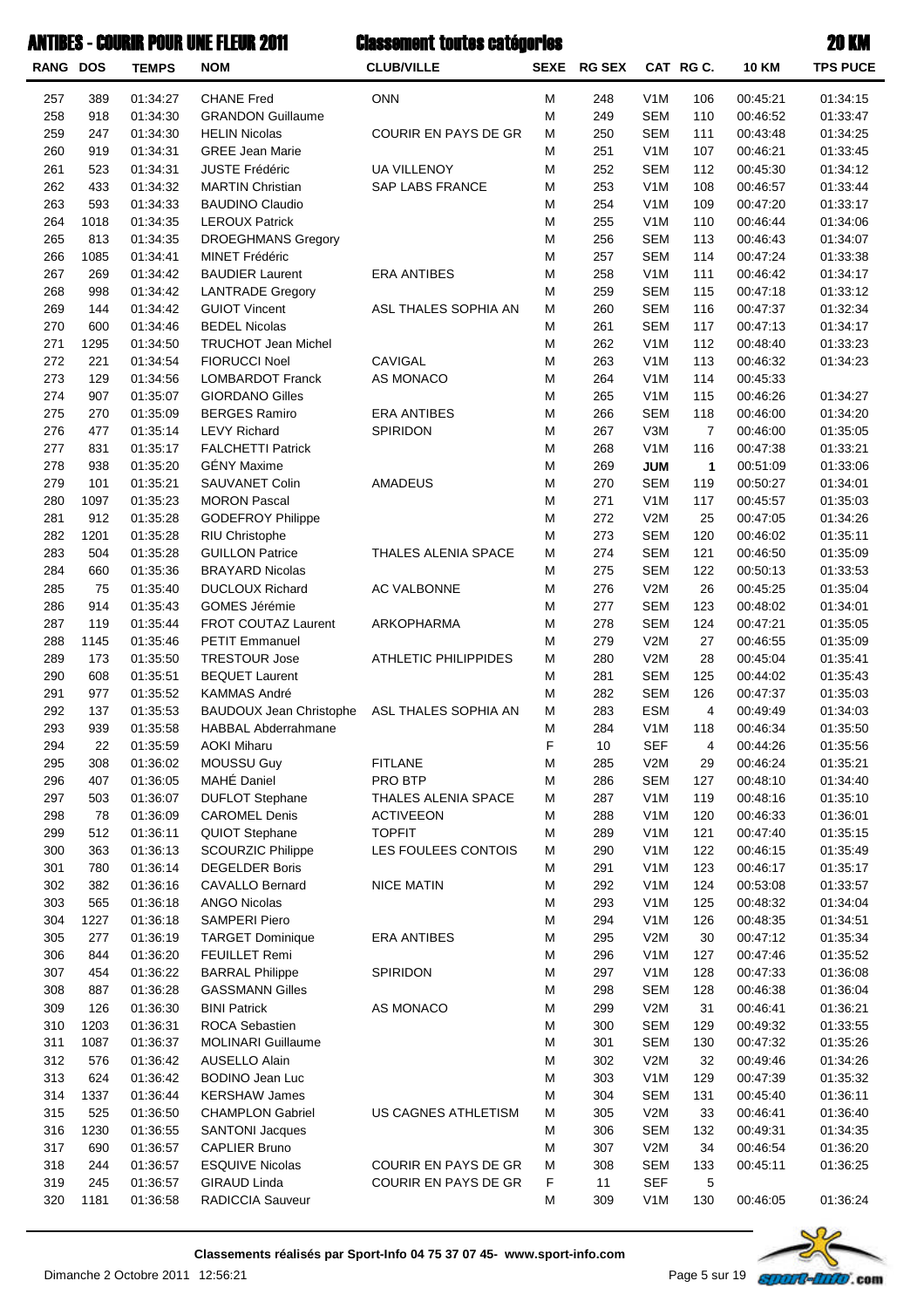| <b>RANG DOS</b> |             | <b>TEMPS</b>         | <b>NOM</b>                                       | <b>CLUB/VILLE</b>           | <b>SEXE</b> | <b>RG SEX</b> |                   | CAT RG C.      | <b>10 KM</b>         | <b>TPS PUCE</b>      |
|-----------------|-------------|----------------------|--------------------------------------------------|-----------------------------|-------------|---------------|-------------------|----------------|----------------------|----------------------|
| 257             | 389         | 01:34:27             | <b>CHANE Fred</b>                                | <b>ONN</b>                  | M           | 248           | V <sub>1</sub> M  | 106            | 00:45:21             | 01:34:15             |
| 258             | 918         | 01:34:30             | <b>GRANDON Guillaume</b>                         |                             | ${\sf M}$   | 249           | <b>SEM</b>        | 110            | 00:46:52             | 01:33:47             |
| 259             | 247         | 01:34:30             | <b>HELIN Nicolas</b>                             | COURIR EN PAYS DE GR        | M           | 250           | <b>SEM</b>        | 111            | 00:43:48             | 01:34:25             |
| 260             | 919         | 01:34:31             | <b>GREE Jean Marie</b>                           |                             | M           | 251           | V <sub>1</sub> M  | 107            | 00:46:21             | 01:33:45             |
| 261             | 523         | 01:34:31             | <b>JUSTE Frédéric</b>                            | <b>UA VILLENOY</b>          | M           | 252           | <b>SEM</b>        | 112            | 00:45:30             | 01:34:12             |
| 262             | 433         | 01:34:32             | <b>MARTIN Christian</b>                          | SAP LABS FRANCE             | M           | 253           | V <sub>1</sub> M  | 108            | 00:46:57             | 01:33:44             |
| 263             | 593         | 01:34:33             | <b>BAUDINO Claudio</b>                           |                             | M           | 254           | V <sub>1</sub> M  | 109            | 00:47:20             | 01:33:17             |
| 264             | 1018        | 01:34:35             | <b>LEROUX Patrick</b>                            |                             | M           | 255           | V <sub>1</sub> M  | 110            | 00:46:44             | 01:34:06             |
| 265             | 813         | 01:34:35             | <b>DROEGHMANS Gregory</b>                        |                             | M           | 256           | <b>SEM</b>        | 113            | 00:46:43             | 01:34:07             |
| 266             | 1085        | 01:34:41             | <b>MINET Frédéric</b>                            |                             | M           | 257           | <b>SEM</b>        | 114            | 00:47:24             | 01:33:38             |
| 267             | 269         | 01:34:42             | <b>BAUDIER Laurent</b>                           | <b>ERA ANTIBES</b>          | M           | 258           | V <sub>1</sub> M  | 111            | 00:46:42             | 01:34:17             |
| 268             | 998         | 01:34:42             | <b>LANTRADE Gregory</b>                          |                             | M           | 259           | <b>SEM</b>        | 115            | 00:47:18             | 01:33:12             |
| 269             | 144         | 01:34:42             | <b>GUIOT Vincent</b>                             | ASL THALES SOPHIA AN        | м           | 260           | <b>SEM</b>        | 116            | 00:47:37             | 01:32:34             |
| 270             | 600         | 01:34:46             | <b>BEDEL Nicolas</b>                             |                             | M           | 261           | <b>SEM</b>        | 117            | 00:47:13             | 01:34:17             |
| 271             | 1295        | 01:34:50             | <b>TRUCHOT Jean Michel</b>                       |                             | M           | 262           | V <sub>1</sub> M  | 112            | 00:48:40             | 01:33:23             |
| 272             | 221         | 01:34:54             | <b>FIORUCCI Noel</b>                             | CAVIGAL                     | M           | 263           | V <sub>1</sub> M  | 113            | 00:46:32             | 01:34:23             |
| 273             | 129         | 01:34:56             | <b>LOMBARDOT Franck</b>                          | AS MONACO                   | M           | 264           | V <sub>1</sub> M  | 114            | 00:45:33             |                      |
| 274             | 907         | 01:35:07             | <b>GIORDANO Gilles</b>                           |                             | M           | 265           | V <sub>1</sub> M  | 115            | 00:46:26             | 01:34:27             |
| 275             | 270         | 01:35:09             | <b>BERGES Ramiro</b>                             | <b>ERA ANTIBES</b>          | M           | 266           | <b>SEM</b>        | 118            | 00:46:00             | 01:34:20             |
| 276             | 477         | 01:35:14             | <b>LEVY Richard</b>                              | <b>SPIRIDON</b>             | M           | 267           | V3M               | $\overline{7}$ | 00:46:00             | 01:35:05             |
| 277             | 831         | 01:35:17             | <b>FALCHETTI Patrick</b>                         |                             | M           | 268           | V1M               | 116            | 00:47:38             | 01:33:21             |
| 278             | 938         | 01:35:20             | <b>GÉNY Maxime</b>                               |                             | M           | 269           | <b>JUM</b>        | 1              | 00:51:09             | 01:33:06             |
| 279             | 101         | 01:35:21             | SAUVANET Colin                                   | <b>AMADEUS</b>              | M           | 270           | <b>SEM</b>        | 119            | 00:50:27             | 01:34:01             |
| 280             | 1097        | 01:35:23             | <b>MORON Pascal</b>                              |                             | M           | 271           | V <sub>1</sub> M  | 117            | 00:45:57             | 01:35:03             |
| 281             | 912         | 01:35:28             | <b>GODEFROY Philippe</b>                         |                             | M           | 272           | V2M               | 25             | 00:47:05             | 01:34:26             |
| 282             | 1201        | 01:35:28             | RIU Christophe                                   |                             | M<br>M      | 273           | <b>SEM</b>        | 120            | 00:46:02             | 01:35:11             |
| 283             | 504         | 01:35:28             | <b>GUILLON Patrice</b>                           | THALES ALENIA SPACE         | M           | 274           | <b>SEM</b>        | 121<br>122     | 00:46:50             | 01:35:09             |
| 284<br>285      | 660<br>75   | 01:35:36<br>01:35:40 | <b>BRAYARD Nicolas</b><br><b>DUCLOUX Richard</b> | AC VALBONNE                 | M           | 275<br>276    | <b>SEM</b><br>V2M | 26             | 00:50:13<br>00:45:25 | 01:33:53<br>01:35:04 |
| 286             | 914         | 01:35:43             | GOMES Jérémie                                    |                             | M           | 277           | <b>SEM</b>        | 123            | 00:48:02             | 01:34:01             |
| 287             | 119         | 01:35:44             | <b>FROT COUTAZ Laurent</b>                       | ARKOPHARMA                  | M           | 278           | <b>SEM</b>        | 124            | 00:47:21             | 01:35:05             |
| 288             | 1145        | 01:35:46             | <b>PETIT Emmanuel</b>                            |                             | M           | 279           | V2M               | 27             | 00:46:55             | 01:35:09             |
| 289             | 173         | 01:35:50             | <b>TRESTOUR Jose</b>                             | <b>ATHLETIC PHILIPPIDES</b> | M           | 280           | V2M               | 28             | 00:45:04             | 01:35:41             |
| 290             | 608         | 01:35:51             | <b>BEQUET Laurent</b>                            |                             | M           | 281           | <b>SEM</b>        | 125            | 00:44:02             | 01:35:43             |
| 291             | 977         | 01:35:52             | <b>KAMMAS André</b>                              |                             | M           | 282           | <b>SEM</b>        | 126            | 00:47:37             | 01:35:03             |
| 292             | 137         | 01:35:53             | <b>BAUDOUX Jean Christophe</b>                   | ASL THALES SOPHIA AN        | M           | 283           | <b>ESM</b>        | 4              | 00:49:49             | 01:34:03             |
| 293             | 939         | 01:35:58             | <b>HABBAL Abderrahmane</b>                       |                             | M           | 284           | V <sub>1</sub> M  | 118            | 00:46:34             | 01:35:50             |
| 294             | 22          | 01:35:59             | <b>AOKI Miharu</b>                               |                             | F           | 10            | <b>SEF</b>        | 4              | 00:44:26             | 01:35:56             |
| 295             | 308         | 01:36:02             | MOUSSU Guy                                       | <b>FITLANE</b>              | M           | 285           | V2M               | 29             | 00:46:24             | 01:35:21             |
| 296             | 407         | 01:36:05             | MAHÉ Daniel                                      | PRO BTP                     | M           | 286           | <b>SEM</b>        | 127            | 00:48:10             | 01:34:40             |
| 297             | 503         | 01:36:07             | <b>DUFLOT Stephane</b>                           | THALES ALENIA SPACE         | M           | 287           | V <sub>1</sub> M  | 119            | 00:48:16             | 01:35:10             |
| 298             | 78          | 01:36:09             | <b>CAROMEL Denis</b>                             | <b>ACTIVEEON</b>            | M           | 288           | V <sub>1</sub> M  | 120            | 00:46:33             | 01:36:01             |
| 299             | 512         | 01:36:11             | QUIOT Stephane                                   | <b>TOPFIT</b>               | M           | 289           | V <sub>1</sub> M  | 121            | 00:47:40             | 01:35:15             |
| 300             | 363         | 01:36:13             | <b>SCOURZIC Philippe</b>                         | LES FOULEES CONTOIS         | M           | 290           | V <sub>1</sub> M  | 122            | 00:46:15             | 01:35:49             |
| 301             | 780         | 01:36:14             | <b>DEGELDER Boris</b>                            |                             | M           | 291           | V <sub>1</sub> M  | 123            | 00:46:17             | 01:35:17             |
| 302             | 382         | 01:36:16             | <b>CAVALLO Bernard</b>                           | <b>NICE MATIN</b>           | M           | 292           | V <sub>1</sub> M  | 124            | 00:53:08             | 01:33:57             |
| 303             | 565         | 01:36:18             | <b>ANGO Nicolas</b>                              |                             | M           | 293           | V <sub>1</sub> M  | 125            | 00:48:32             | 01:34:04             |
| 304             | 1227        | 01:36:18             | <b>SAMPERI Piero</b>                             |                             | M           | 294           | V <sub>1</sub> M  | 126            | 00:48:35             | 01:34:51             |
| 305             | 277         | 01:36:19             | <b>TARGET Dominique</b>                          | <b>ERA ANTIBES</b>          | M           | 295           | V2M               | 30             | 00:47:12             | 01:35:34             |
| 306             | 844         | 01:36:20             | <b>FEUILLET Remi</b>                             |                             | M           | 296           | V <sub>1</sub> M  | 127            | 00:47:46             | 01:35:52             |
| 307             | 454         | 01:36:22             | <b>BARRAL Philippe</b>                           | SPIRIDON                    | M           | 297           | V <sub>1</sub> M  | 128            | 00:47:33             | 01:36:08             |
| 308             | 887         | 01:36:28             | <b>GASSMANN Gilles</b>                           |                             | M           | 298           | <b>SEM</b>        | 128            | 00:46:38             | 01:36:04             |
| 309             | 126         | 01:36:30             | <b>BINI Patrick</b>                              | AS MONACO                   | M           | 299           | V2M               | 31             | 00:46:41             | 01:36:21             |
| 310             | 1203        | 01:36:31             | ROCA Sebastien                                   |                             | M           | 300           | <b>SEM</b>        | 129            | 00:49:32             | 01:33:55             |
| 311             | 1087        | 01:36:37             | <b>MOLINARI Guillaume</b>                        |                             | M           | 301           | <b>SEM</b>        | 130            | 00:47:32             | 01:35:26             |
| 312             | 576         | 01:36:42             | <b>AUSELLO Alain</b>                             |                             | M           | 302           | V2M               | 32             | 00:49:46             | 01:34:26             |
| 313             | 624         | 01:36:42             | <b>BODINO Jean Luc</b>                           |                             | M           | 303           | V <sub>1</sub> M  | 129            | 00:47:39             | 01:35:32             |
| 314             | 1337        | 01:36:44             | <b>KERSHAW James</b>                             |                             | M           | 304           | <b>SEM</b>        | 131            | 00:45:40             | 01:36:11             |
| 315             | 525<br>1230 | 01:36:50             | <b>CHAMPLON Gabriel</b>                          | US CAGNES ATHLETISM         | M<br>M      | 305           | V2M               | 33<br>132      | 00:46:41<br>00:49:31 | 01:36:40             |
| 316<br>317      | 690         | 01:36:55<br>01:36:57 | <b>SANTONI Jacques</b><br><b>CAPLIER Bruno</b>   |                             | M           | 306<br>307    | <b>SEM</b><br>V2M | 34             | 00:46:54             | 01:34:35<br>01:36:20 |
| 318             | 244         | 01:36:57             | <b>ESQUIVE Nicolas</b>                           | COURIR EN PAYS DE GR        | M           | 308           | <b>SEM</b>        | 133            | 00:45:11             | 01:36:25             |
| 319             | 245         | 01:36:57             | <b>GIRAUD Linda</b>                              | COURIR EN PAYS DE GR        | F           | 11            | <b>SEF</b>        | 5              |                      |                      |
| 320             | 1181        | 01:36:58             | RADICCIA Sauveur                                 |                             | M           | 309           | V <sub>1</sub> M  | 130            | 00:46:05             | 01:36:24             |
|                 |             |                      |                                                  |                             |             |               |                   |                |                      |                      |

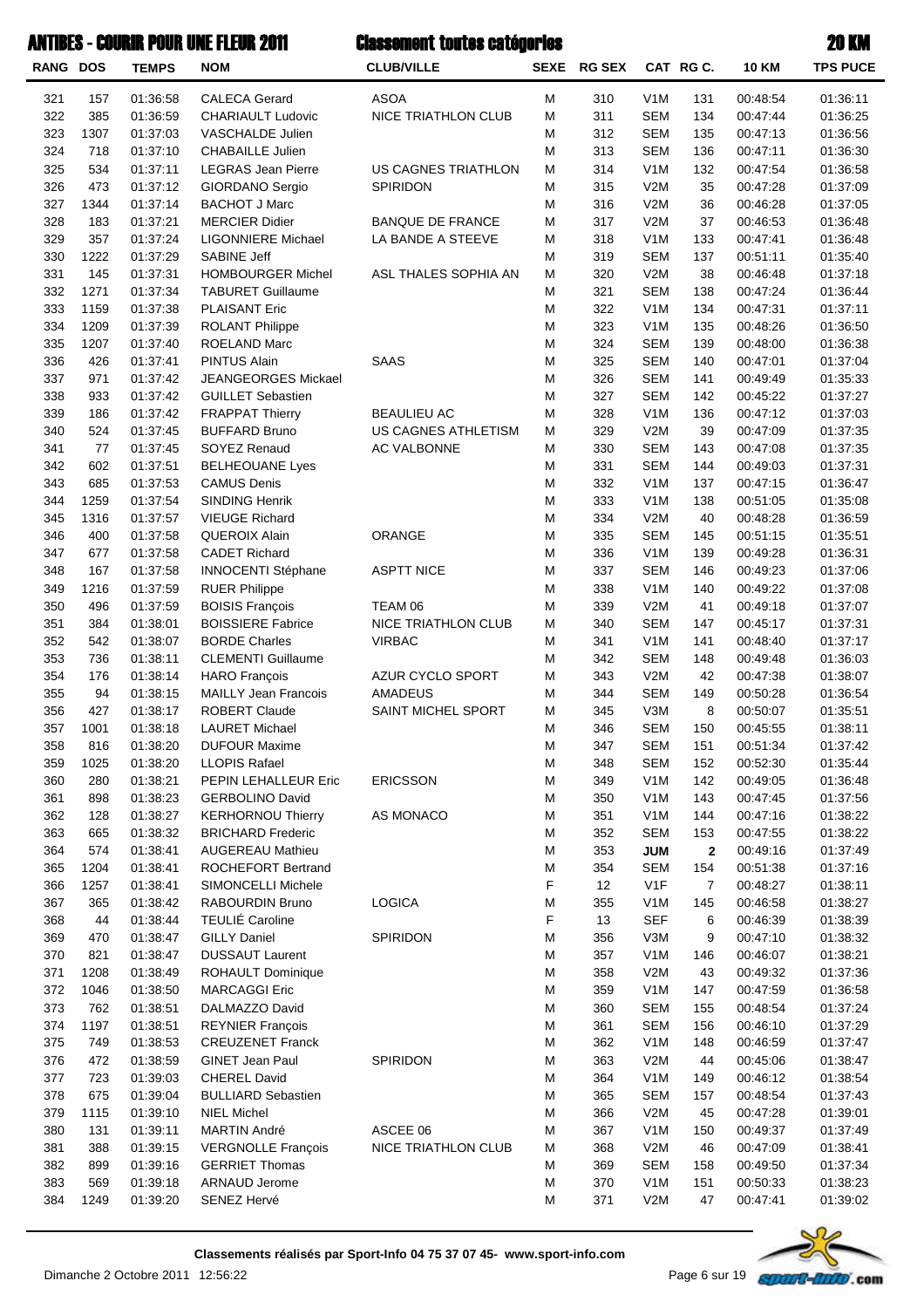| <b>RANG DOS</b> |             | <b>TEMPS</b>         | <b>NOM</b>                                     | <b>CLUB/VILLE</b>              |        | SEXE RG SEX |                                | CAT RG C.      | <b>10 KM</b>         | <b>TPS PUCE</b>      |
|-----------------|-------------|----------------------|------------------------------------------------|--------------------------------|--------|-------------|--------------------------------|----------------|----------------------|----------------------|
| 321             | 157         | 01:36:58             | <b>CALECA Gerard</b>                           | <b>ASOA</b>                    | M      | 310         | V <sub>1</sub> M               | 131            | 00:48:54             | 01:36:11             |
| 322             | 385         | 01:36:59             | <b>CHARIAULT Ludovic</b>                       | NICE TRIATHLON CLUB            | M      | 311         | <b>SEM</b>                     | 134            | 00:47:44             | 01:36:25             |
| 323             | 1307        | 01:37:03             | VASCHALDE Julien                               |                                | M      | 312         | <b>SEM</b>                     | 135            | 00:47:13             | 01:36:56             |
| 324             | 718         | 01:37:10             | <b>CHABAILLE Julien</b>                        |                                | M      | 313         | <b>SEM</b>                     | 136            | 00:47:11             | 01:36:30             |
| 325             | 534         | 01:37:11             | <b>LEGRAS Jean Pierre</b>                      | US CAGNES TRIATHLON            | M      | 314         | V <sub>1</sub> M               | 132            | 00:47:54             | 01:36:58             |
| 326             | 473         | 01:37:12             | GIORDANO Sergio                                | <b>SPIRIDON</b>                | M      | 315         | V2M                            | 35             | 00:47:28             | 01:37:09             |
| 327             | 1344        | 01:37:14             | <b>BACHOT J Marc</b>                           |                                | M      | 316         | V2M                            | 36             | 00:46:28             | 01:37:05             |
| 328             | 183         | 01:37:21             | <b>MERCIER Didier</b>                          | <b>BANQUE DE FRANCE</b>        | M      | 317         | V2M                            | 37             | 00:46:53             | 01:36:48             |
| 329             | 357         | 01:37:24             | <b>LIGONNIERE Michael</b>                      | LA BANDE A STEEVE              | M      | 318         | V <sub>1</sub> M               | 133            | 00:47:41             | 01:36:48             |
| 330<br>331      | 1222<br>145 | 01:37:29<br>01:37:31 | <b>SABINE Jeff</b><br><b>HOMBOURGER Michel</b> | ASL THALES SOPHIA AN           | M<br>M | 319<br>320  | <b>SEM</b><br>V2M              | 137<br>38      | 00:51:11<br>00:46:48 | 01:35:40<br>01:37:18 |
| 332             | 1271        | 01:37:34             | <b>TABURET Guillaume</b>                       |                                | M      | 321         | <b>SEM</b>                     | 138            | 00:47:24             | 01:36:44             |
| 333             | 1159        | 01:37:38             | <b>PLAISANT Eric</b>                           |                                | M      | 322         | V <sub>1</sub> M               | 134            | 00:47:31             | 01:37:11             |
| 334             | 1209        | 01:37:39             | <b>ROLANT Philippe</b>                         |                                | M      | 323         | V <sub>1</sub> M               | 135            | 00:48:26             | 01:36:50             |
| 335             | 1207        | 01:37:40             | <b>ROELAND Marc</b>                            |                                | M      | 324         | <b>SEM</b>                     | 139            | 00:48:00             | 01:36:38             |
| 336             | 426         | 01:37:41             | <b>PINTUS Alain</b>                            | SAAS                           | M      | 325         | <b>SEM</b>                     | 140            | 00:47:01             | 01:37:04             |
| 337             | 971         | 01:37:42             | <b>JEANGEORGES Mickael</b>                     |                                | M      | 326         | <b>SEM</b>                     | 141            | 00:49:49             | 01:35:33             |
| 338             | 933         | 01:37:42             | <b>GUILLET Sebastien</b>                       |                                | M      | 327         | <b>SEM</b>                     | 142            | 00:45:22             | 01:37:27             |
| 339             | 186         | 01:37:42             | <b>FRAPPAT Thierry</b>                         | <b>BEAULIEU AC</b>             | M      | 328         | V <sub>1</sub> M               | 136            | 00:47:12             | 01:37:03             |
| 340             | 524         | 01:37:45             | <b>BUFFARD Bruno</b>                           | US CAGNES ATHLETISM            | M      | 329         | V2M                            | 39             | 00:47:09             | 01:37:35             |
| 341             | 77          | 01:37:45             | SOYEZ Renaud                                   | AC VALBONNE                    | M      | 330         | <b>SEM</b>                     | 143            | 00:47:08             | 01:37:35             |
| 342             | 602         | 01:37:51             | <b>BELHEOUANE Lyes</b>                         |                                | M      | 331         | <b>SEM</b>                     | 144            | 00:49:03             | 01:37:31             |
| 343             | 685         | 01:37:53             | <b>CAMUS Denis</b>                             |                                | M      | 332         | V <sub>1</sub> M               | 137            | 00:47:15             | 01:36:47             |
| 344             | 1259        | 01:37:54             | <b>SINDING Henrik</b>                          |                                | M      | 333         | V <sub>1</sub> M               | 138            | 00:51:05             | 01:35:08             |
| 345             | 1316        | 01:37:57             | <b>VIEUGE Richard</b>                          |                                | M      | 334         | V2M                            | 40             | 00:48:28             | 01:36:59             |
| 346             | 400         | 01:37:58             | QUEROIX Alain                                  | ORANGE                         | M      | 335         | <b>SEM</b>                     | 145            | 00:51:15             | 01:35:51             |
| 347             | 677         | 01:37:58             | <b>CADET Richard</b>                           |                                | M      | 336         | V <sub>1</sub> M               | 139            | 00:49:28             | 01:36:31             |
| 348             | 167         | 01:37:58             | <b>INNOCENTI Stéphane</b>                      | <b>ASPTT NICE</b>              | M      | 337         | <b>SEM</b>                     | 146            | 00:49:23             | 01:37:06             |
| 349             | 1216<br>496 | 01:37:59             | <b>RUER Philippe</b><br><b>BOISIS François</b> |                                | M<br>M | 338         | V <sub>1</sub> M<br>V2M        | 140            | 00:49:22             | 01:37:08             |
| 350<br>351      | 384         | 01:37:59<br>01:38:01 | <b>BOISSIERE Fabrice</b>                       | TEAM 06<br>NICE TRIATHLON CLUB | M      | 339<br>340  | <b>SEM</b>                     | 41<br>147      | 00:49:18<br>00:45:17 | 01:37:07<br>01:37:31 |
| 352             | 542         | 01:38:07             | <b>BORDE Charles</b>                           | <b>VIRBAC</b>                  | M      | 341         | V <sub>1</sub> M               | 141            | 00:48:40             | 01:37:17             |
| 353             | 736         | 01:38:11             | <b>CLEMENTI Guillaume</b>                      |                                | M      | 342         | <b>SEM</b>                     | 148            | 00:49:48             | 01:36:03             |
| 354             | 176         | 01:38:14             | <b>HARO</b> François                           | AZUR CYCLO SPORT               | M      | 343         | V2M                            | 42             | 00:47:38             | 01:38:07             |
| 355             | 94          | 01:38:15             | <b>MAILLY Jean Francois</b>                    | <b>AMADEUS</b>                 | M      | 344         | <b>SEM</b>                     | 149            | 00:50:28             | 01:36:54             |
| 356             | 427         | 01:38:17             | ROBERT Claude                                  | SAINT MICHEL SPORT             | M      | 345         | V3M                            | 8              | 00:50:07             | 01:35:51             |
| 357             | 1001        | 01:38:18             | <b>LAURET Michael</b>                          |                                | M      | 346         | <b>SEM</b>                     | 150            | 00:45:55             | 01:38:11             |
| 358             | 816         | 01:38:20             | <b>DUFOUR Maxime</b>                           |                                | M      | 347         | <b>SEM</b>                     | 151            | 00:51:34             | 01:37:42             |
| 359             | 1025        | 01:38:20             | <b>LLOPIS Rafael</b>                           |                                | M      | 348         | <b>SEM</b>                     | 152            | 00:52:30             | 01:35:44             |
| 360             | 280         | 01:38:21             | PEPIN LEHALLEUR Eric                           | <b>ERICSSON</b>                | M      | 349         | V <sub>1</sub> M               | 142            | 00:49:05             | 01:36:48             |
| 361             | 898         | 01:38:23             | <b>GERBOLINO David</b>                         |                                | M      | 350         | V <sub>1</sub> M               | 143            | 00:47:45             | 01:37:56             |
| 362             | 128         | 01:38:27             | <b>KERHORNOU Thierry</b>                       | AS MONACO                      | M      | 351         | V <sub>1</sub> M               | 144            | 00:47:16             | 01:38:22             |
| 363             | 665         | 01:38:32             | <b>BRICHARD Frederic</b>                       |                                | M      | 352         | <b>SEM</b>                     | 153            | 00:47:55             | 01:38:22             |
| 364             | 574         | 01:38:41             | <b>AUGEREAU Mathieu</b>                        |                                | M      | 353         | <b>JUM</b>                     | $\mathbf{2}$   | 00:49:16             | 01:37:49             |
| 365             | 1204        | 01:38:41             | ROCHEFORT Bertrand                             |                                | M      | 354         | <b>SEM</b>                     | 154            | 00:51:38             | 01:37:16             |
| 366             | 1257        | 01:38:41             | SIMONCELLI Michele                             |                                | F      | 12          | V <sub>1</sub> F               | $\overline{7}$ | 00:48:27             | 01:38:11             |
| 367<br>368      | 365<br>44   | 01:38:42<br>01:38:44 | RABOURDIN Bruno<br><b>TEULIÉ Caroline</b>      | <b>LOGICA</b>                  | M<br>F | 355<br>13   | V <sub>1</sub> M<br><b>SEF</b> | 145<br>6       | 00:46:58<br>00:46:39 | 01:38:27<br>01:38:39 |
| 369             | 470         | 01:38:47             | <b>GILLY Daniel</b>                            | SPIRIDON                       | M      | 356         | V3M                            | 9              | 00:47:10             | 01:38:32             |
| 370             | 821         | 01:38:47             | <b>DUSSAUT Laurent</b>                         |                                | M      | 357         | V <sub>1</sub> M               | 146            | 00:46:07             | 01:38:21             |
| 371             | 1208        | 01:38:49             | <b>ROHAULT Dominique</b>                       |                                | M      | 358         | V2M                            | 43             | 00:49:32             | 01:37:36             |
| 372             | 1046        | 01:38:50             | <b>MARCAGGI Eric</b>                           |                                | M      | 359         | V <sub>1</sub> M               | 147            | 00:47:59             | 01:36:58             |
| 373             | 762         | 01:38:51             | DALMAZZO David                                 |                                | M      | 360         | <b>SEM</b>                     | 155            | 00:48:54             | 01:37:24             |
| 374             | 1197        | 01:38:51             | <b>REYNIER François</b>                        |                                | M      | 361         | <b>SEM</b>                     | 156            | 00:46:10             | 01:37:29             |
| 375             | 749         | 01:38:53             | <b>CREUZENET Franck</b>                        |                                | M      | 362         | V <sub>1</sub> M               | 148            | 00:46:59             | 01:37:47             |
| 376             | 472         | 01:38:59             | GINET Jean Paul                                | SPIRIDON                       | M      | 363         | V2M                            | 44             | 00:45:06             | 01:38:47             |
| 377             | 723         | 01:39:03             | <b>CHEREL David</b>                            |                                | M      | 364         | V <sub>1</sub> M               | 149            | 00:46:12             | 01:38:54             |
| 378             | 675         | 01:39:04             | <b>BULLIARD Sebastien</b>                      |                                | M      | 365         | <b>SEM</b>                     | 157            | 00:48:54             | 01:37:43             |
| 379             | 1115        | 01:39:10             | <b>NIEL Michel</b>                             |                                | M      | 366         | V2M                            | 45             | 00:47:28             | 01:39:01             |
| 380             | 131         | 01:39:11             | MARTIN André                                   | ASCEE 06                       | M      | 367         | V <sub>1</sub> M               | 150            | 00:49:37             | 01:37:49             |
| 381             | 388         | 01:39:15             | <b>VERGNOLLE François</b>                      | NICE TRIATHLON CLUB            | M      | 368         | V2M                            | 46             | 00:47:09             | 01:38:41             |
| 382             | 899         | 01:39:16             | <b>GERRIET Thomas</b>                          |                                | M      | 369         | <b>SEM</b>                     | 158            | 00:49:50             | 01:37:34             |
| 383             | 569         | 01:39:18             | <b>ARNAUD Jerome</b>                           |                                | M      | 370         | V <sub>1</sub> M               | 151            | 00:50:33             | 01:38:23             |
| 384             | 1249        | 01:39:20             | SENEZ Hervé                                    |                                | M      | 371         | V2M                            | 47             | 00:47:41             | 01:39:02             |

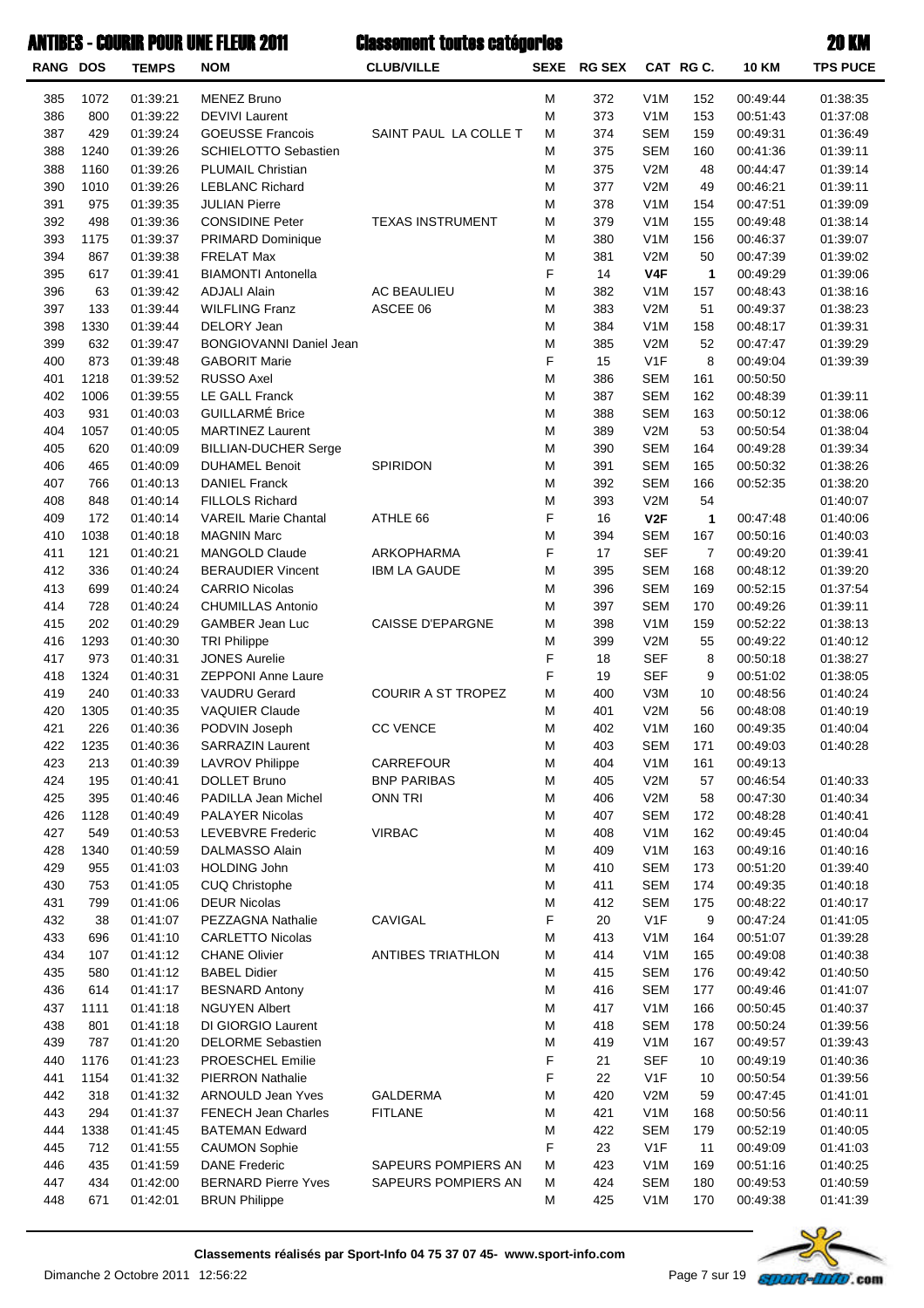| <b>RANG DOS</b> |      | <b>TEMPS</b> | <b>NOM</b>                  | <b>CLUB/VILLE</b>         |   | SEXE RG SEX |                  | CAT RG C.      | <b>10 KM</b> | <b>TPS PUCE</b> |
|-----------------|------|--------------|-----------------------------|---------------------------|---|-------------|------------------|----------------|--------------|-----------------|
| 385             | 1072 | 01:39:21     | <b>MENEZ Bruno</b>          |                           | M | 372         | V <sub>1</sub> M | 152            | 00:49:44     | 01:38:35        |
| 386             | 800  | 01:39:22     | <b>DEVIVI Laurent</b>       |                           | M | 373         | V <sub>1</sub> M | 153            | 00:51:43     | 01:37:08        |
| 387             | 429  | 01:39:24     | <b>GOEUSSE Francois</b>     | SAINT PAUL LA COLLE T     | M | 374         | <b>SEM</b>       | 159            | 00:49:31     | 01:36:49        |
| 388             | 1240 | 01:39:26     | <b>SCHIELOTTO Sebastien</b> |                           | M | 375         | <b>SEM</b>       | 160            | 00:41:36     | 01:39:11        |
| 388             | 1160 | 01:39:26     | <b>PLUMAIL Christian</b>    |                           | M | 375         | V2M              | 48             | 00:44:47     | 01:39:14        |
| 390             | 1010 | 01:39:26     | <b>LEBLANC Richard</b>      |                           | M | 377         | V2M              | 49             | 00:46:21     | 01:39:11        |
| 391             | 975  | 01:39:35     | <b>JULIAN Pierre</b>        |                           | M | 378         | V <sub>1</sub> M | 154            | 00:47:51     | 01:39:09        |
| 392             | 498  | 01:39:36     | <b>CONSIDINE Peter</b>      | <b>TEXAS INSTRUMENT</b>   | M | 379         | V <sub>1</sub> M | 155            | 00:49:48     | 01:38:14        |
| 393             | 1175 | 01:39:37     | PRIMARD Dominique           |                           | M | 380         | V <sub>1</sub> M | 156            | 00:46:37     | 01:39:07        |
| 394             | 867  | 01:39:38     | <b>FRELAT Max</b>           |                           | M | 381         | V2M              | 50             | 00:47:39     | 01:39:02        |
| 395             | 617  | 01:39:41     | <b>BIAMONTI Antonella</b>   |                           | F | 14          | V4F              | $\mathbf{1}$   | 00:49:29     | 01:39:06        |
| 396             | 63   | 01:39:42     | <b>ADJALI Alain</b>         | <b>AC BEAULIEU</b>        | M | 382         | V <sub>1</sub> M | 157            | 00:48:43     | 01:38:16        |
| 397             | 133  | 01:39:44     | <b>WILFLING Franz</b>       | ASCEE 06                  | M | 383         | V2M              | 51             | 00:49:37     | 01:38:23        |
| 398             | 1330 | 01:39:44     | DELORY Jean                 |                           | M | 384         | V <sub>1</sub> M | 158            | 00:48:17     | 01:39:31        |
| 399             | 632  | 01:39:47     | BONGIOVANNI Daniel Jean     |                           | M | 385         | V2M              | 52             | 00:47:47     | 01:39:29        |
| 400             | 873  | 01:39:48     | <b>GABORIT Marie</b>        |                           | F | 15          | V <sub>1F</sub>  | 8              | 00:49:04     | 01:39:39        |
| 401             | 1218 | 01:39:52     | <b>RUSSO Axel</b>           |                           | M | 386         | <b>SEM</b>       | 161            | 00:50:50     |                 |
| 402             | 1006 | 01:39:55     | <b>LE GALL Franck</b>       |                           | M | 387         | <b>SEM</b>       | 162            | 00:48:39     | 01:39:11        |
| 403             | 931  | 01:40:03     | <b>GUILLARMÉ Brice</b>      |                           | M | 388         | <b>SEM</b>       | 163            | 00:50:12     | 01:38:06        |
| 404             | 1057 | 01:40:05     | <b>MARTINEZ Laurent</b>     |                           | M | 389         | V2M              | 53             | 00:50:54     | 01:38:04        |
| 405             | 620  | 01:40:09     | <b>BILLIAN-DUCHER Serge</b> |                           | M | 390         | <b>SEM</b>       | 164            | 00:49:28     | 01:39:34        |
| 406             | 465  | 01:40:09     | <b>DUHAMEL Benoit</b>       | SPIRIDON                  | M | 391         | <b>SEM</b>       | 165            | 00:50:32     | 01:38:26        |
| 407             | 766  | 01:40:13     | <b>DANIEL Franck</b>        |                           | M | 392         | <b>SEM</b>       | 166            | 00:52:35     | 01:38:20        |
| 408             | 848  | 01:40:14     | FILLOLS Richard             |                           | M | 393         | V2M              | 54             |              | 01:40:07        |
| 409             | 172  | 01:40:14     | <b>VAREIL Marie Chantal</b> | ATHLE 66                  | F | 16          | V2F              | $\mathbf{1}$   | 00:47:48     | 01:40:06        |
| 410             | 1038 | 01:40:18     | <b>MAGNIN Marc</b>          |                           | M | 394         | <b>SEM</b>       | 167            | 00:50:16     | 01:40:03        |
| 411             | 121  | 01:40:21     | <b>MANGOLD Claude</b>       | ARKOPHARMA                | F | 17          | <b>SEF</b>       | $\overline{7}$ | 00:49:20     | 01:39:41        |
| 412             | 336  | 01:40:24     | <b>BERAUDIER Vincent</b>    | <b>IBM LA GAUDE</b>       | M | 395         | <b>SEM</b>       | 168            | 00:48:12     | 01:39:20        |
| 413             | 699  | 01:40:24     | <b>CARRIO Nicolas</b>       |                           | M | 396         | <b>SEM</b>       | 169            | 00:52:15     | 01:37:54        |
| 414             | 728  | 01:40:24     | <b>CHUMILLAS Antonio</b>    |                           | M | 397         | <b>SEM</b>       | 170            | 00:49:26     | 01:39:11        |
| 415             | 202  | 01:40:29     | GAMBER Jean Luc             | <b>CAISSE D'EPARGNE</b>   | M | 398         | V <sub>1</sub> M | 159            | 00:52:22     | 01:38:13        |
| 416             | 1293 | 01:40:30     | <b>TRI Philippe</b>         |                           | M | 399         | V2M              | 55             | 00:49:22     | 01:40:12        |
| 417             | 973  | 01:40:31     | <b>JONES Aurelie</b>        |                           | F | 18          | <b>SEF</b>       | 8              | 00:50:18     | 01:38:27        |
| 418             | 1324 | 01:40:31     | <b>ZEPPONI Anne Laure</b>   |                           | F | 19          | <b>SEF</b>       | 9              | 00:51:02     | 01:38:05        |
| 419             | 240  | 01:40:33     | <b>VAUDRU Gerard</b>        | <b>COURIR A ST TROPEZ</b> | M | 400         | V3M              | 10             | 00:48:56     | 01:40:24        |
| 420             | 1305 | 01:40:35     | <b>VAQUIER Claude</b>       |                           | M | 401         | V2M              | 56             | 00:48:08     | 01:40:19        |
| 421             | 226  | 01:40:36     | PODVIN Joseph               | <b>CC VENCE</b>           | M | 402         | V <sub>1</sub> M | 160            | 00:49:35     | 01:40:04        |
| 422             | 1235 | 01:40:36     | <b>SARRAZIN Laurent</b>     |                           | M | 403         | <b>SEM</b>       | 171            | 00:49:03     | 01:40:28        |
| 423             | 213  | 01:40:39     | <b>LAVROV Philippe</b>      | CARREFOUR                 | M | 404         | V <sub>1</sub> M | 161            | 00:49:13     |                 |
| 424             | 195  | 01:40:41     | <b>DOLLET Bruno</b>         | <b>BNP PARIBAS</b>        | M | 405         | V2M              | 57             | 00:46:54     | 01:40:33        |
| 425             | 395  | 01:40:46     | PADILLA Jean Michel         | <b>ONN TRI</b>            | M | 406         | V2M              | 58             | 00:47:30     | 01:40:34        |
| 426             | 1128 | 01:40:49     | <b>PALAYER Nicolas</b>      |                           | M | 407         | <b>SEM</b>       | 172            | 00:48:28     | 01:40:41        |
| 427             | 549  | 01:40:53     | <b>LEVEBVRE Frederic</b>    | <b>VIRBAC</b>             | M | 408         | V <sub>1</sub> M | 162            | 00:49:45     | 01:40:04        |
| 428             | 1340 | 01:40:59     | DALMASSO Alain              |                           | M | 409         | V <sub>1</sub> M | 163            | 00:49:16     | 01:40:16        |
| 429             | 955  | 01:41:03     | <b>HOLDING John</b>         |                           | M | 410         | <b>SEM</b>       | 173            | 00:51:20     | 01:39:40        |
| 430             | 753  | 01:41:05     | CUQ Christophe              |                           | M | 411         | <b>SEM</b>       | 174            | 00:49:35     | 01:40:18        |
| 431             | 799  | 01:41:06     | <b>DEUR Nicolas</b>         |                           | M | 412         | <b>SEM</b>       | 175            | 00:48:22     | 01:40:17        |
| 432             | 38   | 01:41:07     | PEZZAGNA Nathalie           | CAVIGAL                   | F | 20          | V <sub>1</sub> F | 9              | 00:47:24     | 01:41:05        |
| 433             | 696  | 01:41:10     | <b>CARLETTO Nicolas</b>     |                           | M | 413         | V <sub>1</sub> M | 164            | 00:51:07     | 01:39:28        |
| 434             | 107  | 01:41:12     | <b>CHANE Olivier</b>        | <b>ANTIBES TRIATHLON</b>  | M | 414         | V <sub>1</sub> M | 165            | 00:49:08     | 01:40:38        |
| 435             | 580  | 01:41:12     | <b>BABEL Didier</b>         |                           | M | 415         | <b>SEM</b>       | 176            | 00:49:42     | 01:40:50        |
| 436             | 614  | 01:41:17     | <b>BESNARD Antony</b>       |                           | M | 416         | <b>SEM</b>       | 177            | 00:49:46     | 01:41:07        |
| 437             | 1111 | 01:41:18     | <b>NGUYEN Albert</b>        |                           | M | 417         | V <sub>1</sub> M | 166            | 00:50:45     | 01:40:37        |
| 438             | 801  | 01:41:18     | DI GIORGIO Laurent          |                           | M | 418         | <b>SEM</b>       | 178            | 00:50:24     | 01:39:56        |
| 439             | 787  | 01:41:20     | <b>DELORME Sebastien</b>    |                           | M | 419         | V <sub>1</sub> M | 167            | 00:49:57     | 01:39:43        |
| 440             | 1176 | 01:41:23     | PROESCHEL Emilie            |                           | F | 21          | <b>SEF</b>       | 10             | 00:49:19     | 01:40:36        |
| 441             | 1154 | 01:41:32     | <b>PIERRON Nathalie</b>     |                           | F | 22          | V <sub>1</sub> F | 10             | 00:50:54     | 01:39:56        |
| 442             | 318  | 01:41:32     | <b>ARNOULD Jean Yves</b>    | <b>GALDERMA</b>           | M | 420         | V2M              | 59             | 00:47:45     | 01:41:01        |
| 443             | 294  | 01:41:37     | <b>FENECH Jean Charles</b>  | <b>FITLANE</b>            | M | 421         | V <sub>1</sub> M | 168            | 00:50:56     | 01:40:11        |
| 444             | 1338 | 01:41:45     | <b>BATEMAN Edward</b>       |                           | M | 422         | <b>SEM</b>       | 179            | 00:52:19     | 01:40:05        |
| 445             | 712  | 01:41:55     | <b>CAUMON Sophie</b>        |                           | F | 23          | V <sub>1</sub> F | 11             | 00:49:09     | 01:41:03        |
| 446             | 435  | 01:41:59     | <b>DANE Frederic</b>        | SAPEURS POMPIERS AN       | M | 423         | V <sub>1</sub> M | 169            | 00:51:16     | 01:40:25        |
| 447             | 434  | 01:42:00     | <b>BERNARD Pierre Yves</b>  | SAPEURS POMPIERS AN       | M | 424         | <b>SEM</b>       | 180            | 00:49:53     | 01:40:59        |
| 448             | 671  | 01:42:01     | <b>BRUN Philippe</b>        |                           | M | 425         | V <sub>1</sub> M | 170            | 00:49:38     | 01:41:39        |

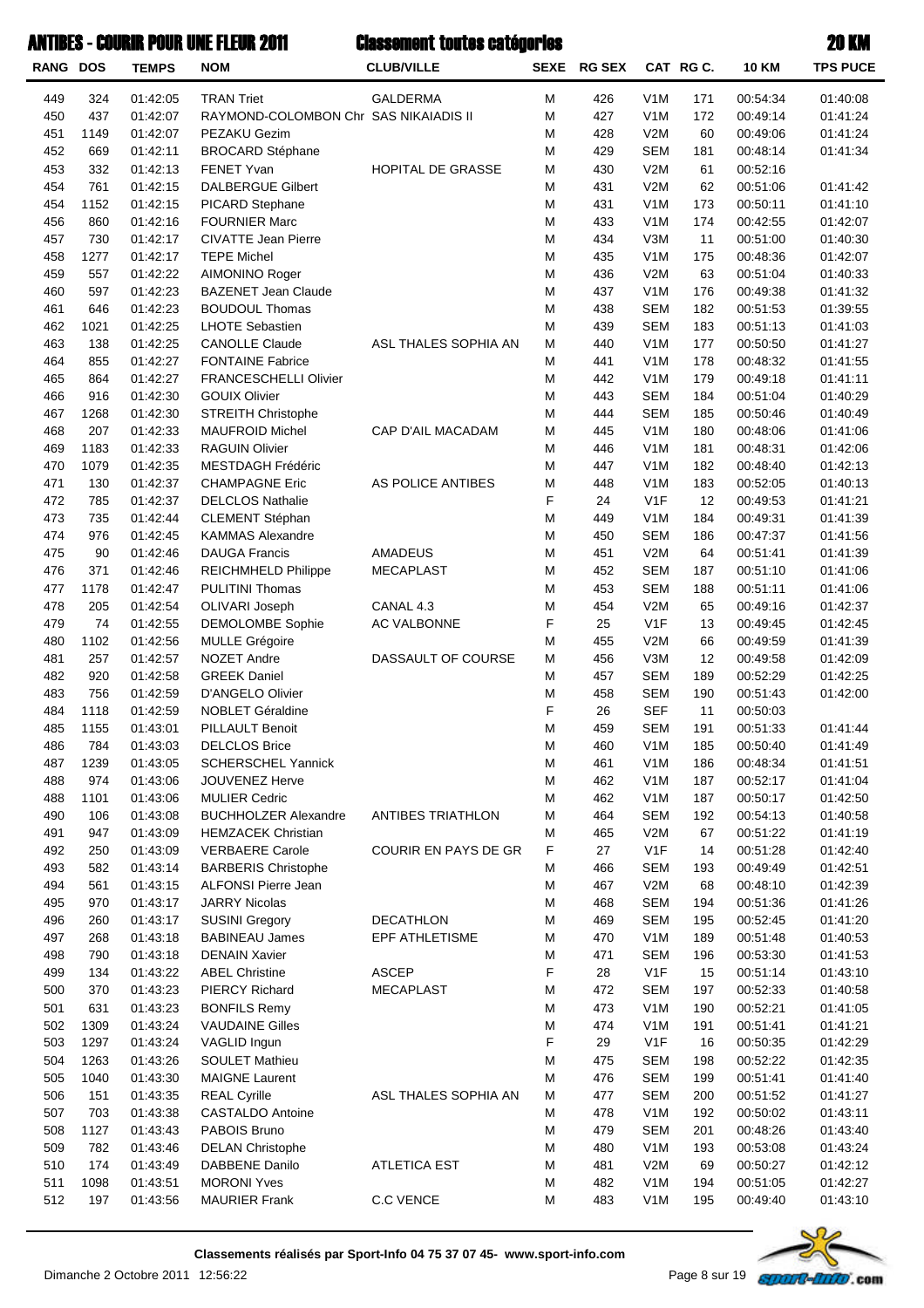| <b>RANG DOS</b> |            | <b>TEMPS</b>         | <b>NOM</b>                                              | <b>CLUB/VILLE</b>        |        | SEXE RG SEX |                                      | CAT RG C.  | <b>10 KM</b>         | <b>TPS PUCE</b>      |
|-----------------|------------|----------------------|---------------------------------------------------------|--------------------------|--------|-------------|--------------------------------------|------------|----------------------|----------------------|
| 449             | 324        | 01:42:05             | <b>TRAN Triet</b>                                       | <b>GALDERMA</b>          | M      | 426         | V <sub>1</sub> M                     | 171        | 00:54:34             | 01:40:08             |
| 450             | 437        | 01:42:07             | RAYMOND-COLOMBON Chr SAS NIKAIADIS II                   |                          | M      | 427         | V <sub>1</sub> M                     | 172        | 00:49:14             | 01:41:24             |
| 451             | 1149       | 01:42:07             | PEZAKU Gezim                                            |                          | M      | 428         | V2M                                  | 60         | 00:49:06             | 01:41:24             |
| 452             | 669        | 01:42:11             | <b>BROCARD Stéphane</b>                                 |                          | M      | 429         | <b>SEM</b>                           | 181        | 00:48:14             | 01:41:34             |
| 453             | 332        | 01:42:13             | FENET Yvan                                              | HOPITAL DE GRASSE        | M      | 430         | V2M                                  | 61         | 00:52:16             |                      |
| 454             | 761        | 01:42:15             | <b>DALBERGUE Gilbert</b>                                |                          | M      | 431         | V2M                                  | 62         | 00:51:06             | 01:41:42             |
| 454             | 1152       | 01:42:15             | <b>PICARD Stephane</b>                                  |                          | M      | 431         | V <sub>1</sub> M                     | 173        | 00:50:11             | 01:41:10             |
| 456             | 860        | 01:42:16             | <b>FOURNIER Marc</b>                                    |                          | M      | 433         | V <sub>1</sub> M                     | 174        | 00:42:55             | 01:42:07             |
| 457             | 730        | 01:42:17             | <b>CIVATTE Jean Pierre</b>                              |                          | M      | 434         | V3M                                  | 11         | 00:51:00             | 01:40:30             |
| 458             | 1277       | 01:42:17             | <b>TEPE Michel</b>                                      |                          | M      | 435         | V <sub>1</sub> M                     | 175        | 00:48:36             | 01:42:07             |
| 459             | 557        | 01:42:22             | AIMONINO Roger                                          |                          | M      | 436         | V2M                                  | 63         | 00:51:04             | 01:40:33             |
| 460             | 597        | 01:42:23             | <b>BAZENET Jean Claude</b>                              |                          | M      | 437         | V <sub>1</sub> M                     | 176        | 00:49:38             | 01:41:32             |
| 461             | 646        | 01:42:23             | <b>BOUDOUL Thomas</b>                                   |                          | M      | 438         | <b>SEM</b>                           | 182        | 00:51:53             | 01:39:55             |
| 462             | 1021       | 01:42:25             | <b>LHOTE Sebastien</b>                                  |                          | M      | 439         | <b>SEM</b>                           | 183        | 00:51:13             | 01:41:03             |
| 463             | 138        | 01:42:25             | <b>CANOLLE Claude</b>                                   | ASL THALES SOPHIA AN     | M<br>M | 440         | V <sub>1</sub> M<br>V <sub>1</sub> M | 177        | 00:50:50             | 01:41:27             |
| 464<br>465      | 855<br>864 | 01:42:27<br>01:42:27 | <b>FONTAINE Fabrice</b><br><b>FRANCESCHELLI Olivier</b> |                          | M      | 441<br>442  | V <sub>1</sub> M                     | 178<br>179 | 00:48:32<br>00:49:18 | 01:41:55<br>01:41:11 |
| 466             | 916        | 01:42:30             | <b>GOUIX Olivier</b>                                    |                          | M      | 443         | <b>SEM</b>                           | 184        | 00:51:04             | 01:40:29             |
| 467             | 1268       | 01:42:30             | <b>STREITH Christophe</b>                               |                          | M      | 444         | <b>SEM</b>                           | 185        | 00:50:46             | 01:40:49             |
| 468             | 207        | 01:42:33             | <b>MAUFROID Michel</b>                                  | CAP D'AIL MACADAM        | M      | 445         | V <sub>1</sub> M                     | 180        | 00:48:06             | 01:41:06             |
| 469             | 1183       | 01:42:33             | <b>RAGUIN Olivier</b>                                   |                          | M      | 446         | V <sub>1</sub> M                     | 181        | 00:48:31             | 01:42:06             |
| 470             | 1079       | 01:42:35             | <b>MESTDAGH Frédéric</b>                                |                          | M      | 447         | V <sub>1</sub> M                     | 182        | 00:48:40             | 01:42:13             |
| 471             | 130        | 01:42:37             | <b>CHAMPAGNE Eric</b>                                   | AS POLICE ANTIBES        | M      | 448         | V <sub>1</sub> M                     | 183        | 00:52:05             | 01:40:13             |
| 472             | 785        | 01:42:37             | <b>DELCLOS Nathalie</b>                                 |                          | F      | 24          | V <sub>1F</sub>                      | 12         | 00:49:53             | 01:41:21             |
| 473             | 735        | 01:42:44             | CLEMENT Stéphan                                         |                          | M      | 449         | V <sub>1</sub> M                     | 184        | 00:49:31             | 01:41:39             |
| 474             | 976        | 01:42:45             | <b>KAMMAS Alexandre</b>                                 |                          | M      | 450         | <b>SEM</b>                           | 186        | 00:47:37             | 01:41:56             |
| 475             | 90         | 01:42:46             | <b>DAUGA Francis</b>                                    | AMADEUS                  | M      | 451         | V2M                                  | 64         | 00:51:41             | 01:41:39             |
| 476             | 371        | 01:42:46             | REICHMHELD Philippe                                     | <b>MECAPLAST</b>         | M      | 452         | <b>SEM</b>                           | 187        | 00:51:10             | 01:41:06             |
| 477             | 1178       | 01:42:47             | <b>PULITINI Thomas</b>                                  |                          | M      | 453         | <b>SEM</b>                           | 188        | 00:51:11             | 01:41:06             |
| 478             | 205        | 01:42:54             | OLIVARI Joseph                                          | CANAL 4.3                | M      | 454         | V2M                                  | 65         | 00:49:16             | 01:42:37             |
| 479             | 74         | 01:42:55             | <b>DEMOLOMBE Sophie</b>                                 | AC VALBONNE              | F      | 25          | V1F                                  | 13         | 00:49:45             | 01:42:45             |
| 480             | 1102       | 01:42:56             | <b>MULLE Grégoire</b>                                   |                          | M      | 455         | V2M                                  | 66         | 00:49:59             | 01:41:39             |
| 481             | 257        | 01:42:57             | NOZET Andre                                             | DASSAULT OF COURSE       | M      | 456         | V3M                                  | 12         | 00:49:58             | 01:42:09             |
| 482             | 920        | 01:42:58             | <b>GREEK Daniel</b>                                     |                          | M      | 457         | <b>SEM</b>                           | 189        | 00:52:29             | 01:42:25             |
| 483             | 756        | 01:42:59             | D'ANGELO Olivier                                        |                          | M      | 458         | <b>SEM</b>                           | 190        | 00:51:43             | 01:42:00             |
| 484             | 1118       | 01:42:59             | <b>NOBLET Géraldine</b>                                 |                          | F      | 26          | <b>SEF</b>                           | 11         | 00:50:03             |                      |
| 485             | 1155       | 01:43:01             | PILLAULT Benoit                                         |                          | M      | 459         | <b>SEM</b>                           | 191        | 00:51:33             | 01:41:44             |
| 486             | 784        | 01:43:03             | <b>DELCLOS Brice</b>                                    |                          | M      | 460         | V <sub>1</sub> M                     | 185        | 00:50:40             | 01:41:49             |
| 487             | 1239       | 01:43:05             | <b>SCHERSCHEL Yannick</b>                               |                          | M      | 461         | V <sub>1</sub> M                     | 186        | 00:48:34             | 01:41:51             |
| 488             | 974        | 01:43:06             | JOUVENEZ Herve                                          |                          | M      | 462         | V <sub>1</sub> M                     | 187        | 00:52:17             | 01:41:04             |
| 488             | 1101       | 01:43:06             | <b>MULIER Cedric</b>                                    |                          | M      | 462         | V <sub>1</sub> M                     | 187        | 00:50:17             | 01:42:50             |
| 490             | 106        | 01:43:08             | <b>BUCHHOLZER Alexandre</b>                             | <b>ANTIBES TRIATHLON</b> | M      | 464         | <b>SEM</b>                           | 192        | 00:54:13             | 01:40:58             |
| 491             | 947        | 01:43:09             | <b>HEMZACEK Christian</b>                               |                          | M      | 465         | V2M                                  | 67         | 00:51:22             | 01:41:19             |
| 492             | 250        | 01:43:09             | <b>VERBAERE Carole</b>                                  | COURIR EN PAYS DE GR     | F      | 27          | V <sub>1</sub> F                     | 14         | 00:51:28             | 01:42:40             |
| 493             | 582        | 01:43:14             | <b>BARBERIS Christophe</b>                              |                          | M      | 466         | <b>SEM</b>                           | 193        | 00:49:49             | 01:42:51             |
| 494             | 561        | 01:43:15             | ALFONSI Pierre Jean                                     |                          | M      | 467         | V2M                                  | 68         | 00:48:10             | 01:42:39             |
| 495             | 970        | 01:43:17             | <b>JARRY Nicolas</b>                                    |                          | M      | 468         | <b>SEM</b>                           | 194        | 00:51:36             | 01:41:26             |
| 496             | 260        | 01:43:17             | <b>SUSINI Gregory</b>                                   | <b>DECATHLON</b>         | M      | 469         | <b>SEM</b>                           | 195        | 00:52:45             | 01:41:20             |
| 497             | 268        | 01:43:18             | <b>BABINEAU James</b>                                   | EPF ATHLETISME           | M      | 470         | V <sub>1</sub> M                     | 189        | 00:51:48             | 01:40:53             |
| 498<br>499      | 790<br>134 | 01:43:18<br>01:43:22 | <b>DENAIN Xavier</b><br><b>ABEL Christine</b>           | <b>ASCEP</b>             | M<br>F | 471<br>28   | <b>SEM</b><br>V <sub>1</sub> F       | 196<br>15  | 00:53:30<br>00:51:14 | 01:41:53<br>01:43:10 |
| 500             | 370        | 01:43:23             | <b>PIERCY Richard</b>                                   | <b>MECAPLAST</b>         | M      | 472         | <b>SEM</b>                           | 197        | 00:52:33             | 01:40:58             |
| 501             | 631        | 01:43:23             | <b>BONFILS Remy</b>                                     |                          | M      | 473         | V <sub>1</sub> M                     | 190        | 00:52:21             | 01:41:05             |
| 502             | 1309       | 01:43:24             | <b>VAUDAINE Gilles</b>                                  |                          | M      | 474         | V <sub>1</sub> M                     | 191        | 00:51:41             | 01:41:21             |
| 503             | 1297       | 01:43:24             | VAGLID Ingun                                            |                          | F      | 29          | V <sub>1</sub> F                     | 16         | 00:50:35             | 01:42:29             |
| 504             | 1263       | 01:43:26             | <b>SOULET Mathieu</b>                                   |                          | M      | 475         | <b>SEM</b>                           | 198        | 00:52:22             | 01:42:35             |
| 505             | 1040       | 01:43:30             | <b>MAIGNE Laurent</b>                                   |                          | M      | 476         | <b>SEM</b>                           | 199        | 00:51:41             | 01:41:40             |
| 506             | 151        | 01:43:35             | <b>REAL Cyrille</b>                                     | ASL THALES SOPHIA AN     | M      | 477         | <b>SEM</b>                           | 200        | 00:51:52             | 01:41:27             |
| 507             | 703        | 01:43:38             | <b>CASTALDO Antoine</b>                                 |                          | M      | 478         | V <sub>1</sub> M                     | 192        | 00:50:02             | 01:43:11             |
| 508             | 1127       | 01:43:43             | PABOIS Bruno                                            |                          | M      | 479         | <b>SEM</b>                           | 201        | 00:48:26             | 01:43:40             |
| 509             | 782        | 01:43:46             | <b>DELAN Christophe</b>                                 |                          | M      | 480         | V <sub>1</sub> M                     | 193        | 00:53:08             | 01:43:24             |
| 510             | 174        | 01:43:49             | DABBENE Danilo                                          | <b>ATLETICA EST</b>      | M      | 481         | V2M                                  | 69         | 00:50:27             | 01:42:12             |
| 511             | 1098       | 01:43:51             | <b>MORONI Yves</b>                                      |                          | M      | 482         | V <sub>1</sub> M                     | 194        | 00:51:05             | 01:42:27             |
| 512             | 197        | 01:43:56             | <b>MAURIER Frank</b>                                    | C.C VENCE                | M      | 483         | V <sub>1</sub> M                     | 195        | 00:49:40             | 01:43:10             |

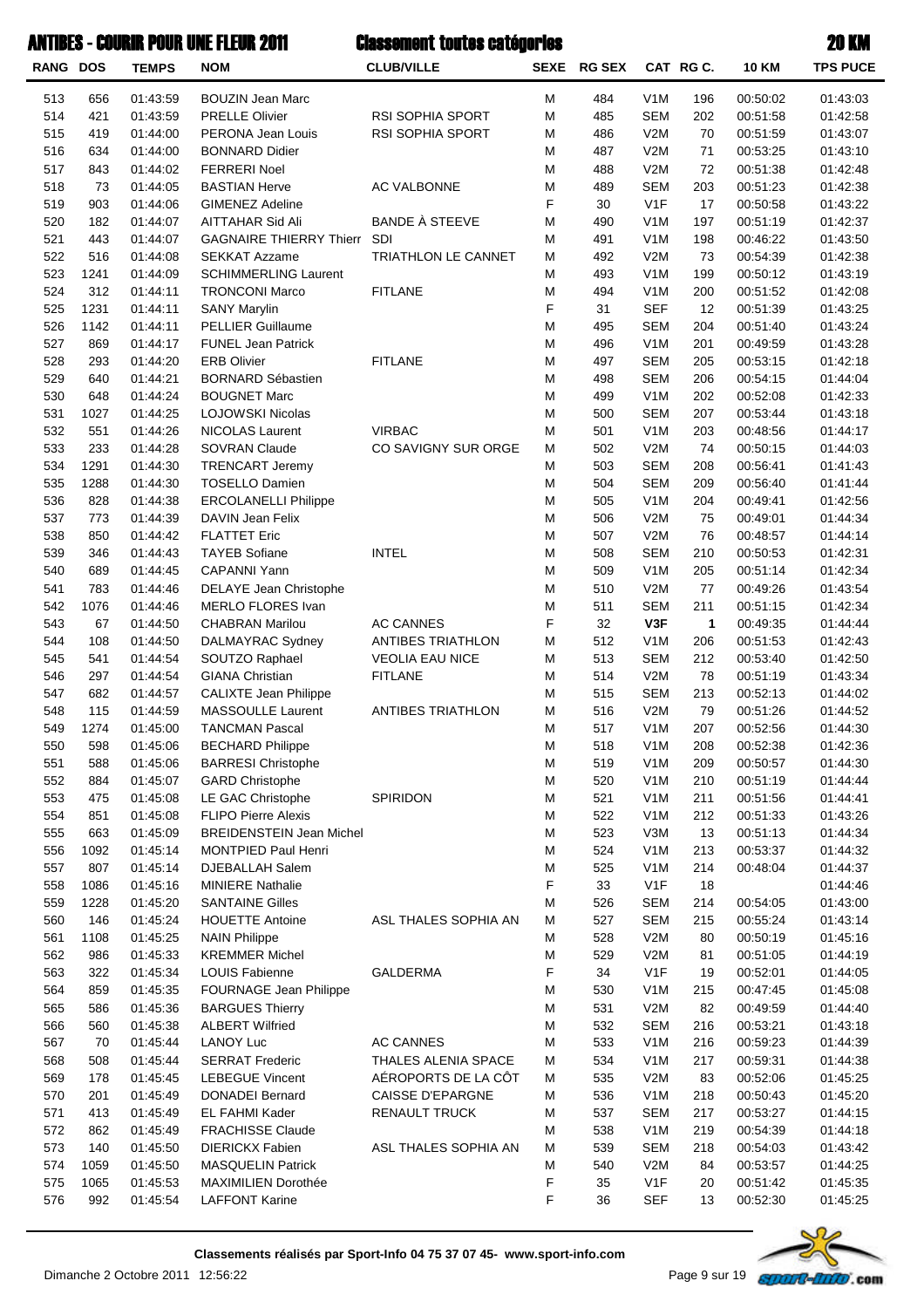| <b>RANG DOS</b> |             | <b>TEMPS</b>         | <b>NOM</b>                                             | <b>CLUB/VILLE</b>       | <b>SEXE</b> | <b>RG SEX</b> |                         | CAT RG C.    | <b>10 KM</b>         | <b>TPS PUCE</b>      |
|-----------------|-------------|----------------------|--------------------------------------------------------|-------------------------|-------------|---------------|-------------------------|--------------|----------------------|----------------------|
| 513             | 656         | 01:43:59             | <b>BOUZIN Jean Marc</b>                                |                         | M           | 484           | V <sub>1</sub> M        | 196          | 00:50:02             | 01:43:03             |
| 514             | 421         | 01:43:59             | <b>PRELLE Olivier</b>                                  | RSI SOPHIA SPORT        | M           | 485           | <b>SEM</b>              | 202          | 00:51:58             | 01:42:58             |
| 515             | 419         | 01:44:00             | PERONA Jean Louis                                      | RSI SOPHIA SPORT        | M           | 486           | V2M                     | 70           | 00:51:59             | 01:43:07             |
| 516             | 634         | 01:44:00             | <b>BONNARD Didier</b>                                  |                         | M           | 487           | V2M                     | 71           | 00:53:25             | 01:43:10             |
| 517             | 843         | 01:44:02             | <b>FERRERI Noel</b>                                    |                         | M           | 488           | V2M                     | 72           | 00:51:38             | 01:42:48             |
| 518             | 73          | 01:44:05             | <b>BASTIAN Herve</b>                                   | AC VALBONNE             | M           | 489           | <b>SEM</b>              | 203          | 00:51:23             | 01:42:38             |
| 519             | 903         | 01:44:06             | <b>GIMENEZ Adeline</b>                                 |                         | F           | 30            | V <sub>1</sub> F        | 17           | 00:50:58             | 01:43:22             |
| 520             | 182         | 01:44:07             | AITTAHAR Sid Ali                                       | BANDE À STEEVE          | M           | 490           | V <sub>1</sub> M        | 197          | 00:51:19             | 01:42:37             |
| 521             | 443         | 01:44:07             | <b>GAGNAIRE THIERRY Thierr</b>                         | SDI                     | M           | 491           | V <sub>1</sub> M        | 198          | 00:46:22             | 01:43:50             |
| 522             | 516         | 01:44:08             | <b>SEKKAT Azzame</b>                                   | TRIATHLON LE CANNET     | M           | 492           | V2M                     | 73           | 00:54:39             | 01:42:38             |
| 523             | 1241        | 01:44:09             | <b>SCHIMMERLING Laurent</b>                            |                         | M           | 493           | V <sub>1</sub> M        | 199          | 00:50:12             | 01:43:19             |
| 524             | 312         | 01:44:11             | <b>TRONCONI Marco</b>                                  | <b>FITLANE</b>          | M           | 494           | V <sub>1</sub> M        | 200          | 00:51:52             | 01:42:08             |
| 525             | 1231        | 01:44:11             | <b>SANY Marylin</b>                                    |                         | F           | 31            | <b>SEF</b>              | 12           | 00:51:39             | 01:43:25             |
| 526             | 1142        | 01:44:11             | <b>PELLIER Guillaume</b>                               |                         | M           | 495           | <b>SEM</b>              | 204          | 00:51:40             | 01:43:24             |
| 527             | 869         | 01:44:17             | <b>FUNEL Jean Patrick</b>                              |                         | M           | 496           | V <sub>1</sub> M        | 201          | 00:49:59             | 01:43:28             |
| 528             | 293         | 01:44:20             | <b>ERB Olivier</b>                                     | <b>FITLANE</b>          | M           | 497           | <b>SEM</b>              | 205          | 00:53:15             | 01:42:18             |
| 529             | 640         | 01:44:21             | <b>BORNARD Sébastien</b>                               |                         | M           | 498           | <b>SEM</b>              | 206          | 00:54:15             | 01:44:04             |
| 530             | 648         | 01:44:24             | <b>BOUGNET Marc</b>                                    |                         | M           | 499           | V <sub>1</sub> M        | 202          | 00:52:08             | 01:42:33             |
| 531             | 1027        | 01:44:25             | <b>LOJOWSKI Nicolas</b>                                |                         | M           | 500           | <b>SEM</b>              | 207          | 00:53:44             | 01:43:18             |
| 532             | 551         | 01:44:26             | NICOLAS Laurent                                        | <b>VIRBAC</b>           | M           | 501           | V <sub>1</sub> M        | 203          | 00:48:56             | 01:44:17             |
| 533             | 233         | 01:44:28             | SOVRAN Claude                                          | CO SAVIGNY SUR ORGE     | M           | 502           | V2M                     | 74           | 00:50:15             | 01:44:03             |
| 534             | 1291        | 01:44:30             | <b>TRENCART Jeremy</b>                                 |                         | M           | 503           | <b>SEM</b>              | 208          | 00:56:41             | 01:41:43             |
| 535             | 1288        | 01:44:30             | <b>TOSELLO Damien</b>                                  |                         | M           | 504           | <b>SEM</b>              | 209          | 00:56:40             | 01:41:44             |
| 536             | 828         | 01:44:38             | <b>ERCOLANELLI Philippe</b>                            |                         | M           | 505           | V <sub>1</sub> M        | 204          | 00:49:41             | 01:42:56             |
| 537             | 773         | 01:44:39             | DAVIN Jean Felix                                       |                         | M           | 506           | V2M                     | 75           | 00:49:01             | 01:44:34             |
| 538             | 850         | 01:44:42             | <b>FLATTET Eric</b>                                    |                         | M           | 507           | V2M                     | 76           | 00:48:57             | 01:44:14             |
| 539             | 346         | 01:44:43             | <b>TAYEB Sofiane</b>                                   | <b>INTEL</b>            | M           | 508           | <b>SEM</b>              | 210          | 00:50:53             | 01:42:31             |
| 540             | 689         | 01:44:45             | <b>CAPANNI Yann</b>                                    |                         | M           | 509           | V <sub>1</sub> M        | 205          | 00:51:14             | 01:42:34             |
| 541             | 783         | 01:44:46             | DELAYE Jean Christophe                                 |                         | M           | 510           | V2M                     | 77           | 00:49:26             | 01:43:54             |
| 542             | 1076        | 01:44:46             | MERLO FLORES Ivan                                      |                         | M           | 511           | <b>SEM</b>              | 211          | 00:51:15             | 01:42:34             |
| 543             | 67          | 01:44:50             | <b>CHABRAN Marilou</b>                                 | <b>AC CANNES</b>        | F           | 32            | V3F                     | $\mathbf{1}$ | 00:49:35             | 01:44:44             |
| 544             | 108         | 01:44:50             | DALMAYRAC Sydney                                       | ANTIBES TRIATHLON       | M           | 512           | V <sub>1</sub> M        | 206          | 00:51:53             | 01:42:43             |
| 545             | 541         | 01:44:54             | SOUTZO Raphael                                         | <b>VEOLIA EAU NICE</b>  | M           | 513           | <b>SEM</b>              | 212          | 00:53:40             | 01:42:50             |
| 546             | 297         | 01:44:54             | <b>GIANA Christian</b>                                 | <b>FITLANE</b>          | M           | 514           | V2M                     | 78           | 00:51:19             | 01:43:34             |
| 547             | 682         | 01:44:57             | <b>CALIXTE Jean Philippe</b>                           |                         | M           | 515           | <b>SEM</b>              | 213          | 00:52:13             | 01:44:02             |
| 548             | 115         | 01:44:59             | MASSOULLE Laurent                                      | ANTIBES TRIATHLON       | M           | 516           | V2M                     | 79           | 00:51:26             | 01:44:52             |
| 549             | 1274        | 01:45:00             | <b>TANCMAN Pascal</b>                                  |                         | M           | 517           | V <sub>1</sub> M        | 207          | 00:52:56             | 01:44:30             |
| 550             | 598         | 01:45:06             | <b>BECHARD Philippe</b>                                |                         | M           | 518           | V <sub>1</sub> M        | 208          | 00:52:38             | 01:42:36             |
| 551             | 588         | 01:45:06             | <b>BARRESI Christophe</b>                              |                         | M           | 519           | V <sub>1</sub> M        | 209          | 00:50:57             | 01:44:30             |
| 552             | 884         | 01:45:07             | <b>GARD Christophe</b>                                 |                         | M           | 520           | V <sub>1</sub> M        | 210          | 00:51:19             | 01:44:44             |
| 553             | 475         | 01:45:08             | LE GAC Christophe                                      | SPIRIDON                | M           | 521           | V <sub>1</sub> M        | 211          | 00:51:56             | 01:44:41             |
| 554             | 851         | 01:45:08             | <b>FLIPO Pierre Alexis</b>                             |                         | M           | 522           | V <sub>1</sub> M        | 212          | 00:51:33<br>00:51:13 | 01:43:26             |
| 555<br>556      | 663<br>1092 | 01:45:09             | <b>BREIDENSTEIN Jean Michel</b><br>MONTPIED Paul Henri |                         | M<br>M      | 523           | V3M<br>V <sub>1</sub> M | 13<br>213    | 00:53:37             | 01:44:34             |
| 557             | 807         | 01:45:14<br>01:45:14 | <b>DJEBALLAH Salem</b>                                 |                         | M           | 524<br>525    | V <sub>1</sub> M        | 214          | 00:48:04             | 01:44:32<br>01:44:37 |
| 558             | 1086        | 01:45:16             | <b>MINIERE Nathalie</b>                                |                         | F           | 33            | V <sub>1</sub> F        | 18           |                      | 01:44:46             |
| 559             | 1228        | 01:45:20             | <b>SANTAINE Gilles</b>                                 |                         | M           | 526           | <b>SEM</b>              | 214          | 00:54:05             | 01:43:00             |
| 560             | 146         | 01:45:24             | <b>HOUETTE Antoine</b>                                 | ASL THALES SOPHIA AN    | M           | 527           | SEM                     | 215          | 00:55:24             | 01:43:14             |
| 561             | 1108        | 01:45:25             | <b>NAIN Philippe</b>                                   |                         | M           | 528           | V2M                     | 80           | 00:50:19             | 01:45:16             |
| 562             | 986         | 01:45:33             | <b>KREMMER Michel</b>                                  |                         | M           | 529           | V2M                     | 81           | 00:51:05             | 01:44:19             |
| 563             | 322         | 01:45:34             | LOUIS Fabienne                                         | GALDERMA                | F           | 34            | V <sub>1</sub> F        | 19           | 00:52:01             | 01:44:05             |
| 564             | 859         | 01:45:35             | FOURNAGE Jean Philippe                                 |                         | M           | 530           | V <sub>1</sub> M        | 215          | 00:47:45             | 01:45:08             |
| 565             | 586         | 01:45:36             | <b>BARGUES Thierry</b>                                 |                         | M           | 531           | V2M                     | 82           | 00:49:59             | 01:44:40             |
| 566             | 560         | 01:45:38             | <b>ALBERT Wilfried</b>                                 |                         | M           | 532           | <b>SEM</b>              | 216          | 00:53:21             | 01:43:18             |
| 567             | 70          | 01:45:44             | <b>LANOY Luc</b>                                       | <b>AC CANNES</b>        | M           | 533           | V <sub>1</sub> M        | 216          | 00:59:23             | 01:44:39             |
| 568             | 508         | 01:45:44             | <b>SERRAT Frederic</b>                                 | THALES ALENIA SPACE     | M           | 534           | V <sub>1</sub> M        | 217          | 00:59:31             | 01:44:38             |
| 569             | 178         | 01:45:45             | <b>LEBEGUE Vincent</b>                                 | AÉROPORTS DE LA CÔT     | M           | 535           | V2M                     | 83           | 00:52:06             | 01:45:25             |
| 570             | 201         | 01:45:49             | <b>DONADEI Bernard</b>                                 | <b>CAISSE D'EPARGNE</b> | M           | 536           | V <sub>1</sub> M        | 218          | 00:50:43             | 01:45:20             |
| 571             | 413         | 01:45:49             | EL FAHMI Kader                                         | RENAULT TRUCK           | M           | 537           | <b>SEM</b>              | 217          | 00:53:27             | 01:44:15             |
| 572             | 862         | 01:45:49             | <b>FRACHISSE Claude</b>                                |                         | M           | 538           | V <sub>1</sub> M        | 219          | 00:54:39             | 01:44:18             |
| 573             | 140         | 01:45:50             | <b>DIERICKX Fabien</b>                                 | ASL THALES SOPHIA AN    | M           | 539           | <b>SEM</b>              | 218          | 00:54:03             | 01:43:42             |
| 574             | 1059        | 01:45:50             | <b>MASQUELIN Patrick</b>                               |                         | M           | 540           | V2M                     | 84           | 00:53:57             | 01:44:25             |
| 575             | 1065        | 01:45:53             | MAXIMILIEN Dorothée                                    |                         | F           | 35            | V <sub>1</sub> F        | 20           | 00:51:42             | 01:45:35             |
| 576             | 992         | 01:45:54             | <b>LAFFONT Karine</b>                                  |                         | F           | 36            | <b>SEF</b>              | 13           | 00:52:30             | 01:45:25             |
|                 |             |                      |                                                        |                         |             |               |                         |              |                      |                      |

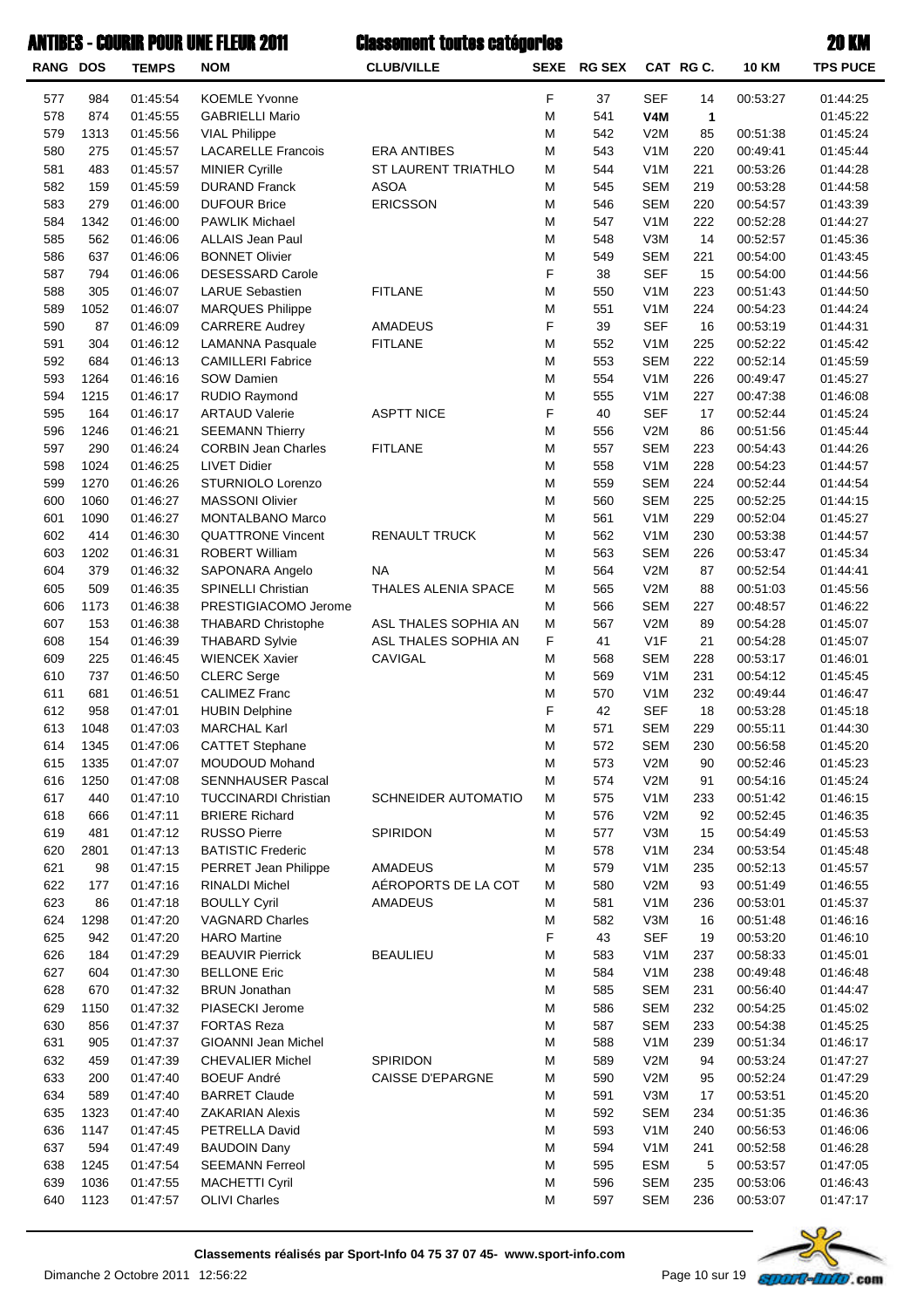| <b>RANG DOS</b> |              | <b>TEMPS</b>         | <b>NOM</b>                                        | <b>CLUB/VILLE</b>          | <b>SEXE</b> | <b>RG SEX</b> |                                | CAT RG C.    | <b>10 KM</b>         | <b>TPS PUCE</b>      |
|-----------------|--------------|----------------------|---------------------------------------------------|----------------------------|-------------|---------------|--------------------------------|--------------|----------------------|----------------------|
| 577             | 984          | 01:45:54             | <b>KOEMLE Yvonne</b>                              |                            | F           | 37            | <b>SEF</b>                     | 14           | 00:53:27             | 01:44:25             |
| 578             | 874          | 01:45:55             | <b>GABRIELLI Mario</b>                            |                            | M           | 541           | V4M                            | $\mathbf{1}$ |                      | 01:45:22             |
| 579             | 1313         | 01:45:56             | <b>VIAL Philippe</b>                              |                            | M           | 542           | V2M                            | 85           | 00:51:38             | 01:45:24             |
| 580             | 275          | 01:45:57             | <b>LACARELLE Francois</b>                         | <b>ERA ANTIBES</b>         | M           | 543           | V <sub>1</sub> M               | 220          | 00:49:41             | 01:45:44             |
| 581             | 483          | 01:45:57             | <b>MINIER Cyrille</b>                             | ST LAURENT TRIATHLO        | M           | 544           | V <sub>1</sub> M               | 221          | 00:53:26             | 01:44:28             |
| 582             | 159          | 01:45:59             | <b>DURAND Franck</b>                              | <b>ASOA</b>                | M           | 545           | <b>SEM</b>                     | 219          | 00:53:28             | 01:44:58             |
| 583<br>584      | 279<br>1342  | 01:46:00<br>01:46:00 | <b>DUFOUR Brice</b><br><b>PAWLIK Michael</b>      | <b>ERICSSON</b>            | M<br>M      | 546<br>547    | <b>SEM</b><br>V <sub>1</sub> M | 220<br>222   | 00:54:57<br>00:52:28 | 01:43:39<br>01:44:27 |
| 585             | 562          | 01:46:06             | ALLAIS Jean Paul                                  |                            | M           | 548           | V3M                            | 14           | 00:52:57             | 01:45:36             |
| 586             | 637          | 01:46:06             | <b>BONNET Olivier</b>                             |                            | M           | 549           | <b>SEM</b>                     | 221          | 00:54:00             | 01:43:45             |
| 587             | 794          | 01:46:06             | DESESSARD Carole                                  |                            | F           | 38            | <b>SEF</b>                     | 15           | 00:54:00             | 01:44:56             |
| 588             | 305          | 01:46:07             | <b>LARUE Sebastien</b>                            | <b>FITLANE</b>             | M           | 550           | V <sub>1</sub> M               | 223          | 00:51:43             | 01:44:50             |
| 589             | 1052         | 01:46:07             | <b>MARQUES Philippe</b>                           |                            | M           | 551           | V <sub>1</sub> M               | 224          | 00:54:23             | 01:44:24             |
| 590             | 87           | 01:46:09             | <b>CARRERE Audrey</b>                             | AMADEUS                    | F           | 39            | <b>SEF</b>                     | 16           | 00:53:19             | 01:44:31             |
| 591             | 304          | 01:46:12             | <b>LAMANNA Pasquale</b>                           | <b>FITLANE</b>             | M           | 552           | V <sub>1</sub> M               | 225          | 00:52:22             | 01:45:42             |
| 592             | 684          | 01:46:13             | <b>CAMILLERI Fabrice</b>                          |                            | M           | 553           | <b>SEM</b>                     | 222          | 00:52:14             | 01:45:59             |
| 593             | 1264         | 01:46:16             | SOW Damien                                        |                            | M           | 554           | V <sub>1</sub> M               | 226          | 00:49:47             | 01:45:27             |
| 594             | 1215         | 01:46:17             | RUDIO Raymond                                     |                            | M           | 555           | V <sub>1</sub> M               | 227          | 00:47:38             | 01:46:08             |
| 595             | 164          | 01:46:17             | <b>ARTAUD Valerie</b>                             | <b>ASPTT NICE</b>          | F           | 40            | <b>SEF</b>                     | 17           | 00:52:44             | 01:45:24             |
| 596             | 1246         | 01:46:21             | <b>SEEMANN Thierry</b>                            |                            | M           | 556           | V2M                            | 86           | 00:51:56             | 01:45:44             |
| 597             | 290          | 01:46:24             | <b>CORBIN Jean Charles</b><br><b>LIVET Didier</b> | <b>FITLANE</b>             | M<br>M      | 557           | <b>SEM</b><br>V <sub>1</sub> M | 223          | 00:54:43             | 01:44:26             |
| 598<br>599      | 1024<br>1270 | 01:46:25<br>01:46:26 | STURNIOLO Lorenzo                                 |                            | M           | 558<br>559    | <b>SEM</b>                     | 228<br>224   | 00:54:23<br>00:52:44 | 01:44:57<br>01:44:54 |
| 600             | 1060         | 01:46:27             | <b>MASSONI Olivier</b>                            |                            | M           | 560           | <b>SEM</b>                     | 225          | 00:52:25             | 01:44:15             |
| 601             | 1090         | 01:46:27             | MONTALBANO Marco                                  |                            | M           | 561           | V <sub>1</sub> M               | 229          | 00:52:04             | 01:45:27             |
| 602             | 414          | 01:46:30             | <b>QUATTRONE Vincent</b>                          | <b>RENAULT TRUCK</b>       | M           | 562           | V <sub>1</sub> M               | 230          | 00:53:38             | 01:44:57             |
| 603             | 1202         | 01:46:31             | <b>ROBERT William</b>                             |                            | M           | 563           | <b>SEM</b>                     | 226          | 00:53:47             | 01:45:34             |
| 604             | 379          | 01:46:32             | <b>SAPONARA Angelo</b>                            | <b>NA</b>                  | M           | 564           | V2M                            | 87           | 00:52:54             | 01:44:41             |
| 605             | 509          | 01:46:35             | <b>SPINELLI Christian</b>                         | THALES ALENIA SPACE        | M           | 565           | V2M                            | 88           | 00:51:03             | 01:45:56             |
| 606             | 1173         | 01:46:38             | PRESTIGIACOMO Jerome                              |                            | M           | 566           | <b>SEM</b>                     | 227          | 00:48:57             | 01:46:22             |
| 607             | 153          | 01:46:38             | <b>THABARD Christophe</b>                         | ASL THALES SOPHIA AN       | M           | 567           | V2M                            | 89           | 00:54:28             | 01:45:07             |
| 608             | 154          | 01:46:39             | <b>THABARD Sylvie</b>                             | ASL THALES SOPHIA AN       | F           | 41            | V <sub>1</sub> F               | 21           | 00:54:28             | 01:45:07             |
| 609             | 225          | 01:46:45             | <b>WIENCEK Xavier</b>                             | CAVIGAL                    | M           | 568           | <b>SEM</b>                     | 228          | 00:53:17             | 01:46:01             |
| 610             | 737          | 01:46:50             | <b>CLERC</b> Serge                                |                            | M           | 569           | V <sub>1</sub> M               | 231          | 00:54:12             | 01:45:45             |
| 611<br>612      | 681<br>958   | 01:46:51<br>01:47:01 | <b>CALIMEZ Franc</b><br><b>HUBIN Delphine</b>     |                            | M<br>F      | 570<br>42     | V <sub>1</sub> M<br><b>SEF</b> | 232<br>18    | 00:49:44<br>00:53:28 | 01:46:47<br>01:45:18 |
| 613             | 1048         | 01:47:03             | <b>MARCHAL Karl</b>                               |                            | M           | 571           | <b>SEM</b>                     | 229          | 00:55:11             | 01:44:30             |
| 614             | 1345         | 01:47:06             | <b>CATTET Stephane</b>                            |                            | M           | 572           | <b>SEM</b>                     | 230          | 00:56:58             | 01:45:20             |
| 615             | 1335         | 01:47:07             | MOUDOUD Mohand                                    |                            | M           | 573           | V2M                            | 90           | 00:52:46             | 01:45:23             |
| 616             | 1250         | 01:47:08             | <b>SENNHAUSER Pascal</b>                          |                            | M           | 574           | V2M                            | 91           | 00:54:16             | 01:45:24             |
| 617             | 440          | 01:47:10             | <b>TUCCINARDI Christian</b>                       | <b>SCHNEIDER AUTOMATIO</b> | M           | 575           | V <sub>1</sub> M               | 233          | 00:51:42             | 01:46:15             |
| 618             | 666          | 01:47:11             | <b>BRIERE Richard</b>                             |                            | M           | 576           | V2M                            | 92           | 00:52:45             | 01:46:35             |
| 619             | 481          | 01:47:12             | <b>RUSSO Pierre</b>                               | SPIRIDON                   | M           | 577           | V3M                            | 15           | 00:54:49             | 01:45:53             |
| 620             | 2801         | 01:47:13             | <b>BATISTIC Frederic</b>                          |                            | M           | 578           | V <sub>1</sub> M               | 234          | 00:53:54             | 01:45:48             |
| 621             | 98           | 01:47:15             | PERRET Jean Philippe                              | AMADEUS                    | M           | 579           | V <sub>1</sub> M               | 235          | 00:52:13             | 01:45:57             |
| 622             | 177          | 01:47:16             | RINALDI Michel                                    | AÉROPORTS DE LA COT        | M           | 580           | V2M                            | 93           | 00:51:49             | 01:46:55             |
| 623             | 86           | 01:47:18             | <b>BOULLY Cyril</b>                               | AMADEUS                    | M           | 581           | V <sub>1</sub> M               | 236          | 00:53:01             | 01:45:37             |
| 624<br>625      | 1298<br>942  | 01:47:20             | <b>VAGNARD Charles</b><br><b>HARO</b> Martine     |                            | M<br>F      | 582<br>43     | V3M<br><b>SEF</b>              | 16           | 00:51:48<br>00:53:20 | 01:46:16             |
| 626             | 184          | 01:47:20<br>01:47:29 | <b>BEAUVIR Pierrick</b>                           | <b>BEAULIEU</b>            | M           | 583           | V <sub>1</sub> M               | 19<br>237    | 00:58:33             | 01:46:10<br>01:45:01 |
| 627             | 604          | 01:47:30             | <b>BELLONE Eric</b>                               |                            | M           | 584           | V <sub>1</sub> M               | 238          | 00:49:48             | 01:46:48             |
| 628             | 670          | 01:47:32             | <b>BRUN Jonathan</b>                              |                            | M           | 585           | <b>SEM</b>                     | 231          | 00:56:40             | 01:44:47             |
| 629             | 1150         | 01:47:32             | PIASECKI Jerome                                   |                            | M           | 586           | <b>SEM</b>                     | 232          | 00:54:25             | 01:45:02             |
| 630             | 856          | 01:47:37             | <b>FORTAS Reza</b>                                |                            | M           | 587           | <b>SEM</b>                     | 233          | 00:54:38             | 01:45:25             |
| 631             | 905          | 01:47:37             | <b>GIOANNI Jean Michel</b>                        |                            | M           | 588           | V <sub>1</sub> M               | 239          | 00:51:34             | 01:46:17             |
| 632             | 459          | 01:47:39             | <b>CHEVALIER Michel</b>                           | SPIRIDON                   | M           | 589           | V2M                            | 94           | 00:53:24             | 01:47:27             |
| 633             | 200          | 01:47:40             | <b>BOEUF André</b>                                | <b>CAISSE D'EPARGNE</b>    | M           | 590           | V2M                            | 95           | 00:52:24             | 01:47:29             |
| 634             | 589          | 01:47:40             | <b>BARRET Claude</b>                              |                            | M           | 591           | V3M                            | 17           | 00:53:51             | 01:45:20             |
| 635             | 1323         | 01:47:40             | <b>ZAKARIAN Alexis</b>                            |                            | M           | 592           | <b>SEM</b>                     | 234          | 00:51:35             | 01:46:36             |
| 636             | 1147         | 01:47:45             | PETRELLA David                                    |                            | M           | 593           | V <sub>1</sub> M               | 240          | 00:56:53             | 01:46:06             |
| 637             | 594          | 01:47:49             | <b>BAUDOIN Dany</b>                               |                            | M           | 594           | V <sub>1</sub> M               | 241          | 00:52:58             | 01:46:28             |
| 638<br>639      | 1245<br>1036 | 01:47:54<br>01:47:55 | <b>SEEMANN Ferreol</b><br><b>MACHETTI Cyril</b>   |                            | M<br>M      | 595<br>596    | <b>ESM</b><br><b>SEM</b>       | 5<br>235     | 00:53:57<br>00:53:06 | 01:47:05<br>01:46:43 |
| 640             | 1123         | 01:47:57             | <b>OLIVI Charles</b>                              |                            | M           | 597           | <b>SEM</b>                     | 236          | 00:53:07             | 01:47:17             |
|                 |              |                      |                                                   |                            |             |               |                                |              |                      |                      |

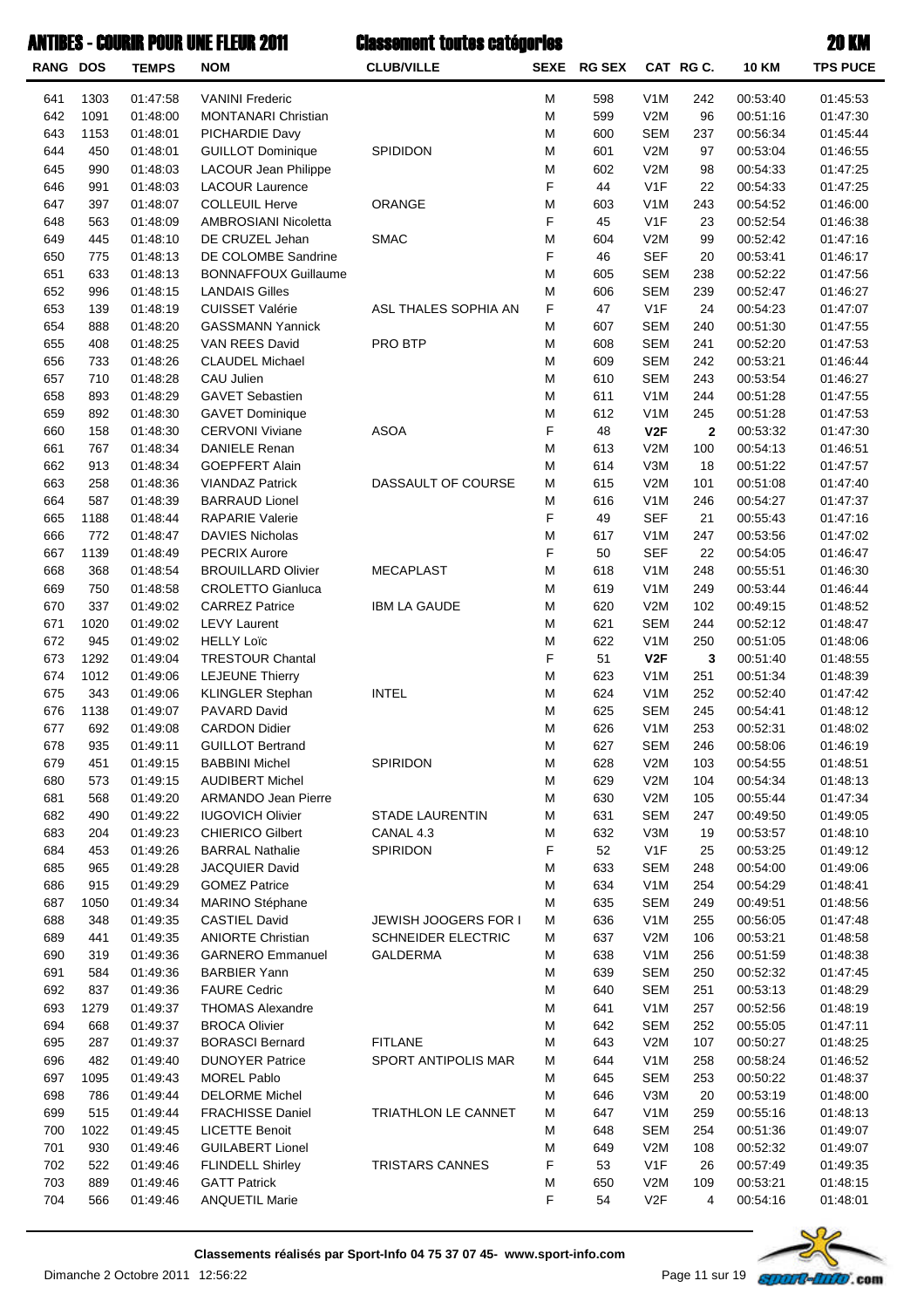| <b>RANG DOS</b> |             | <b>TEMPS</b>         | <b>NOM</b>                                       | <b>CLUB/VILLE</b>         |        | SEXE RG SEX |                                | CAT RG C.    | <b>10 KM</b>         | <b>TPS PUCE</b>      |
|-----------------|-------------|----------------------|--------------------------------------------------|---------------------------|--------|-------------|--------------------------------|--------------|----------------------|----------------------|
| 641             | 1303        | 01:47:58             | <b>VANINI Frederic</b>                           |                           | M      | 598         | V <sub>1</sub> M               | 242          | 00:53:40             | 01:45:53             |
| 642             | 1091        | 01:48:00             | <b>MONTANARI Christian</b>                       |                           | M      | 599         | V2M                            | 96           | 00:51:16             | 01:47:30             |
| 643             | 1153        | 01:48:01             | PICHARDIE Davy                                   |                           | M      | 600         | <b>SEM</b>                     | 237          | 00:56:34             | 01:45:44             |
| 644             | 450         | 01:48:01             | <b>GUILLOT Dominique</b>                         | SPIDIDON                  | M      | 601         | V2M                            | 97           | 00:53:04             | 01:46:55             |
| 645             | 990         | 01:48:03             | LACOUR Jean Philippe                             |                           | M      | 602         | V2M                            | 98           | 00:54:33             | 01:47:25             |
| 646             | 991         | 01:48:03             | <b>LACOUR Laurence</b>                           |                           | F      | 44          | V <sub>1</sub> F               | 22           | 00:54:33             | 01:47:25             |
| 647             | 397         | 01:48:07             | <b>COLLEUIL Herve</b>                            | ORANGE                    | M      | 603         | V <sub>1</sub> M               | 243          | 00:54:52             | 01:46:00             |
| 648             | 563         | 01:48:09             | AMBROSIANI Nicoletta                             |                           | F      | 45          | V <sub>1</sub> F               | 23           | 00:52:54             | 01:46:38             |
| 649             | 445         | 01:48:10             | DE CRUZEL Jehan                                  | <b>SMAC</b>               | M      | 604         | V2M                            | 99           | 00:52:42             | 01:47:16             |
| 650             | 775         | 01:48:13             | DE COLOMBE Sandrine                              |                           | F      | 46          | <b>SEF</b>                     | 20           | 00:53:41             | 01:46:17             |
| 651             | 633         | 01:48:13             | <b>BONNAFFOUX Guillaume</b>                      |                           | M      | 605         | <b>SEM</b>                     | 238          | 00:52:22             | 01:47:56             |
| 652<br>653      | 996         | 01:48:15<br>01:48:19 | <b>LANDAIS Gilles</b><br><b>CUISSET Valérie</b>  | ASL THALES SOPHIA AN      | M<br>F | 606<br>47   | <b>SEM</b><br>V1F              | 239<br>24    | 00:52:47<br>00:54:23 | 01:46:27<br>01:47:07 |
| 654             | 139<br>888  | 01:48:20             | <b>GASSMANN Yannick</b>                          |                           | M      | 607         | <b>SEM</b>                     | 240          | 00:51:30             | 01:47:55             |
| 655             | 408         | 01:48:25             | VAN REES David                                   | PRO BTP                   | M      | 608         | <b>SEM</b>                     | 241          | 00:52:20             | 01:47:53             |
| 656             | 733         | 01:48:26             | <b>CLAUDEL Michael</b>                           |                           | M      | 609         | <b>SEM</b>                     | 242          | 00:53:21             | 01:46:44             |
| 657             | 710         | 01:48:28             | CAU Julien                                       |                           | M      | 610         | <b>SEM</b>                     | 243          | 00:53:54             | 01:46:27             |
| 658             | 893         | 01:48:29             | <b>GAVET Sebastien</b>                           |                           | M      | 611         | V <sub>1</sub> M               | 244          | 00:51:28             | 01:47:55             |
| 659             | 892         | 01:48:30             | <b>GAVET Dominique</b>                           |                           | M      | 612         | V <sub>1</sub> M               | 245          | 00:51:28             | 01:47:53             |
| 660             | 158         | 01:48:30             | <b>CERVONI Viviane</b>                           | <b>ASOA</b>               | F      | 48          | V2F                            | $\mathbf{2}$ | 00:53:32             | 01:47:30             |
| 661             | 767         | 01:48:34             | <b>DANIELE Renan</b>                             |                           | M      | 613         | V2M                            | 100          | 00:54:13             | 01:46:51             |
| 662             | 913         | 01:48:34             | <b>GOEPFERT Alain</b>                            |                           | M      | 614         | V3M                            | 18           | 00:51:22             | 01:47:57             |
| 663             | 258         | 01:48:36             | <b>VIANDAZ Patrick</b>                           | DASSAULT OF COURSE        | M      | 615         | V2M                            | 101          | 00:51:08             | 01:47:40             |
| 664             | 587         | 01:48:39             | <b>BARRAUD Lionel</b>                            |                           | M      | 616         | V <sub>1</sub> M               | 246          | 00:54:27             | 01:47:37             |
| 665             | 1188        | 01:48:44             | <b>RAPARIE Valerie</b>                           |                           | F      | 49          | <b>SEF</b>                     | 21           | 00:55:43             | 01:47:16             |
| 666             | 772         | 01:48:47             | <b>DAVIES Nicholas</b>                           |                           | M      | 617         | V <sub>1</sub> M               | 247          | 00:53:56             | 01:47:02             |
| 667             | 1139        | 01:48:49             | <b>PECRIX Aurore</b>                             |                           | F      | 50          | <b>SEF</b>                     | 22           | 00:54:05             | 01:46:47             |
| 668             | 368         | 01:48:54             | <b>BROUILLARD Olivier</b>                        | <b>MECAPLAST</b>          | M      | 618         | V <sub>1</sub> M               | 248          | 00:55:51             | 01:46:30             |
| 669             | 750         | 01:48:58             | <b>CROLETTO Gianluca</b>                         |                           | M      | 619         | V <sub>1</sub> M               | 249          | 00:53:44             | 01:46:44             |
| 670             | 337         | 01:49:02             | <b>CARREZ Patrice</b>                            | <b>IBM LA GAUDE</b>       | M      | 620         | V2M                            | 102          | 00:49:15             | 01:48:52             |
| 671             | 1020        | 01:49:02             | <b>LEVY Laurent</b>                              |                           | M      | 621         | <b>SEM</b>                     | 244          | 00:52:12             | 01:48:47             |
| 672             | 945         | 01:49:02             | <b>HELLY Loïc</b>                                |                           | M      | 622         | V <sub>1</sub> M               | 250          | 00:51:05             | 01:48:06             |
| 673             | 1292        | 01:49:04             | <b>TRESTOUR Chantal</b>                          |                           | F      | 51          | V2F                            | $\mathbf{3}$ | 00:51:40             | 01:48:55             |
| 674             | 1012        | 01:49:06             | <b>LEJEUNE Thierry</b>                           |                           | M      | 623         | V <sub>1</sub> M               | 251          | 00:51:34             | 01:48:39             |
| 675             | 343         | 01:49:06             | KLINGLER Stephan                                 | <b>INTEL</b>              | M      | 624         | V <sub>1</sub> M               | 252          | 00:52:40             | 01:47:42             |
| 676<br>677      | 1138<br>692 | 01:49:07<br>01:49:08 | PAVARD David<br><b>CARDON Didier</b>             |                           | M<br>M | 625<br>626  | <b>SEM</b><br>V <sub>1</sub> M | 245<br>253   | 00:54:41<br>00:52:31 | 01:48:12<br>01:48:02 |
| 678             | 935         | 01:49:11             | <b>GUILLOT Bertrand</b>                          |                           | M      | 627         | <b>SEM</b>                     | 246          | 00:58:06             | 01:46:19             |
| 679             | 451         | 01:49:15             | <b>BABBINI Michel</b>                            | SPIRIDON                  | M      | 628         | V2M                            | 103          | 00:54:55             | 01:48:51             |
| 680             | 573         | 01:49:15             | <b>AUDIBERT Michel</b>                           |                           | M      | 629         | V2M                            | 104          | 00:54:34             | 01:48:13             |
| 681             | 568         | 01:49:20             | ARMANDO Jean Pierre                              |                           | M      | 630         | V2M                            | 105          | 00:55:44             | 01:47:34             |
| 682             | 490         | 01:49:22             | <b>IUGOVICH Olivier</b>                          | <b>STADE LAURENTIN</b>    | M      | 631         | <b>SEM</b>                     | 247          | 00:49:50             | 01:49:05             |
| 683             | 204         | 01:49:23             | <b>CHIERICO Gilbert</b>                          | CANAL 4.3                 | M      | 632         | V3M                            | 19           | 00:53:57             | 01:48:10             |
| 684             | 453         | 01:49:26             | <b>BARRAL Nathalie</b>                           | SPIRIDON                  | F      | 52          | V <sub>1</sub> F               | 25           | 00:53:25             | 01:49:12             |
| 685             | 965         | 01:49:28             | JACQUIER David                                   |                           | M      | 633         | <b>SEM</b>                     | 248          | 00:54:00             | 01:49:06             |
| 686             | 915         | 01:49:29             | <b>GOMEZ Patrice</b>                             |                           | M      | 634         | V <sub>1</sub> M               | 254          | 00:54:29             | 01:48:41             |
| 687             | 1050        | 01:49:34             | MARINO Stéphane                                  |                           | M      | 635         | <b>SEM</b>                     | 249          | 00:49:51             | 01:48:56             |
| 688             | 348         | 01:49:35             | <b>CASTIEL David</b>                             | JEWISH JOOGERS FOR I      | M      | 636         | V <sub>1</sub> M               | 255          | 00:56:05             | 01:47:48             |
| 689             | 441         | 01:49:35             | <b>ANIORTE Christian</b>                         | <b>SCHNEIDER ELECTRIC</b> | M      | 637         | V2M                            | 106          | 00:53:21             | 01:48:58             |
| 690             | 319         | 01:49:36             | <b>GARNERO Emmanuel</b>                          | <b>GALDERMA</b>           | M      | 638         | V <sub>1</sub> M               | 256          | 00:51:59             | 01:48:38             |
| 691             | 584         | 01:49:36             | <b>BARBIER Yann</b>                              |                           | M      | 639         | <b>SEM</b>                     | 250          | 00:52:32             | 01:47:45             |
| 692             | 837         | 01:49:36             | <b>FAURE Cedric</b>                              |                           | M      | 640         | <b>SEM</b>                     | 251          | 00:53:13             | 01:48:29             |
| 693             | 1279        | 01:49:37             | <b>THOMAS Alexandre</b>                          |                           | M      | 641         | V <sub>1</sub> M               | 257          | 00:52:56             | 01:48:19             |
| 694             | 668         | 01:49:37             | <b>BROCA Olivier</b>                             |                           | M      | 642         | <b>SEM</b>                     | 252          | 00:55:05             | 01:47:11             |
| 695             | 287         | 01:49:37             | <b>BORASCI Bernard</b>                           | <b>FITLANE</b>            | M      | 643         | V2M                            | 107          | 00:50:27             | 01:48:25             |
| 696             | 482         | 01:49:40             | <b>DUNOYER Patrice</b>                           | SPORT ANTIPOLIS MAR       | M      | 644         | V <sub>1</sub> M               | 258          | 00:58:24             | 01:46:52             |
| 697             | 1095        | 01:49:43             | <b>MOREL Pablo</b>                               |                           | M      | 645         | <b>SEM</b>                     | 253          | 00:50:22             | 01:48:37             |
| 698             | 786         | 01:49:44             | <b>DELORME Michel</b>                            |                           | M      | 646         | V3M                            | 20           | 00:53:19             | 01:48:00             |
| 699<br>700      | 515<br>1022 | 01:49:44             | <b>FRACHISSE Daniel</b><br><b>LICETTE Benoit</b> | TRIATHLON LE CANNET       | M      | 647         | V <sub>1</sub> M<br><b>SEM</b> | 259<br>254   | 00:55:16             | 01:48:13             |
| 701             | 930         | 01:49:45<br>01:49:46 | <b>GUILABERT Lionel</b>                          |                           | M      | 648<br>649  | V2M                            | 108          | 00:51:36<br>00:52:32 | 01:49:07<br>01:49:07 |
| 702             | 522         | 01:49:46             | <b>FLINDELL Shirley</b>                          | TRISTARS CANNES           | M<br>F | 53          | V <sub>1</sub> F               | 26           | 00:57:49             | 01:49:35             |
| 703             | 889         | 01:49:46             | <b>GATT Patrick</b>                              |                           | M      | 650         | V2M                            | 109          | 00:53:21             | 01:48:15             |
| 704             | 566         | 01:49:46             | <b>ANQUETIL Marie</b>                            |                           | F      | 54          | V2F                            | 4            | 00:54:16             | 01:48:01             |
|                 |             |                      |                                                  |                           |        |             |                                |              |                      |                      |

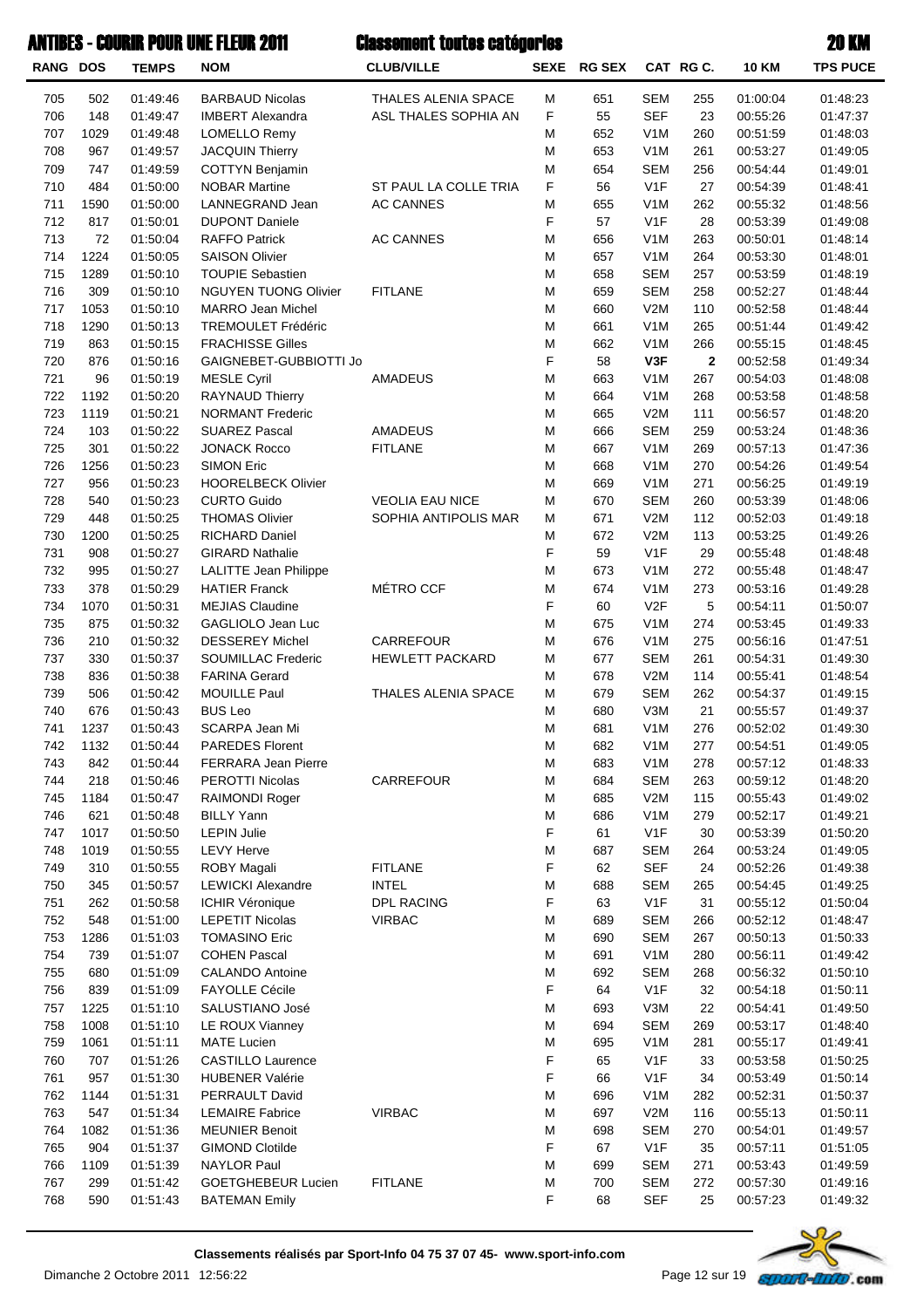| <b>RANG DOS</b> |             | <b>TEMPS</b>         | <b>NOM</b>                                         | <b>CLUB/VILLE</b>              |                  | SEXE RG SEX |                   | CAT RG C.      | <b>10 KM</b>         | <b>TPS PUCE</b>      |
|-----------------|-------------|----------------------|----------------------------------------------------|--------------------------------|------------------|-------------|-------------------|----------------|----------------------|----------------------|
| 705             | 502         | 01:49:46             | <b>BARBAUD Nicolas</b>                             | THALES ALENIA SPACE            | M                | 651         | <b>SEM</b>        | 255            | 01:00:04             | 01:48:23             |
| 706             | 148         | 01:49:47             | <b>IMBERT Alexandra</b>                            | ASL THALES SOPHIA AN           | F                | 55          | <b>SEF</b>        | 23             | 00:55:26             | 01:47:37             |
| 707             | 1029        | 01:49:48             | <b>LOMELLO Remy</b>                                |                                | M                | 652         | V <sub>1</sub> M  | 260            | 00:51:59             | 01:48:03             |
| 708             | 967         | 01:49:57             | <b>JACQUIN Thierry</b>                             |                                | M                | 653         | V <sub>1</sub> M  | 261            | 00:53:27             | 01:49:05             |
| 709             | 747         | 01:49:59             | COTTYN Benjamin                                    |                                | M                | 654         | <b>SEM</b>        | 256            | 00:54:44             | 01:49:01             |
| 710             | 484         | 01:50:00             | <b>NOBAR Martine</b>                               | ST PAUL LA COLLE TRIA          | $\mathsf F$      | 56          | V1F               | 27             | 00:54:39             | 01:48:41             |
| 711             | 1590        | 01:50:00             | LANNEGRAND Jean                                    | <b>AC CANNES</b>               | M                | 655         | V <sub>1</sub> M  | 262            | 00:55:32             | 01:48:56             |
| 712             | 817         | 01:50:01             | <b>DUPONT Daniele</b>                              |                                | $\mathsf F$      | 57          | V <sub>1F</sub>   | 28             | 00:53:39             | 01:49:08             |
| 713             | 72          | 01:50:04             | <b>RAFFO Patrick</b>                               | <b>AC CANNES</b>               | M                | 656         | V <sub>1</sub> M  | 263            | 00:50:01             | 01:48:14             |
| 714             | 1224        | 01:50:05             | <b>SAISON Olivier</b>                              |                                | M                | 657         | V <sub>1</sub> M  | 264            | 00:53:30             | 01:48:01             |
| 715             | 1289        | 01:50:10             | <b>TOUPIE Sebastien</b>                            |                                | M                | 658         | <b>SEM</b>        | 257            | 00:53:59             | 01:48:19             |
| 716             | 309         | 01:50:10             | <b>NGUYEN TUONG Olivier</b>                        | <b>FITLANE</b>                 | M                | 659         | <b>SEM</b>        | 258            | 00:52:27             | 01:48:44             |
| 717             | 1053        | 01:50:10             | <b>MARRO Jean Michel</b>                           |                                | M                | 660         | V2M               | 110            | 00:52:58             | 01:48:44             |
| 718             | 1290        | 01:50:13             | <b>TREMOULET Frédéric</b>                          |                                | M                | 661         | V <sub>1</sub> M  | 265            | 00:51:44             | 01:49:42             |
| 719             | 863         | 01:50:15             | <b>FRACHISSE Gilles</b>                            |                                | M                | 662         | V <sub>1</sub> M  | 266            | 00:55:15             | 01:48:45             |
| 720             | 876         | 01:50:16             | GAIGNEBET-GUBBIOTTI Jo                             |                                | $\mathsf F$      | 58          | V3F               | $\overline{2}$ | 00:52:58             | 01:49:34             |
| 721             | 96          | 01:50:19             | <b>MESLE Cyril</b>                                 | AMADEUS                        | M                | 663         | V <sub>1</sub> M  | 267            | 00:54:03             | 01:48:08             |
| 722             | 1192        | 01:50:20             | <b>RAYNAUD Thierry</b>                             |                                | M<br>${\sf M}$   | 664         | V <sub>1</sub> M  | 268            | 00:53:58             | 01:48:58             |
| 723<br>724      | 1119<br>103 | 01:50:21<br>01:50:22 | <b>NORMANT Frederic</b><br><b>SUAREZ Pascal</b>    | AMADEUS                        | M                | 665<br>666  | V2M<br><b>SEM</b> | 111<br>259     | 00:56:57<br>00:53:24 | 01:48:20<br>01:48:36 |
| 725             | 301         | 01:50:22             | <b>JONACK Rocco</b>                                | <b>FITLANE</b>                 | M                | 667         | V <sub>1</sub> M  | 269            | 00:57:13             | 01:47:36             |
| 726             | 1256        | 01:50:23             | <b>SIMON Eric</b>                                  |                                | M                | 668         | V <sub>1</sub> M  | 270            | 00:54:26             | 01:49:54             |
| 727             | 956         | 01:50:23             | <b>HOORELBECK Olivier</b>                          |                                | M                | 669         | V <sub>1</sub> M  | 271            | 00:56:25             | 01:49:19             |
| 728             | 540         | 01:50:23             | <b>CURTO Guido</b>                                 | <b>VEOLIA EAU NICE</b>         | M                | 670         | <b>SEM</b>        | 260            | 00:53:39             | 01:48:06             |
| 729             | 448         | 01:50:25             | <b>THOMAS Olivier</b>                              | SOPHIA ANTIPOLIS MAR           | M                | 671         | V2M               | 112            | 00:52:03             | 01:49:18             |
| 730             | 1200        | 01:50:25             | <b>RICHARD Daniel</b>                              |                                | M                | 672         | V2M               | 113            | 00:53:25             | 01:49:26             |
| 731             | 908         | 01:50:27             | <b>GIRARD Nathalie</b>                             |                                | $\mathsf F$      | 59          | V <sub>1F</sub>   | 29             | 00:55:48             | 01:48:48             |
| 732             | 995         | 01:50:27             | <b>LALITTE Jean Philippe</b>                       |                                | M                | 673         | V <sub>1</sub> M  | 272            | 00:55:48             | 01:48:47             |
| 733             | 378         | 01:50:29             | <b>HATIER Franck</b>                               | MÉTRO CCF                      | M                | 674         | V <sub>1</sub> M  | 273            | 00:53:16             | 01:49:28             |
| 734             | 1070        | 01:50:31             | <b>MEJIAS Claudine</b>                             |                                | $\mathsf F$      | 60          | V2F               | $\sqrt{5}$     | 00:54:11             | 01:50:07             |
| 735             | 875         | 01:50:32             | GAGLIOLO Jean Luc                                  |                                | M                | 675         | V <sub>1</sub> M  | 274            | 00:53:45             | 01:49:33             |
| 736             | 210         | 01:50:32             | <b>DESSEREY Michel</b>                             | CARREFOUR                      | M                | 676         | V <sub>1</sub> M  | 275            | 00:56:16             | 01:47:51             |
| 737             | 330         | 01:50:37             | <b>SOUMILLAC Frederic</b>                          | <b>HEWLETT PACKARD</b>         | M                | 677         | <b>SEM</b>        | 261            | 00:54:31             | 01:49:30             |
| 738             | 836         | 01:50:38             | <b>FARINA Gerard</b>                               |                                | M                | 678         | V2M               | 114            | 00:55:41             | 01:48:54             |
| 739             | 506         | 01:50:42             | <b>MOUILLE Paul</b>                                | THALES ALENIA SPACE            | M                | 679         | <b>SEM</b>        | 262            | 00:54:37             | 01:49:15             |
| 740             | 676         | 01:50:43             | <b>BUS Leo</b>                                     |                                | M                | 680         | V3M               | 21             | 00:55:57             | 01:49:37             |
| 741             | 1237        | 01:50:43             | SCARPA Jean Mi                                     |                                | M                | 681         | V <sub>1</sub> M  | 276            | 00:52:02             | 01:49:30             |
| 742             | 1132        | 01:50:44             | PAREDES Florent                                    |                                | M                | 682         | V <sub>1</sub> M  | 277            | 00:54:51             | 01:49:05             |
| 743             | 842         | 01:50:44             | FERRARA Jean Pierre                                |                                | M                | 683         | V <sub>1</sub> M  | 278            | 00:57:12             | 01:48:33             |
| 744             | 218         | 01:50:46             | PEROTTI Nicolas                                    | CARREFOUR                      | M                | 684         | <b>SEM</b>        | 263            | 00:59:12             | 01:48:20             |
| 745             | 1184        | 01:50:47             | RAIMONDI Roger                                     |                                | M                | 685         | V2M               | 115            | 00:55:43             | 01:49:02             |
| 746             | 621         | 01:50:48             | <b>BILLY Yann</b>                                  |                                | M                | 686         | V <sub>1</sub> M  | 279            | 00:52:17             | 01:49:21             |
| 747             | 1017        | 01:50:50             | <b>LEPIN Julie</b>                                 |                                | F                | 61          | V <sub>1</sub> F  | 30             | 00:53:39             | 01:50:20             |
| 748             | 1019        | 01:50:55             | <b>LEVY Herve</b>                                  |                                | M                | 687         | <b>SEM</b>        | 264            | 00:53:24             | 01:49:05             |
| 749             | 310         | 01:50:55             | ROBY Magali                                        | <b>FITLANE</b><br><b>INTEL</b> | F                | 62          | <b>SEF</b>        | 24             | 00:52:26             | 01:49:38             |
| 750             | 345<br>262  | 01:50:57             | <b>LEWICKI Alexandre</b><br><b>ICHIR Véronique</b> | <b>DPL RACING</b>              | M<br>$\mathsf F$ | 688<br>63   | <b>SEM</b><br>V1F | 265<br>31      | 00:54:45<br>00:55:12 | 01:49:25             |
| 751<br>752      | 548         | 01:50:58<br>01:51:00 | <b>LEPETIT Nicolas</b>                             | <b>VIRBAC</b>                  | M                | 689         | <b>SEM</b>        | 266            | 00:52:12             | 01:50:04<br>01:48:47 |
| 753             | 1286        | 01:51:03             | <b>TOMASINO Eric</b>                               |                                | M                | 690         | <b>SEM</b>        | 267            | 00:50:13             | 01:50:33             |
| 754             | 739         | 01:51:07             | <b>COHEN Pascal</b>                                |                                | M                | 691         | V <sub>1</sub> M  | 280            | 00:56:11             | 01:49:42             |
| 755             | 680         | 01:51:09             | <b>CALANDO Antoine</b>                             |                                | ${\sf M}$        | 692         | <b>SEM</b>        | 268            | 00:56:32             | 01:50:10             |
| 756             | 839         | 01:51:09             | <b>FAYOLLE Cécile</b>                              |                                | F                | 64          | V1F               | 32             | 00:54:18             | 01:50:11             |
| 757             | 1225        | 01:51:10             | SALUSTIANO José                                    |                                | M                | 693         | V3M               | 22             | 00:54:41             | 01:49:50             |
| 758             | 1008        | 01:51:10             | LE ROUX Vianney                                    |                                | M                | 694         | <b>SEM</b>        | 269            | 00:53:17             | 01:48:40             |
| 759             | 1061        | 01:51:11             | <b>MATE Lucien</b>                                 |                                | M                | 695         | V <sub>1</sub> M  | 281            | 00:55:17             | 01:49:41             |
| 760             | 707         | 01:51:26             | CASTILLO Laurence                                  |                                | F                | 65          | V <sub>1</sub> F  | 33             | 00:53:58             | 01:50:25             |
| 761             | 957         | 01:51:30             | <b>HUBENER Valérie</b>                             |                                | $\mathsf F$      | 66          | V <sub>1</sub> F  | 34             | 00:53:49             | 01:50:14             |
| 762             | 1144        | 01:51:31             | PERRAULT David                                     |                                | M                | 696         | V <sub>1</sub> M  | 282            | 00:52:31             | 01:50:37             |
| 763             | 547         | 01:51:34             | <b>LEMAIRE Fabrice</b>                             | <b>VIRBAC</b>                  | ${\sf M}$        | 697         | V2M               | 116            | 00:55:13             | 01:50:11             |
| 764             | 1082        | 01:51:36             | <b>MEUNIER Benoit</b>                              |                                | M                | 698         | <b>SEM</b>        | 270            | 00:54:01             | 01:49:57             |
| 765             | 904         | 01:51:37             | <b>GIMOND Clotilde</b>                             |                                | F                | 67          | V <sub>1</sub> F  | 35             | 00:57:11             | 01:51:05             |
| 766             | 1109        | 01:51:39             | <b>NAYLOR Paul</b>                                 |                                | M                | 699         | <b>SEM</b>        | 271            | 00:53:43             | 01:49:59             |
| 767             | 299         | 01:51:42             | GOETGHEBEUR Lucien                                 | <b>FITLANE</b>                 | M                | 700         | <b>SEM</b>        | 272            | 00:57:30             | 01:49:16             |
| 768             | 590         | 01:51:43             | <b>BATEMAN Emily</b>                               |                                | F                | 68          | <b>SEF</b>        | 25             | 00:57:23             | 01:49:32             |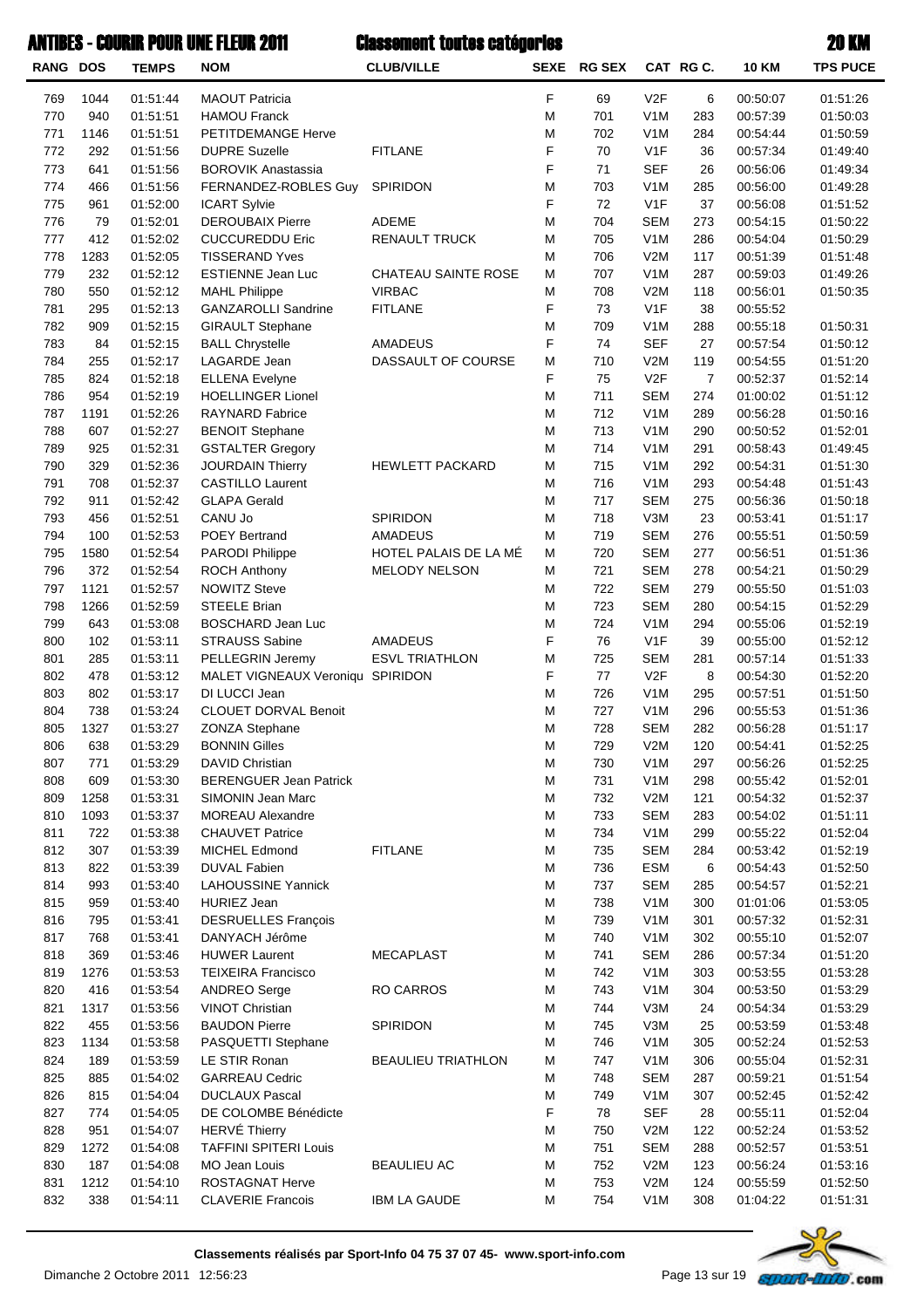| <b>RANG DOS</b> |             | <b>TEMPS</b>         | <b>NOM</b>                                         | <b>CLUB/VILLE</b>         |           | SEXE RG SEX |                                | CAT RG C.             | <b>10 KM</b>         | <b>TPS PUCE</b>      |
|-----------------|-------------|----------------------|----------------------------------------------------|---------------------------|-----------|-------------|--------------------------------|-----------------------|----------------------|----------------------|
| 769             | 1044        | 01:51:44             | <b>MAOUT Patricia</b>                              |                           | F         | 69          | V <sub>2</sub> F               | 6                     | 00:50:07             | 01:51:26             |
| 770             | 940         | 01:51:51             | <b>HAMOU Franck</b>                                |                           | M         | 701         | V <sub>1</sub> M               | 283                   | 00:57:39             | 01:50:03             |
| 771             | 1146        | 01:51:51             | PETITDEMANGE Herve                                 |                           | M         | 702         | V <sub>1</sub> M               | 284                   | 00:54:44             | 01:50:59             |
| 772             | 292         | 01:51:56             | <b>DUPRE Suzelle</b>                               | <b>FITLANE</b>            | F         | 70          | V <sub>1F</sub>                | 36                    | 00:57:34             | 01:49:40             |
| 773             | 641         | 01:51:56             | <b>BOROVIK Anastassia</b>                          |                           | F         | 71          | <b>SEF</b>                     | 26                    | 00:56:06             | 01:49:34             |
| 774             | 466         | 01:51:56             | FERNANDEZ-ROBLES Guy                               | SPIRIDON                  | M         | 703         | V <sub>1</sub> M               | 285                   | 00:56:00             | 01:49:28             |
| 775             | 961         | 01:52:00             | <b>ICART Sylvie</b>                                |                           | F         | 72          | V1F                            | 37                    | 00:56:08             | 01:51:52             |
| 776             | 79          | 01:52:01             | <b>DEROUBAIX Pierre</b>                            | ADEME                     | M         | 704         | <b>SEM</b>                     | 273                   | 00:54:15             | 01:50:22             |
| 777             | 412         | 01:52:02             | <b>CUCCUREDDU Eric</b>                             | <b>RENAULT TRUCK</b>      | M         | 705         | V <sub>1</sub> M               | 286                   | 00:54:04             | 01:50:29             |
| 778             | 1283        | 01:52:05             | <b>TISSERAND Yves</b>                              |                           | M         | 706         | V2M                            | 117                   | 00:51:39             | 01:51:48             |
| 779             | 232         | 01:52:12             | ESTIENNE Jean Luc                                  | CHATEAU SAINTE ROSE       | M         | 707         | V <sub>1</sub> M               | 287                   | 00:59:03             | 01:49:26             |
| 780             | 550         | 01:52:12             | <b>MAHL Philippe</b>                               | <b>VIRBAC</b>             | M         | 708         | V2M                            | 118                   | 00:56:01             | 01:50:35             |
| 781             | 295         | 01:52:13             | <b>GANZAROLLI Sandrine</b>                         | <b>FITLANE</b>            | F         | 73          | V <sub>1F</sub>                | 38                    | 00:55:52             |                      |
| 782             | 909         | 01:52:15             | <b>GIRAULT Stephane</b>                            |                           | M         | 709         | V <sub>1</sub> M               | 288                   | 00:55:18             | 01:50:31             |
| 783             | 84          | 01:52:15             | <b>BALL Chrystelle</b>                             | AMADEUS                   | F         | 74          | <b>SEF</b>                     | 27                    | 00:57:54             | 01:50:12             |
| 784             | 255         | 01:52:17             | LAGARDE Jean                                       | DASSAULT OF COURSE        | M<br>F    | 710         | V2M<br>V2F                     | 119<br>$\overline{7}$ | 00:54:55             | 01:51:20             |
| 785<br>786      | 824<br>954  | 01:52:18             | <b>ELLENA Evelyne</b>                              |                           | M         | 75          | <b>SEM</b>                     | 274                   | 00:52:37             | 01:52:14             |
| 787             | 1191        | 01:52:19<br>01:52:26 | <b>HOELLINGER Lionel</b><br><b>RAYNARD Fabrice</b> |                           | M         | 711<br>712  | V <sub>1</sub> M               | 289                   | 01:00:02<br>00:56:28 | 01:51:12<br>01:50:16 |
| 788             | 607         | 01:52:27             | <b>BENOIT Stephane</b>                             |                           | M         | 713         | V <sub>1</sub> M               | 290                   | 00:50:52             | 01:52:01             |
| 789             | 925         | 01:52:31             | <b>GSTALTER Gregory</b>                            |                           | M         | 714         | V <sub>1</sub> M               | 291                   | 00:58:43             | 01:49:45             |
| 790             | 329         | 01:52:36             | <b>JOURDAIN Thierry</b>                            | <b>HEWLETT PACKARD</b>    | M         | 715         | V <sub>1</sub> M               | 292                   | 00:54:31             | 01:51:30             |
| 791             | 708         | 01:52:37             | <b>CASTILLO Laurent</b>                            |                           | M         | 716         | V <sub>1</sub> M               | 293                   | 00:54:48             | 01:51:43             |
| 792             | 911         | 01:52:42             | <b>GLAPA Gerald</b>                                |                           | M         | 717         | <b>SEM</b>                     | 275                   | 00:56:36             | 01:50:18             |
| 793             | 456         | 01:52:51             | CANU Jo                                            | SPIRIDON                  | M         | 718         | V3M                            | 23                    | 00:53:41             | 01:51:17             |
| 794             | 100         | 01:52:53             | <b>POEY Bertrand</b>                               | AMADEUS                   | M         | 719         | <b>SEM</b>                     | 276                   | 00:55:51             | 01:50:59             |
| 795             | 1580        | 01:52:54             | PARODI Philippe                                    | HOTEL PALAIS DE LA MÉ     | Μ         | 720         | <b>SEM</b>                     | 277                   | 00:56:51             | 01:51:36             |
| 796             | 372         | 01:52:54             | <b>ROCH Anthony</b>                                | <b>MELODY NELSON</b>      | M         | 721         | <b>SEM</b>                     | 278                   | 00:54:21             | 01:50:29             |
| 797             | 1121        | 01:52:57             | <b>NOWITZ Steve</b>                                |                           | M         | 722         | <b>SEM</b>                     | 279                   | 00:55:50             | 01:51:03             |
| 798             | 1266        | 01:52:59             | <b>STEELE Brian</b>                                |                           | M         | 723         | <b>SEM</b>                     | 280                   | 00:54:15             | 01:52:29             |
| 799             | 643         | 01:53:08             | <b>BOSCHARD Jean Luc</b>                           |                           | M         | 724         | V <sub>1</sub> M               | 294                   | 00:55:06             | 01:52:19             |
| 800             | 102         | 01:53:11             | <b>STRAUSS Sabine</b>                              | <b>AMADEUS</b>            | F         | 76          | V1F                            | 39                    | 00:55:00             | 01:52:12             |
| 801             | 285         | 01:53:11             | PELLEGRIN Jeremy                                   | <b>ESVL TRIATHLON</b>     | M         | 725         | <b>SEM</b>                     | 281                   | 00:57:14             | 01:51:33             |
| 802             | 478         | 01:53:12             | MALET VIGNEAUX Veroniqu SPIRIDON                   |                           | F         | 77          | V2F                            | 8                     | 00:54:30             | 01:52:20             |
| 803             | 802         | 01:53:17             | DI LUCCI Jean                                      |                           | M         | 726         | V <sub>1</sub> M               | 295                   | 00:57:51             | 01:51:50             |
| 804             | 738         | 01:53:24             | CLOUET DORVAL Benoit                               |                           | M         | 727         | V <sub>1</sub> M               | 296                   | 00:55:53             | 01:51:36             |
| 805             | 1327        | 01:53:27             | <b>ZONZA Stephane</b>                              |                           | M         | 728         | <b>SEM</b>                     | 282                   | 00:56:28             | 01:51:17             |
| 806             | 638         | 01:53:29             | <b>BONNIN Gilles</b>                               |                           | M         | 729         | V2M                            | 120                   | 00:54:41             | 01:52:25             |
| 807             | 771         | 01:53:29             | DAVID Christian                                    |                           | M         | 730         | V <sub>1</sub> M               | 297                   | 00:56:26             | 01:52:25             |
| 808             | 609         | 01:53:30             | <b>BERENGUER Jean Patrick</b>                      |                           | M         | 731         | V <sub>1</sub> M               | 298                   | 00:55:42             | 01:52:01             |
| 809             | 1258        | 01:53:31             | SIMONIN Jean Marc                                  |                           | M         | 732         | V2M                            | 121                   | 00:54:32             | 01:52:37             |
| 810             | 1093        | 01:53:37             | <b>MOREAU Alexandre</b>                            |                           | M         | 733         | <b>SEM</b>                     | 283                   | 00:54:02             | 01:51:11             |
| 811             | 722         | 01:53:38             | <b>CHAUVET Patrice</b>                             |                           | M         | 734         | V <sub>1</sub> M               | 299                   | 00:55:22             | 01:52:04             |
| 812             | 307         | 01:53:39             | MICHEL Edmond                                      | <b>FITLANE</b>            | M         | 735         | <b>SEM</b>                     | 284                   | 00:53:42             | 01:52:19             |
| 813             | 822         | 01:53:39             | <b>DUVAL Fabien</b>                                |                           | ${\sf M}$ | 736         | <b>ESM</b>                     | 6                     | 00:54:43             | 01:52:50             |
| 814             | 993         | 01:53:40             | <b>LAHOUSSINE Yannick</b>                          |                           | M         | 737         | <b>SEM</b>                     | 285                   | 00:54:57             | 01:52:21             |
| 815             | 959         | 01:53:40             | <b>HURIEZ Jean</b>                                 |                           | M         | 738         | V <sub>1</sub> M               | 300                   | 01:01:06             | 01:53:05             |
| 816             | 795         | 01:53:41             | <b>DESRUELLES François</b>                         |                           | M         | 739         | V <sub>1</sub> M               | 301                   | 00:57:32             | 01:52:31             |
| 817             | 768         | 01:53:41             | DANYACH Jérôme                                     |                           | M         | 740         | V <sub>1</sub> M               | 302                   | 00:55:10             | 01:52:07             |
| 818<br>819      | 369<br>1276 | 01:53:46<br>01:53:53 | <b>HUWER Laurent</b><br><b>TEIXEIRA Francisco</b>  | <b>MECAPLAST</b>          | M<br>M    | 741<br>742  | <b>SEM</b><br>V <sub>1</sub> M | 286<br>303            | 00:57:34<br>00:53:55 | 01:51:20<br>01:53:28 |
| 820             | 416         | 01:53:54             | <b>ANDREO Serge</b>                                | <b>RO CARROS</b>          | M         | 743         | V <sub>1</sub> M               | 304                   | 00:53:50             | 01:53:29             |
| 821             | 1317        | 01:53:56             | <b>VINOT Christian</b>                             |                           | M         | 744         | V3M                            | 24                    | 00:54:34             | 01:53:29             |
| 822             | 455         | 01:53:56             | <b>BAUDON Pierre</b>                               | SPIRIDON                  | M         | 745         | V3M                            | 25                    | 00:53:59             | 01:53:48             |
| 823             | 1134        | 01:53:58             | PASQUETTI Stephane                                 |                           | M         | 746         | V <sub>1</sub> M               | 305                   | 00:52:24             | 01:52:53             |
| 824             | 189         | 01:53:59             | LE STIR Ronan                                      | <b>BEAULIEU TRIATHLON</b> | M         | 747         | V <sub>1</sub> M               | 306                   | 00:55:04             | 01:52:31             |
| 825             | 885         | 01:54:02             | <b>GARREAU Cedric</b>                              |                           | ${\sf M}$ | 748         | <b>SEM</b>                     | 287                   | 00:59:21             | 01:51:54             |
| 826             | 815         | 01:54:04             | <b>DUCLAUX Pascal</b>                              |                           | M         | 749         | V <sub>1</sub> M               | 307                   | 00:52:45             | 01:52:42             |
| 827             | 774         | 01:54:05             | DE COLOMBE Bénédicte                               |                           | F         | 78          | <b>SEF</b>                     | 28                    | 00:55:11             | 01:52:04             |
| 828             | 951         | 01:54:07             | HERVÉ Thierry                                      |                           | M         | 750         | V2M                            | 122                   | 00:52:24             | 01:53:52             |
| 829             | 1272        | 01:54:08             | <b>TAFFINI SPITERI Louis</b>                       |                           | M         | 751         | <b>SEM</b>                     | 288                   | 00:52:57             | 01:53:51             |
| 830             | 187         | 01:54:08             | <b>MO Jean Louis</b>                               | <b>BEAULIEU AC</b>        | ${\sf M}$ | 752         | V2M                            | 123                   | 00:56:24             | 01:53:16             |
| 831             | 1212        | 01:54:10             | ROSTAGNAT Herve                                    |                           | M         | 753         | V2M                            | 124                   | 00:55:59             | 01:52:50             |
| 832             | 338         | 01:54:11             | <b>CLAVERIE Francois</b>                           | <b>IBM LA GAUDE</b>       | M         | 754         | V <sub>1</sub> M               | 308                   | 01:04:22             | 01:51:31             |

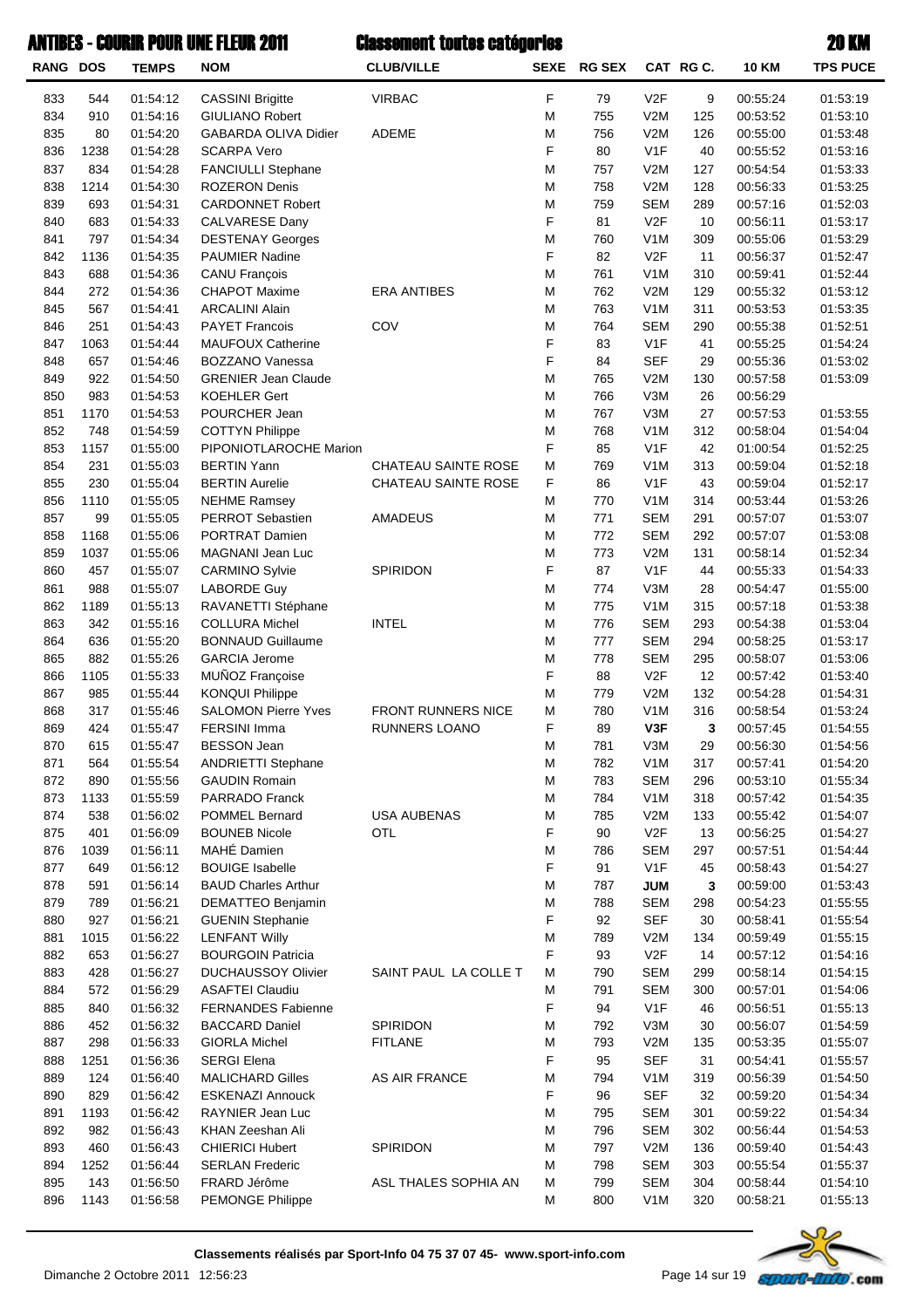|  | <b>ANTIBES - COURIR POUR UNE FLEUR 2011</b> | <b>Classement toutes catégories</b> | 20 KM |
|--|---------------------------------------------|-------------------------------------|-------|
|--|---------------------------------------------|-------------------------------------|-------|

| <b>RANG DOS</b> |             | <b>TEMPS</b>         | <b>NOM</b>                                        | <b>CLUB/VILLE</b>     | <b>SEXE</b> | <b>RG SEX</b> |                                | CAT RG C.  | <b>10 KM</b>         | <b>TPS PUCE</b>      |
|-----------------|-------------|----------------------|---------------------------------------------------|-----------------------|-------------|---------------|--------------------------------|------------|----------------------|----------------------|
| 833             | 544         | 01:54:12             | <b>CASSINI Brigitte</b>                           | <b>VIRBAC</b>         | F           | 79            | V <sub>2F</sub>                | 9          | 00:55:24             | 01:53:19             |
| 834             | 910         | 01:54:16             | <b>GIULIANO Robert</b>                            |                       | M           | 755           | V2M                            | 125        | 00:53:52             | 01:53:10             |
| 835             | 80          | 01:54:20             | <b>GABARDA OLIVA Didier</b>                       | ADEME                 | M           | 756           | V2M                            | 126        | 00:55:00             | 01:53:48             |
| 836             | 1238        | 01:54:28             | <b>SCARPA Vero</b>                                |                       | F           | 80            | V <sub>1</sub> F               | 40         | 00:55:52             | 01:53:16             |
| 837             | 834         | 01:54:28             | FANCIULLI Stephane                                |                       | M           | 757           | V2M                            | 127        | 00:54:54             | 01:53:33             |
| 838             | 1214        | 01:54:30             | <b>ROZERON Denis</b>                              |                       | M           | 758           | V2M                            | 128        | 00:56:33             | 01:53:25             |
| 839             | 693         | 01:54:31             | <b>CARDONNET Robert</b>                           |                       | M           | 759           | <b>SEM</b>                     | 289        | 00:57:16             | 01:52:03             |
| 840             | 683         | 01:54:33             | CALVARESE Dany                                    |                       | F           | 81            | V2F                            | 10         | 00:56:11             | 01:53:17             |
| 841             | 797         | 01:54:34             | <b>DESTENAY Georges</b>                           |                       | M           | 760           | V <sub>1</sub> M               | 309        | 00:55:06             | 01:53:29             |
| 842             | 1136        | 01:54:35             | <b>PAUMIER Nadine</b>                             |                       | F           | 82            | V <sub>2F</sub>                | 11         | 00:56:37             | 01:52:47             |
| 843             | 688         | 01:54:36             | <b>CANU François</b>                              |                       | M           | 761           | V <sub>1</sub> M               | 310        | 00:59:41             | 01:52:44             |
| 844             | 272         | 01:54:36             | <b>CHAPOT Maxime</b>                              | <b>ERA ANTIBES</b>    | M           | 762           | V2M                            | 129        | 00:55:32             | 01:53:12             |
| 845             | 567         | 01:54:41<br>01:54:43 | <b>ARCALINI Alain</b>                             |                       | M<br>M      | 763<br>764    | V <sub>1</sub> M<br><b>SEM</b> | 311        | 00:53:53             | 01:53:35             |
| 846<br>847      | 251<br>1063 | 01:54:44             | <b>PAYET Francois</b><br><b>MAUFOUX Catherine</b> | COV                   | F           | 83            | V1F                            | 290<br>41  | 00:55:38<br>00:55:25 | 01:52:51<br>01:54:24 |
| 848             | 657         | 01:54:46             | BOZZANO Vanessa                                   |                       | F           | 84            | <b>SEF</b>                     | 29         | 00:55:36             | 01:53:02             |
| 849             | 922         | 01:54:50             | <b>GRENIER Jean Claude</b>                        |                       | M           | 765           | V2M                            | 130        | 00:57:58             | 01:53:09             |
| 850             | 983         | 01:54:53             | <b>KOEHLER Gert</b>                               |                       | M           | 766           | V3M                            | 26         | 00:56:29             |                      |
| 851             | 1170        | 01:54:53             | POURCHER Jean                                     |                       | M           | 767           | V3M                            | 27         | 00:57:53             | 01:53:55             |
| 852             | 748         | 01:54:59             | <b>COTTYN Philippe</b>                            |                       | M           | 768           | V <sub>1</sub> M               | 312        | 00:58:04             | 01:54:04             |
| 853             | 1157        | 01:55:00             | PIPONIOTLAROCHE Marion                            |                       | F           | 85            | V <sub>1</sub> F               | 42         | 01:00:54             | 01:52:25             |
| 854             | 231         | 01:55:03             | <b>BERTIN Yann</b>                                | CHATEAU SAINTE ROSE   | M           | 769           | V1M                            | 313        | 00:59:04             | 01:52:18             |
| 855             | 230         | 01:55:04             | <b>BERTIN Aurelie</b>                             | CHATEAU SAINTE ROSE   | F           | 86            | V <sub>1</sub> F               | 43         | 00:59:04             | 01:52:17             |
| 856             | 1110        | 01:55:05             | <b>NEHME Ramsey</b>                               |                       | M           | 770           | V <sub>1</sub> M               | 314        | 00:53:44             | 01:53:26             |
| 857             | 99          | 01:55:05             | PERROT Sebastien                                  | AMADEUS               | M           | 771           | <b>SEM</b>                     | 291        | 00:57:07             | 01:53:07             |
| 858             | 1168        | 01:55:06             | PORTRAT Damien                                    |                       | M           | 772           | <b>SEM</b>                     | 292        | 00:57:07             | 01:53:08             |
| 859             | 1037        | 01:55:06             | MAGNANI Jean Luc                                  |                       | M           | 773           | V2M                            | 131        | 00:58:14             | 01:52:34             |
| 860             | 457         | 01:55:07             | <b>CARMINO Sylvie</b>                             | SPIRIDON              | F           | 87            | V <sub>1</sub> F               | 44         | 00:55:33             | 01:54:33             |
| 861             | 988         | 01:55:07             | <b>LABORDE Guy</b>                                |                       | M           | 774           | V3M                            | 28         | 00:54:47             | 01:55:00             |
| 862             | 1189        | 01:55:13             | RAVANETTI Stéphane                                |                       | M           | 775           | V <sub>1</sub> M               | 315        | 00:57:18             | 01:53:38             |
| 863             | 342         | 01:55:16             | <b>COLLURA Michel</b>                             | <b>INTEL</b>          | M           | 776           | <b>SEM</b>                     | 293        | 00:54:38             | 01:53:04             |
| 864             | 636         | 01:55:20             | <b>BONNAUD Guillaume</b>                          |                       | M           | 777           | <b>SEM</b>                     | 294        | 00:58:25             | 01:53:17             |
| 865             | 882         | 01:55:26             | <b>GARCIA Jerome</b>                              |                       | M           | 778           | <b>SEM</b>                     | 295        | 00:58:07             | 01:53:06             |
| 866             | 1105        | 01:55:33             | MUÑOZ Françoise                                   |                       | F           | 88            | V2F                            | 12         | 00:57:42             | 01:53:40             |
| 867             | 985         | 01:55:44             | <b>KONQUI Philippe</b>                            |                       | M           | 779           | V2M                            | 132        | 00:54:28             | 01:54:31             |
| 868             | 317         | 01:55:46             | <b>SALOMON Pierre Yves</b>                        | FRONT RUNNERS NICE    | M           | 780           | V <sub>1</sub> M               | 316        | 00:58:54             | 01:53:24             |
| 869             | 424         | 01:55:47             | FERSINI Imma                                      | <b>RUNNERS LOANO</b>  | F           | 89            | V3F                            | 3          | 00:57:45             | 01:54:55             |
| 870             | 615         | 01:55:47             | <b>BESSON Jean</b>                                |                       | M           | 781           | V3M                            | 29         | 00:56:30             | 01:54:56             |
| 871             | 564         | 01:55:54             | <b>ANDRIETTI Stephane</b>                         |                       | M           | 782           | V <sub>1</sub> M               | 317        | 00:57:41             | 01:54:20             |
| 872             | 890<br>1133 | 01:55:56             | <b>GAUDIN Romain</b><br><b>PARRADO Franck</b>     |                       | M<br>M      | 783<br>784    | <b>SEM</b><br>V <sub>1</sub> M | 296<br>318 | 00:53:10<br>00:57:42 | 01:55:34             |
| 873<br>874      | 538         | 01:55:59<br>01:56:02 | POMMEL Bernard                                    | <b>USA AUBENAS</b>    | M           | 785           | V2M                            | 133        | 00:55:42             | 01:54:35<br>01:54:07 |
| 875             | 401         | 01:56:09             | <b>BOUNEB Nicole</b>                              | <b>OTL</b>            | F           | 90            | V2F                            | 13         | 00:56:25             | 01:54:27             |
| 876             | 1039        | 01:56:11             | MAHÉ Damien                                       |                       | M           | 786           | <b>SEM</b>                     | 297        | 00:57:51             | 01:54:44             |
| 877             | 649         | 01:56:12             | <b>BOUIGE Isabelle</b>                            |                       | F           | 91            | V <sub>1</sub> F               | 45         | 00:58:43             | 01:54:27             |
| 878             | 591         | 01:56:14             | <b>BAUD Charles Arthur</b>                        |                       | M           | 787           | <b>JUM</b>                     | 3          | 00:59:00             | 01:53:43             |
| 879             | 789         | 01:56:21             | DEMATTEO Benjamin                                 |                       | M           | 788           | <b>SEM</b>                     | 298        | 00:54:23             | 01:55:55             |
| 880             | 927         | 01:56:21             | <b>GUENIN Stephanie</b>                           |                       | F           | 92            | <b>SEF</b>                     | 30         | 00:58:41             | 01:55:54             |
| 881             | 1015        | 01:56:22             | <b>LENFANT Willy</b>                              |                       | M           | 789           | V2M                            | 134        | 00:59:49             | 01:55:15             |
| 882             | 653         | 01:56:27             | <b>BOURGOIN Patricia</b>                          |                       | F           | 93            | V2F                            | 14         | 00:57:12             | 01:54:16             |
| 883             | 428         | 01:56:27             | <b>DUCHAUSSOY Olivier</b>                         | SAINT PAUL LA COLLE T | M           | 790           | <b>SEM</b>                     | 299        | 00:58:14             | 01:54:15             |
| 884             | 572         | 01:56:29             | <b>ASAFTEI Claudiu</b>                            |                       | M           | 791           | <b>SEM</b>                     | 300        | 00:57:01             | 01:54:06             |
| 885             | 840         | 01:56:32             | <b>FERNANDES Fabienne</b>                         |                       | F           | 94            | V <sub>1</sub> F               | 46         | 00:56:51             | 01:55:13             |
| 886             | 452         | 01:56:32             | <b>BACCARD Daniel</b>                             | SPIRIDON              | M           | 792           | V3M                            | 30         | 00:56:07             | 01:54:59             |
| 887             | 298         | 01:56:33             | <b>GIORLA Michel</b>                              | <b>FITLANE</b>        | M           | 793           | V2M                            | 135        | 00:53:35             | 01:55:07             |
| 888             | 1251        | 01:56:36             | <b>SERGI Elena</b>                                |                       | F           | 95            | <b>SEF</b>                     | 31         | 00:54:41             | 01:55:57             |
| 889             | 124         | 01:56:40             | <b>MALICHARD Gilles</b>                           | AS AIR FRANCE         | M           | 794           | V <sub>1</sub> M               | 319        | 00:56:39             | 01:54:50             |
| 890             | 829         | 01:56:42             | <b>ESKENAZI Annouck</b>                           |                       | F           | 96            | <b>SEF</b>                     | 32         | 00:59:20             | 01:54:34             |
| 891             | 1193        | 01:56:42             | RAYNIER Jean Luc                                  |                       | M           | 795           | <b>SEM</b>                     | 301        | 00:59:22             | 01:54:34             |
| 892             | 982         | 01:56:43             | KHAN Zeeshan Ali                                  |                       | M           | 796           | <b>SEM</b>                     | 302        | 00:56:44             | 01:54:53             |
| 893             | 460         | 01:56:43             | <b>CHIERICI Hubert</b>                            | SPIRIDON              | M           | 797           | V2M                            | 136        | 00:59:40             | 01:54:43             |
| 894             | 1252        | 01:56:44             | <b>SERLAN Frederic</b>                            |                       | M           | 798           | <b>SEM</b>                     | 303        | 00:55:54             | 01:55:37             |
| 895             | 143         | 01:56:50             | FRARD Jérôme                                      | ASL THALES SOPHIA AN  | M           | 799           | <b>SEM</b>                     | 304        | 00:58:44             | 01:54:10             |
| 896             | 1143        | 01:56:58             | PEMONGE Philippe                                  |                       | M           | 800           | V <sub>1</sub> M               | 320        | 00:58:21             | 01:55:13             |



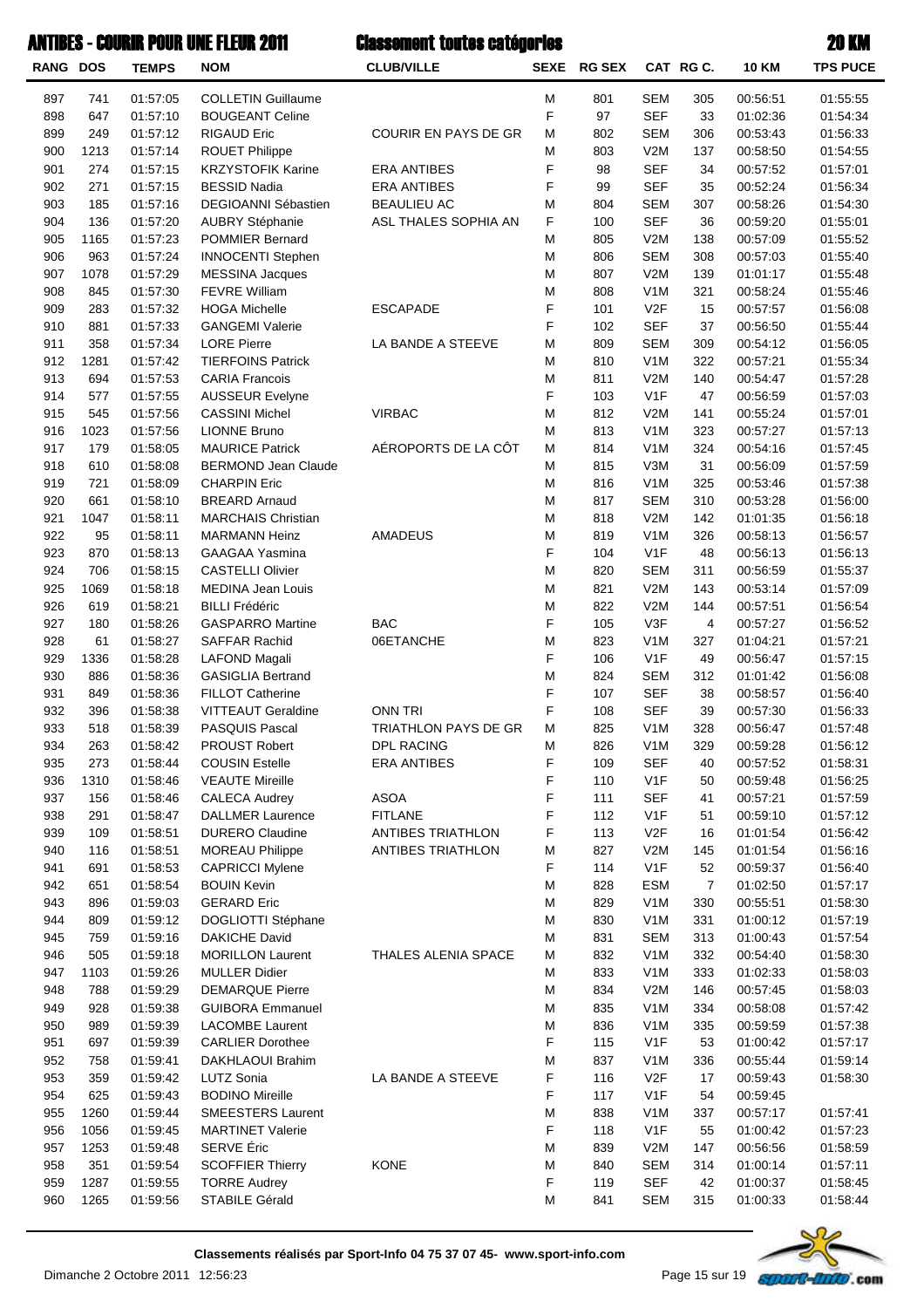| <b>RANG DOS</b> |             | <b>TEMPS</b>         | <b>NOM</b>                                         | <b>CLUB/VILLE</b>        |        | SEXE RG SEX |                                | CAT RGC.              | 10 KM                | <b>TPS PUCE</b>      |
|-----------------|-------------|----------------------|----------------------------------------------------|--------------------------|--------|-------------|--------------------------------|-----------------------|----------------------|----------------------|
| 897             | 741         | 01:57:05             | <b>COLLETIN Guillaume</b>                          |                          | Μ      | 801         | <b>SEM</b>                     | 305                   | 00:56:51             | 01:55:55             |
| 898             | 647         | 01:57:10             | <b>BOUGEANT Celine</b>                             |                          | F      | 97          | <b>SEF</b>                     | 33                    | 01:02:36             | 01:54:34             |
| 899             | 249         | 01:57:12             | <b>RIGAUD Eric</b>                                 | COURIR EN PAYS DE GR     | M      | 802         | <b>SEM</b>                     | 306                   | 00:53:43             | 01:56:33             |
| 900             | 1213        | 01:57:14             | ROUET Philippe                                     |                          | M      | 803         | V2M                            | 137                   | 00:58:50             | 01:54:55             |
| 901             | 274         | 01:57:15             | <b>KRZYSTOFIK Karine</b>                           | <b>ERA ANTIBES</b>       | F      | 98          | <b>SEF</b>                     | 34                    | 00:57:52             | 01:57:01             |
| 902             | 271         | 01:57:15             | <b>BESSID Nadia</b>                                | <b>ERA ANTIBES</b>       | F      | 99          | <b>SEF</b>                     | 35                    | 00:52:24             | 01:56:34             |
| 903             | 185         | 01:57:16             | DEGIOANNI Sébastien                                | <b>BEAULIEU AC</b>       | M      | 804         | <b>SEM</b>                     | 307                   | 00:58:26             | 01:54:30             |
| 904             | 136         | 01:57:20             | <b>AUBRY Stéphanie</b>                             | ASL THALES SOPHIA AN     | F      | 100         | <b>SEF</b>                     | 36                    | 00:59:20             | 01:55:01             |
| 905             | 1165        | 01:57:23             | <b>POMMIER Bernard</b>                             |                          | M      | 805         | V2M                            | 138                   | 00:57:09             | 01:55:52             |
| 906<br>907      | 963<br>1078 | 01:57:24<br>01:57:29 | <b>INNOCENTI Stephen</b><br><b>MESSINA Jacques</b> |                          | M<br>M | 806<br>807  | <b>SEM</b><br>V2M              | 308<br>139            | 00:57:03<br>01:01:17 | 01:55:40<br>01:55:48 |
| 908             | 845         | 01:57:30             | <b>FEVRE William</b>                               |                          | M      | 808         | V <sub>1</sub> M               | 321                   | 00:58:24             | 01:55:46             |
| 909             | 283         | 01:57:32             | <b>HOGA Michelle</b>                               | <b>ESCAPADE</b>          | F      | 101         | V2F                            | 15                    | 00:57:57             | 01:56:08             |
| 910             | 881         | 01:57:33             | <b>GANGEMI Valerie</b>                             |                          | F      | 102         | <b>SEF</b>                     | 37                    | 00:56:50             | 01:55:44             |
| 911             | 358         | 01:57:34             | <b>LORE Pierre</b>                                 | LA BANDE A STEEVE        | M      | 809         | <b>SEM</b>                     | 309                   | 00:54:12             | 01:56:05             |
| 912             | 1281        | 01:57:42             | <b>TIERFOINS Patrick</b>                           |                          | M      | 810         | V <sub>1</sub> M               | 322                   | 00:57:21             | 01:55:34             |
| 913             | 694         | 01:57:53             | <b>CARIA Francois</b>                              |                          | M      | 811         | V2M                            | 140                   | 00:54:47             | 01:57:28             |
| 914             | 577         | 01:57:55             | <b>AUSSEUR Evelyne</b>                             |                          | F      | 103         | V <sub>1</sub> F               | 47                    | 00:56:59             | 01:57:03             |
| 915             | 545         | 01:57:56             | <b>CASSINI Michel</b>                              | <b>VIRBAC</b>            | M      | 812         | V2M                            | 141                   | 00:55:24             | 01:57:01             |
| 916             | 1023        | 01:57:56             | <b>LIONNE Bruno</b>                                |                          | M      | 813         | V <sub>1</sub> M               | 323                   | 00:57:27             | 01:57:13             |
| 917             | 179         | 01:58:05             | <b>MAURICE Patrick</b>                             | AÉROPORTS DE LA CÔT      | M      | 814         | V <sub>1</sub> M               | 324                   | 00:54:16             | 01:57:45             |
| 918             | 610         | 01:58:08             | <b>BERMOND Jean Claude</b>                         |                          | M      | 815         | V3M                            | 31                    | 00:56:09             | 01:57:59             |
| 919             | 721         | 01:58:09             | <b>CHARPIN Eric</b>                                |                          | M      | 816         | V <sub>1</sub> M               | 325                   | 00:53:46             | 01:57:38             |
| 920             | 661         | 01:58:10             | <b>BREARD Arnaud</b>                               |                          | M      | 817         | <b>SEM</b>                     | 310                   | 00:53:28             | 01:56:00             |
| 921             | 1047        | 01:58:11             | <b>MARCHAIS Christian</b>                          |                          | M      | 818         | V2M                            | 142                   | 01:01:35             | 01:56:18             |
| 922             | 95          | 01:58:11             | <b>MARMANN Heinz</b>                               | <b>AMADEUS</b>           | M      | 819         | V <sub>1</sub> M               | 326                   | 00:58:13             | 01:56:57             |
| 923             | 870         | 01:58:13             | <b>GAAGAA Yasmina</b>                              |                          | F      | 104         | V <sub>1</sub> F               | 48                    | 00:56:13             | 01:56:13             |
| 924             | 706         | 01:58:15             | <b>CASTELLI Olivier</b>                            |                          | M      | 820         | <b>SEM</b>                     | 311                   | 00:56:59             | 01:55:37             |
| 925             | 1069        | 01:58:18             | <b>MEDINA Jean Louis</b>                           |                          | M      | 821         | V2M                            | 143                   | 00:53:14             | 01:57:09             |
| 926<br>927      | 619<br>180  | 01:58:21<br>01:58:26 | <b>BILLI Frédéric</b><br><b>GASPARRO Martine</b>   | <b>BAC</b>               | M<br>F | 822<br>105  | V2M<br>V3F                     | 144<br>$\overline{4}$ | 00:57:51<br>00:57:27 | 01:56:54<br>01:56:52 |
| 928             | 61          | 01:58:27             | SAFFAR Rachid                                      | 06ETANCHE                | M      | 823         | V <sub>1</sub> M               | 327                   | 01:04:21             | 01:57:21             |
| 929             | 1336        | 01:58:28             | <b>LAFOND Magali</b>                               |                          | F      | 106         | V <sub>1</sub> F               | 49                    | 00:56:47             | 01:57:15             |
| 930             | 886         | 01:58:36             | <b>GASIGLIA Bertrand</b>                           |                          | M      | 824         | <b>SEM</b>                     | 312                   | 01:01:42             | 01:56:08             |
| 931             | 849         | 01:58:36             | <b>FILLOT Catherine</b>                            |                          | F      | 107         | <b>SEF</b>                     | 38                    | 00:58:57             | 01:56:40             |
| 932             | 396         | 01:58:38             | <b>VITTEAUT Geraldine</b>                          | ONN TRI                  | F      | 108         | <b>SEF</b>                     | 39                    | 00:57:30             | 01:56:33             |
| 933             | 518         | 01:58:39             | PASQUIS Pascal                                     | TRIATHLON PAYS DE GR     | M      | 825         | V <sub>1</sub> M               | 328                   | 00:56:47             | 01:57:48             |
| 934             | 263         | 01:58:42             | PROUST Robert                                      | <b>DPL RACING</b>        | M      | 826         | V <sub>1</sub> M               | 329                   | 00:59:28             | 01:56:12             |
| 935             | 273         | 01:58:44             | <b>COUSIN Estelle</b>                              | <b>ERA ANTIBES</b>       | F      | 109         | <b>SEF</b>                     | 40                    | 00:57:52             | 01:58:31             |
| 936             | 1310        | 01:58:46             | <b>VEAUTE Mireille</b>                             |                          | F      | 110         | V <sub>1</sub> F               | 50                    | 00:59:48             | 01:56:25             |
| 937             | 156         | 01:58:46             | <b>CALECA Audrey</b>                               | <b>ASOA</b>              | F      | 111         | <b>SEF</b>                     | 41                    | 00:57:21             | 01:57:59             |
| 938             | 291         | 01:58:47             | <b>DALLMER Laurence</b>                            | <b>FITLANE</b>           | F      | 112         | V <sub>1</sub> F               | 51                    | 00:59:10             | 01:57:12             |
| 939             | 109         | 01:58:51             | <b>DURERO Claudine</b>                             | ANTIBES TRIATHLON        | F      | 113         | V <sub>2</sub> F               | 16                    | 01:01:54             | 01:56:42             |
| 940             | 116         | 01:58:51             | <b>MOREAU Philippe</b>                             | <b>ANTIBES TRIATHLON</b> | M      | 827         | V2M                            | 145                   | 01:01:54             | 01:56:16             |
| 941             | 691         | 01:58:53             | <b>CAPRICCI Mylene</b>                             |                          | F      | 114         | V <sub>1</sub> F               | 52                    | 00:59:37             | 01:56:40             |
| 942             | 651         | 01:58:54             | <b>BOUIN Kevin</b>                                 |                          | M      | 828         | <b>ESM</b>                     | $\overline{7}$        | 01:02:50             | 01:57:17             |
| 943             | 896         | 01:59:03             | <b>GERARD Eric</b>                                 |                          | М      | 829         | V <sub>1</sub> M               | 330                   | 00:55:51             | 01:58:30             |
| 944             | 809         | 01:59:12             | DOGLIOTTI Stéphane                                 |                          | M      | 830         | V <sub>1</sub> M               | 331                   | 01:00:12             | 01:57:19             |
| 945<br>946      | 759<br>505  | 01:59:16             | <b>DAKICHE David</b><br><b>MORILLON Laurent</b>    | THALES ALENIA SPACE      | M<br>M | 831         | <b>SEM</b><br>V <sub>1</sub> M | 313<br>332            | 01:00:43<br>00:54:40 | 01:57:54             |
| 947             | 1103        | 01:59:18<br>01:59:26 | <b>MULLER Didier</b>                               |                          | М      | 832<br>833  | V <sub>1</sub> M               | 333                   | 01:02:33             | 01:58:30<br>01:58:03 |
| 948             | 788         | 01:59:29             | <b>DEMARQUE Pierre</b>                             |                          | M      | 834         | V2M                            | 146                   | 00:57:45             | 01:58:03             |
| 949             | 928         | 01:59:38             | <b>GUIBORA Emmanuel</b>                            |                          | M      | 835         | V <sub>1</sub> M               | 334                   | 00:58:08             | 01:57:42             |
| 950             | 989         | 01:59:39             | <b>LACOMBE Laurent</b>                             |                          | M      | 836         | V <sub>1</sub> M               | 335                   | 00:59:59             | 01:57:38             |
| 951             | 697         | 01:59:39             | <b>CARLIER Dorothee</b>                            |                          | F      | 115         | V <sub>1</sub> F               | 53                    | 01:00:42             | 01:57:17             |
| 952             | 758         | 01:59:41             | DAKHLAOUI Brahim                                   |                          | M      | 837         | V <sub>1</sub> M               | 336                   | 00:55:44             | 01:59:14             |
| 953             | 359         | 01:59:42             | <b>LUTZ Sonia</b>                                  | LA BANDE A STEEVE        | F      | 116         | V <sub>2</sub> F               | 17                    | 00:59:43             | 01:58:30             |
| 954             | 625         | 01:59:43             | <b>BODINO Mireille</b>                             |                          | F      | 117         | V <sub>1</sub> F               | 54                    | 00:59:45             |                      |
| 955             | 1260        | 01:59:44             | <b>SMEESTERS Laurent</b>                           |                          | M      | 838         | V <sub>1</sub> M               | 337                   | 00:57:17             | 01:57:41             |
| 956             | 1056        | 01:59:45             | <b>MARTINET Valerie</b>                            |                          | F      | 118         | V <sub>1</sub> F               | 55                    | 01:00:42             | 01:57:23             |
| 957             | 1253        | 01:59:48             | SERVE Éric                                         |                          | M      | 839         | V2M                            | 147                   | 00:56:56             | 01:58:59             |
| 958             | 351         | 01:59:54             | <b>SCOFFIER Thierry</b>                            | <b>KONE</b>              | M      | 840         | <b>SEM</b>                     | 314                   | 01:00:14             | 01:57:11             |
| 959             | 1287        | 01:59:55             | <b>TORRE Audrey</b>                                |                          | F      | 119         | <b>SEF</b>                     | 42                    | 01:00:37             | 01:58:45             |
| 960             | 1265        | 01:59:56             | STABILE Gérald                                     |                          | M      | 841         | <b>SEM</b>                     | 315                   | 01:00:33             | 01:58:44             |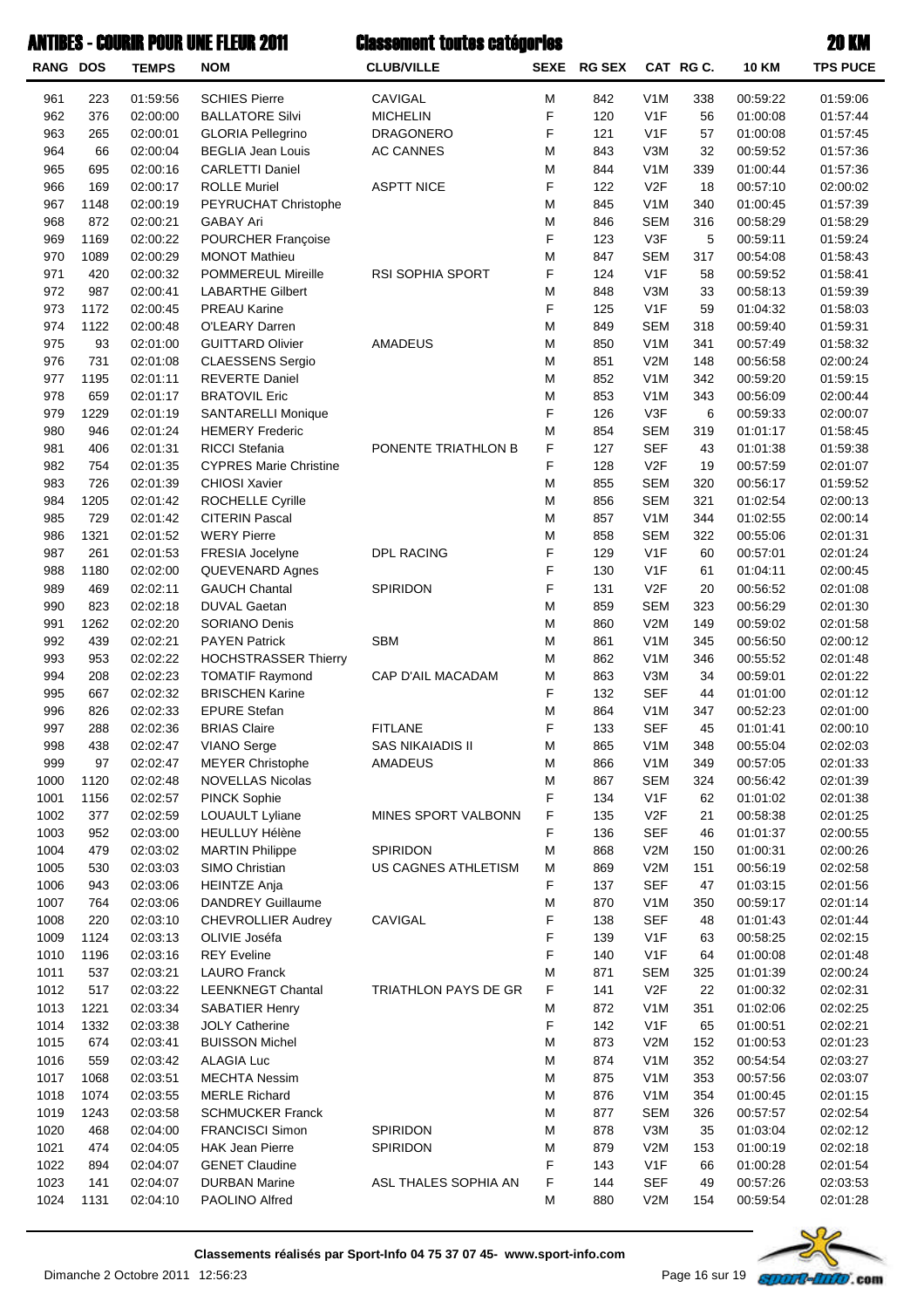|                 |      |              | <b>ANTIBES - COURIR POUR UNE FLEUR 2011</b> | <b>Classement toutes catégories</b> |             |               |                  |           |              | 20 KM           |
|-----------------|------|--------------|---------------------------------------------|-------------------------------------|-------------|---------------|------------------|-----------|--------------|-----------------|
| <b>RANG DOS</b> |      | <b>TEMPS</b> | <b>NOM</b>                                  | <b>CLUB/VILLE</b>                   | <b>SEXE</b> | <b>RG SEX</b> |                  | CAT RG C. | <b>10 KM</b> | <b>TPS PUCE</b> |
| 961             | 223  | 01:59:56     | <b>SCHIES Pierre</b>                        | CAVIGAL                             | M           | 842           | V <sub>1</sub> M | 338       | 00:59:22     | 01:59:06        |
| 962             | 376  | 02:00:00     | <b>BALLATORE Silvi</b>                      | <b>MICHELIN</b>                     | F           | 120           | V1F              | 56        | 01:00:08     | 01:57:44        |
| 963             | 265  | 02:00:01     | <b>GLORIA Pellegrino</b>                    | <b>DRAGONERO</b>                    | F           | 121           | V1F              | 57        | 01:00:08     | 01:57:45        |
| 964             | 66   | 02:00:04     | <b>BEGLIA Jean Louis</b>                    | <b>AC CANNES</b>                    | M           | 843           | V3M              | 32        | 00:59:52     | 01:57:36        |
| 965             | 695  | 02:00:16     | <b>CARLETTI Daniel</b>                      |                                     | M           | 844           | V <sub>1</sub> M | 339       | 01:00:44     | 01:57:36        |
| 966             | 169  | 02:00:17     | <b>ROLLE Muriel</b>                         | <b>ASPTT NICE</b>                   | F           | 122           | V2F              | 18        | 00:57:10     | 02:00:02        |
| 967             | 1148 | 02:00:19     | PEYRUCHAT Christophe                        |                                     | M           | 845           | V <sub>1</sub> M | 340       | 01:00:45     | 01:57:39        |
| 968             | 872  | 02:00:21     | <b>GABAY Ari</b>                            |                                     | M           | 846           | <b>SEM</b>       | 316       | 00:58:29     | 01:58:29        |
| 969             | 1169 | 02:00:22     | <b>POURCHER Françoise</b>                   |                                     | F           | 123           | V3F              | 5         | 00:59:11     | 01:59:24        |
| 970             | 1089 | 02:00:29     | <b>MONOT Mathieu</b>                        |                                     | M           | 847           | <b>SEM</b>       | 317       | 00:54:08     | 01:58:43        |
| 971             | 420  | 02:00:32     | POMMEREUL Mireille                          | <b>RSI SOPHIA SPORT</b>             | F           | 124           | V <sub>1F</sub>  | 58        | 00:59:52     | 01:58:41        |
| 972             | 987  | 02:00:41     | <b>LABARTHE Gilbert</b>                     |                                     | M           | 848           | V3M              | 33        | 00:58:13     | 01:59:39        |
| 973             | 1172 | 02:00:45     | <b>PREAU Karine</b>                         |                                     | F           | 125           | V <sub>1F</sub>  | 59        | 01:04:32     | 01:58:03        |
| 974             | 1122 | 02:00:48     | O'LEARY Darren                              |                                     | M           | 849           | <b>SEM</b>       | 318       | 00:59:40     | 01:59:31        |
| 975             | 93   | 02:01:00     | <b>GUITTARD Olivier</b>                     | <b>AMADEUS</b>                      | M           | 850           | V <sub>1</sub> M | 341       | 00:57:49     | 01:58:32        |
| 976             | 731  | 02:01:08     | <b>CLAESSENS Sergio</b>                     |                                     | M           | 851           | V2M              | 148       | 00:56:58     | 02:00:24        |
| 977             | 1195 | 02:01:11     | <b>REVERTE Daniel</b>                       |                                     | M           | 852           | V <sub>1</sub> M | 342       | 00:59:20     | 01:59:15        |
| 978             | 659  | 02:01:17     | <b>BRATOVIL Eric</b>                        |                                     | M           | 853           | V <sub>1</sub> M | 343       | 00:56:09     | 02:00:44        |
| 979             | 1229 | 02:01:19     | <b>SANTARELLI Monique</b>                   |                                     | F           | 126           | V3F              | 6         | 00:59:33     | 02:00:07        |
| 980             | 946  | 02:01:24     | <b>HEMERY Frederic</b>                      |                                     | M           | 854           | <b>SEM</b>       | 319       | 01:01:17     | 01:58:45        |
| 981             | 406  | 02:01:31     | <b>RICCI Stefania</b>                       | PONENTE TRIATHLON B                 | F           | 127           | <b>SEF</b>       | 43        | 01:01:38     | 01:59:38        |
| 982             | 754  | 02:01:35     | <b>CYPRES Marie Christine</b>               |                                     | F           | 128           | V2F              | 19        | 00:57:59     | 02:01:07        |
| 983             | 726  | 02:01:39     | <b>CHIOSI Xavier</b>                        |                                     | M           | 855           | <b>SEM</b>       | 320       | 00:56:17     | 01:59:52        |
| 984             | 1205 | 02:01:42     | ROCHELLE Cyrille                            |                                     | M           | 856           | <b>SEM</b>       | 321       | 01:02:54     | 02:00:13        |
| 985             | 729  | 02:01:42     | <b>CITERIN Pascal</b>                       |                                     | M           | 857           | V <sub>1</sub> M | 344       | 01:02:55     | 02:00:14        |
| 986             | 1321 | 02:01:52     | <b>WERY Pierre</b>                          |                                     | M           | 858           | <b>SEM</b>       | 322       | 00:55:06     | 02:01:31        |
| 987             | 261  | 02:01:53     | FRESIA Jocelyne                             | <b>DPL RACING</b>                   | F           | 129           | V1F              | 60        | 00:57:01     | 02:01:24        |
| 988             | 1180 | 02:02:00     | QUEVENARD Agnes                             |                                     | F           | 130           | V1F              | 61        | 01:04:11     | 02:00:45        |
| 989             | 469  | 02:02:11     | <b>GAUCH Chantal</b>                        | SPIRIDON                            | F           | 131           | V2F              | 20        | 00:56:52     | 02:01:08        |
| 990             | 823  | 02:02:18     | <b>DUVAL Gaetan</b>                         |                                     | M           | 859           | <b>SEM</b>       | 323       | 00:56:29     | 02:01:30        |
| 991             | 1262 | 02:02:20     | <b>SORIANO Denis</b>                        |                                     | M           | 860           | V2M              | 149       | 00:59:02     | 02:01:58        |
| 992             | 439  | 02:02:21     | <b>PAYEN Patrick</b>                        | <b>SBM</b>                          | M           | 861           | V <sub>1</sub> M | 345       | 00:56:50     | 02:00:12        |
| 993             | 953  | 02:02:22     | <b>HOCHSTRASSER Thierry</b>                 |                                     | M           | 862           | V <sub>1</sub> M | 346       | 00:55:52     | 02:01:48        |
| 994             | 208  | 02:02:23     | <b>TOMATIF Raymond</b>                      | CAP D'AIL MACADAM                   | M           | 863           | V3M              | 34        | 00:59:01     | 02:01:22        |
| 995             | 667  | 02:02:32     | <b>BRISCHEN Karine</b>                      |                                     | F           | 132           | <b>SEF</b>       | 44        | 01:01:00     | 02:01:12        |
| 996             | 826  | 02:02:33     | <b>EPURE Stefan</b>                         |                                     | M           | 864           | V <sub>1</sub> M | 347       | 00:52:23     | 02:01:00        |
| 997             | 288  | 02:02:36     | <b>BRIAS Claire</b>                         | <b>FITLANE</b>                      | F           | 133           | <b>SEF</b>       | 45        | 01:01:41     | 02:00:10        |
| 998             | 438  | 02:02:47     | <b>VIANO Serge</b>                          | <b>SAS NIKAIADIS II</b>             | M           | 865           | V <sub>1</sub> M | 348       | 00:55:04     | 02:02:03        |
| 999             | 97   | 02:02:47     | <b>MEYER Christophe</b>                     | AMADEUS                             | M           | 866           | V <sub>1</sub> M | 349       | 00:57:05     | 02:01:33        |
| 1000            | 1120 | 02:02:48     | <b>NOVELLAS Nicolas</b>                     |                                     | M           | 867           | <b>SEM</b>       | 324       | 00:56:42     | 02:01:39        |
| 1001            | 1156 | 02:02:57     | <b>PINCK Sophie</b>                         |                                     | F           | 134           | V <sub>1</sub> F | 62        | 01:01:02     | 02:01:38        |
| 1002            | 377  | 02:02:59     | LOUAULT Lyliane                             | MINES SPORT VALBONN                 | F           | 135           | V <sub>2</sub> F | 21        | 00:58:38     | 02:01:25        |
| 1003            | 952  | 02:03:00     | <b>HEULLUY Hélène</b>                       |                                     | F           | 136           | <b>SEF</b>       | 46        | 01:01:37     | 02:00:55        |
| 1004            | 479  | 02:03:02     | <b>MARTIN Philippe</b>                      | SPIRIDON                            | M           | 868           | V2M              | 150       | 01:00:31     | 02:00:26        |
| 1005            | 530  | 02:03:03     | SIMO Christian                              | US CAGNES ATHLETISM                 | M           | 869           | V <sub>2</sub> M | 151       | 00:56:19     | 02:02:58        |
| 1006            | 943  | 02:03:06     | <b>HEINTZE Anja</b>                         |                                     | F           | 137           | <b>SEF</b>       | 47        | 01:03:15     | 02:01:56        |
| 1007            | 764  | 02:03:06     | <b>DANDREY Guillaume</b>                    |                                     | M           | 870           | V <sub>1</sub> M | 350       | 00:59:17     | 02:01:14        |
| 1008            | 220  | 02:03:10     | <b>CHEVROLLIER Audrey</b>                   | CAVIGAL                             | F           | 138           | <b>SEF</b>       | 48        | 01:01:43     | 02:01:44        |
| 1009            | 1124 | 02:03:13     | OLIVIE Joséfa                               |                                     | F           | 139           | V <sub>1</sub> F | 63        | 00:58:25     | 02:02:15        |
| 1010            | 1196 | 02:03:16     | <b>REY Eveline</b>                          |                                     | F           | 140           | V <sub>1</sub> F | 64        | 01:00:08     | 02:01:48        |
| 1011            | 537  | 02:03:21     | <b>LAURO Franck</b>                         |                                     | M           | 871           | <b>SEM</b>       | 325       | 01:01:39     | 02:00:24        |
| 1012            | 517  | 02:03:22     | <b>LEENKNEGT Chantal</b>                    | TRIATHLON PAYS DE GR                | F           | 141           | V2F              | 22        | 01:00:32     | 02:02:31        |

1013 1221 02:03:34 SABATIER Henry 351 01:02:06 02:02:25 1014 1332 02:03:38 JOLY Catherine F 142 V1F 65 01:00:51 02:02:21 1015 674 02:03:41 BUISSON Michel 152 02:01:23 M 073 V2M 152 01:00:53 02:01:23 1016 559 02:03:42 ALAGIA Luc 352V1MM 00:54:54874 02:03:27 1017 1068 02:03:51 MECHTA Nessim 353 00:57:56 02:03:07 1018 1074 02:03:55 MERLE Richard 354 01:00:45 02:01:15 1019 1243 02:03:58 SCHMUCKER Franck 377 M 877 SEM 326 00:57:57 02:02:54 1020 468 02:04:00 FRANCISCI Simon SPIRIDON M 878 V3M 35 01:03:04 02:02:12 1021 474 02:04:05 HAK Jean Pierre SPIRIDON M 879 V2M 153 01:00:19 02:02:18 1022 894 02:04:07 GENET Claudine 66 11:00:28 02:01:54 1023 141 02:04:07 DURBAN Marine ASL THALES SOPHIA AN F 144 SEF 49 00:57:26 02:03:53 1024 1131 02:04:10 PAOLINO Alfred 154 154 00:59:54 02:01:28

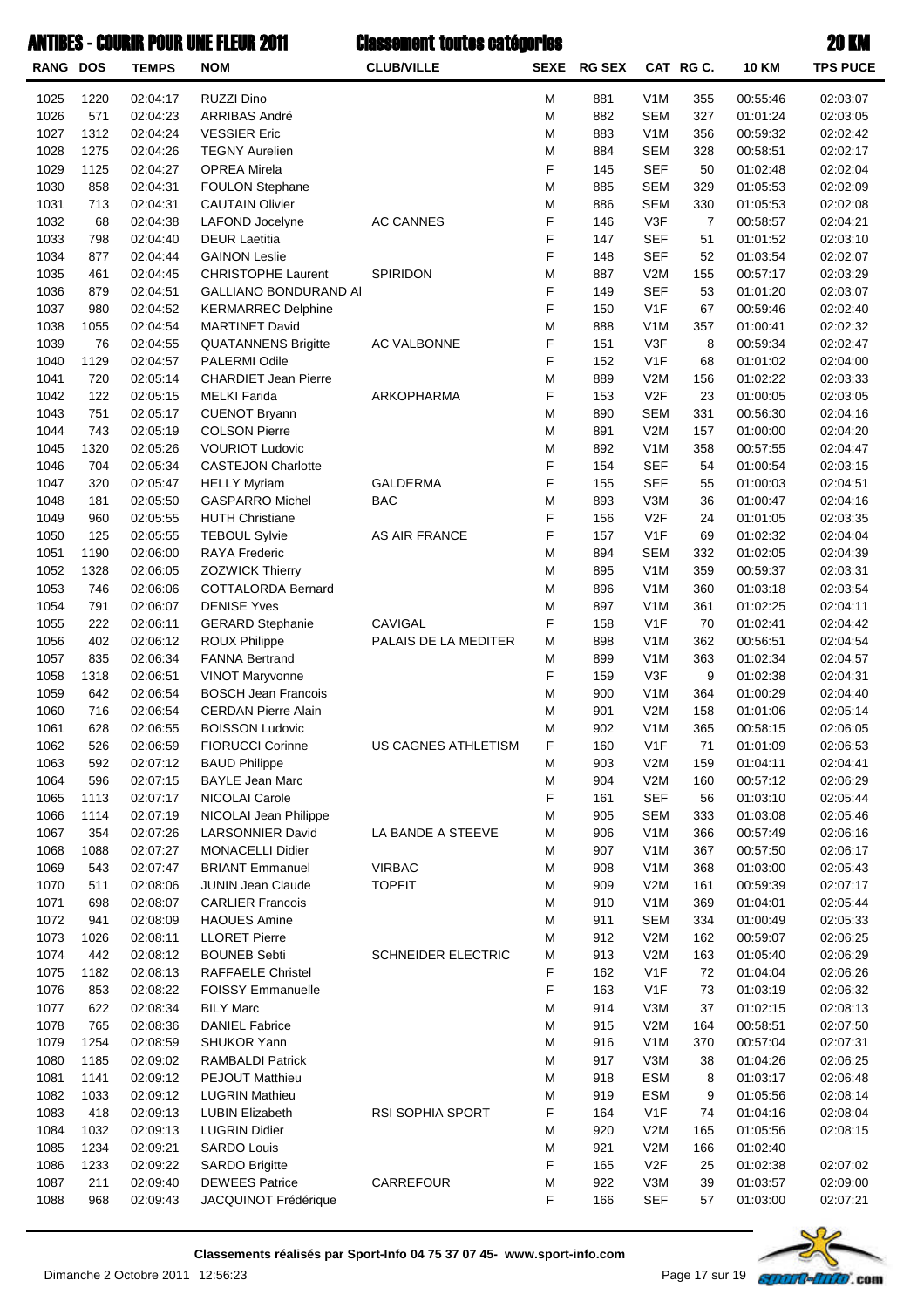| <b>RANG DOS</b> |              | <b>TEMPS</b>         | <b>NOM</b>                                     | <b>CLUB/VILLE</b>    | <b>SEXE</b> | <b>RG SEX</b> |                         | CAT RGC.       | <b>10 KM</b>         | <b>TPS PUCE</b>      |
|-----------------|--------------|----------------------|------------------------------------------------|----------------------|-------------|---------------|-------------------------|----------------|----------------------|----------------------|
| 1025            | 1220         | 02:04:17             | RUZZI Dino                                     |                      | M           | 881           | V1M                     | 355            | 00:55:46             | 02:03:07             |
| 1026            | 571          | 02:04:23             | ARRIBAS André                                  |                      | M           | 882           | <b>SEM</b>              | 327            | 01:01:24             | 02:03:05             |
| 1027            | 1312         | 02:04:24             | <b>VESSIER Eric</b>                            |                      | M           | 883           | V1M                     | 356            | 00:59:32             | 02:02:42             |
| 1028            | 1275         | 02:04:26             | <b>TEGNY Aurelien</b>                          |                      | M           | 884           | <b>SEM</b>              | 328            | 00:58:51             | 02:02:17             |
| 1029            | 1125         | 02:04:27             | OPREA Mirela                                   |                      | F           | 145           | <b>SEF</b>              | 50             | 01:02:48             | 02:02:04             |
| 1030            | 858          | 02:04:31             | <b>FOULON Stephane</b>                         |                      | M           | 885           | <b>SEM</b>              | 329            | 01:05:53             | 02:02:09             |
| 1031            | 713          | 02:04:31             | <b>CAUTAIN Olivier</b>                         |                      | M           | 886           | <b>SEM</b>              | 330            | 01:05:53             | 02:02:08             |
| 1032            | 68           | 02:04:38             | LAFOND Jocelyne                                | <b>AC CANNES</b>     | F           | 146           | V3F                     | $\overline{7}$ | 00:58:57             | 02:04:21             |
| 1033            | 798          | 02:04:40             | <b>DEUR Laetitia</b>                           |                      | F           | 147           | <b>SEF</b>              | 51             | 01:01:52             | 02:03:10             |
| 1034            | 877          | 02:04:44             | <b>GAINON Leslie</b>                           |                      | F           | 148           | <b>SEF</b>              | 52             | 01:03:54             | 02:02:07             |
| 1035            | 461          | 02:04:45             | <b>CHRISTOPHE Laurent</b>                      | <b>SPIRIDON</b>      | M           | 887           | V2M                     | 155            | 00:57:17             | 02:03:29             |
| 1036            | 879          | 02:04:51             | <b>GALLIANO BONDURAND AI</b>                   |                      | F           | 149           | <b>SEF</b>              | 53             | 01:01:20             | 02:03:07             |
| 1037            | 980          | 02:04:52             | <b>KERMARREC Delphine</b>                      |                      | F           | 150           | V <sub>1</sub> F        | 67             | 00:59:46             | 02:02:40             |
| 1038            | 1055         | 02:04:54             | <b>MARTINET David</b>                          |                      | M           | 888           | V <sub>1</sub> M        | 357            | 01:00:41             | 02:02:32             |
| 1039            | 76           | 02:04:55             | <b>QUATANNENS Brigitte</b>                     | AC VALBONNE          | F           | 151           | V3F                     | 8              | 00:59:34             | 02:02:47             |
| 1040            | 1129         | 02:04:57             | PALERMI Odile                                  |                      | F           | 152           | V <sub>1</sub> F        | 68             | 01:01:02             | 02:04:00             |
| 1041            | 720<br>122   | 02:05:14             | <b>CHARDIET Jean Pierre</b>                    |                      | M<br>F      | 889           | V2M<br>V <sub>2</sub> F | 156<br>23      | 01:02:22<br>01:00:05 | 02:03:33             |
| 1042<br>1043    | 751          | 02:05:15<br>02:05:17 | <b>MELKI</b> Farida<br><b>CUENOT Bryann</b>    | ARKOPHARMA           | M           | 153<br>890    | <b>SEM</b>              | 331            | 00:56:30             | 02:03:05<br>02:04:16 |
| 1044            | 743          | 02:05:19             | <b>COLSON Pierre</b>                           |                      | M           | 891           | V2M                     | 157            | 01:00:00             | 02:04:20             |
| 1045            | 1320         | 02:05:26             | <b>VOURIOT Ludovic</b>                         |                      | M           | 892           | V <sub>1</sub> M        | 358            | 00:57:55             | 02:04:47             |
| 1046            | 704          | 02:05:34             | <b>CASTEJON Charlotte</b>                      |                      | F           | 154           | <b>SEF</b>              | 54             | 01:00:54             | 02:03:15             |
| 1047            | 320          | 02:05:47             | <b>HELLY Myriam</b>                            | <b>GALDERMA</b>      | F           | 155           | <b>SEF</b>              | 55             | 01:00:03             | 02:04:51             |
| 1048            | 181          | 02:05:50             | <b>GASPARRO Michel</b>                         | <b>BAC</b>           | M           | 893           | V3M                     | 36             | 01:00:47             | 02:04:16             |
| 1049            | 960          | 02:05:55             | <b>HUTH Christiane</b>                         |                      | F           | 156           | V <sub>2F</sub>         | 24             | 01:01:05             | 02:03:35             |
| 1050            | 125          | 02:05:55             | <b>TEBOUL Sylvie</b>                           | AS AIR FRANCE        | F           | 157           | V <sub>1</sub> F        | 69             | 01:02:32             | 02:04:04             |
| 1051            | 1190         | 02:06:00             | <b>RAYA Frederic</b>                           |                      | M           | 894           | SEM                     | 332            | 01:02:05             | 02:04:39             |
| 1052            | 1328         | 02:06:05             | <b>ZOZWICK Thierry</b>                         |                      | M           | 895           | V <sub>1</sub> M        | 359            | 00:59:37             | 02:03:31             |
| 1053            | 746          | 02:06:06             | <b>COTTALORDA Bernard</b>                      |                      | M           | 896           | V1M                     | 360            | 01:03:18             | 02:03:54             |
| 1054            | 791          | 02:06:07             | <b>DENISE Yves</b>                             |                      | M           | 897           | V <sub>1</sub> M        | 361            | 01:02:25             | 02:04:11             |
| 1055            | 222          | 02:06:11             | <b>GERARD Stephanie</b>                        | <b>CAVIGAL</b>       | F           | 158           | V <sub>1</sub> F        | 70             | 01:02:41             | 02:04:42             |
| 1056            | 402          | 02:06:12             | ROUX Philippe                                  | PALAIS DE LA MEDITER | M           | 898           | V <sub>1</sub> M        | 362            | 00:56:51             | 02:04:54             |
| 1057            | 835          | 02:06:34             | <b>FANNA Bertrand</b>                          |                      | M           | 899           | V1M                     | 363            | 01:02:34             | 02:04:57             |
| 1058            | 1318         | 02:06:51             | VINOT Maryvonne                                |                      | F           | 159           | V3F                     | 9              | 01:02:38             | 02:04:31             |
| 1059            | 642          | 02:06:54             | <b>BOSCH Jean Francois</b>                     |                      | M           | 900           | V1M                     | 364            | 01:00:29             | 02:04:40             |
| 1060            | 716          | 02:06:54             | <b>CERDAN Pierre Alain</b>                     |                      | M           | 901           | V2M                     | 158            | 01:01:06             | 02:05:14             |
| 1061            | 628          | 02:06:55             | <b>BOISSON Ludovic</b>                         |                      | M           | 902           | V1M                     | 365            | 00:58:15             | 02:06:05             |
| 1062            | 526          | 02:06:59             | <b>FIORUCCI Corinne</b>                        | US CAGNES ATHLETISM  | F           | 160           | V <sub>1</sub> F        | 71             | 01:01:09             | 02:06:53             |
| 1063<br>1064    | 592<br>596   | 02:07:12<br>02:07:15 | <b>BAUD Philippe</b><br><b>BAYLE Jean Marc</b> |                      | M<br>M      | 903<br>904    | V2M<br>V2M              | 159<br>160     | 01:04:11<br>00:57:12 | 02:04:41             |
| 1065            | 1113         | 02:07:17             | NICOLAI Carole                                 |                      | F           | 161           | <b>SEF</b>              | 56             | 01:03:10             | 02:06:29<br>02:05:44 |
| 1066            | 1114         | 02:07:19             | NICOLAI Jean Philippe                          |                      | M           | 905           | <b>SEM</b>              | 333            | 01:03:08             | 02:05:46             |
| 1067            | 354          | 02:07:26             | <b>LARSONNIER David</b>                        | LA BANDE A STEEVE    | M           | 906           | V <sub>1</sub> M        | 366            | 00:57:49             | 02:06:16             |
| 1068            | 1088         | 02:07:27             | <b>MONACELLI Didier</b>                        |                      | M           | 907           | V <sub>1</sub> M        | 367            | 00:57:50             | 02:06:17             |
| 1069            | 543          | 02:07:47             | <b>BRIANT Emmanuel</b>                         | <b>VIRBAC</b>        | M           | 908           | V <sub>1</sub> M        | 368            | 01:03:00             | 02:05:43             |
| 1070            | 511          | 02:08:06             | <b>JUNIN Jean Claude</b>                       | <b>TOPFIT</b>        | M           | 909           | V2M                     | 161            | 00:59:39             | 02:07:17             |
| 1071            | 698          | 02:08:07             | <b>CARLIER Francois</b>                        |                      | M           | 910           | V <sub>1</sub> M        | 369            | 01:04:01             | 02:05:44             |
| 1072            | 941          | 02:08:09             | <b>HAOUES Amine</b>                            |                      | M           | 911           | <b>SEM</b>              | 334            | 01:00:49             | 02:05:33             |
| 1073            | 1026         | 02:08:11             | <b>LLORET Pierre</b>                           |                      | M           | 912           | V2M                     | 162            | 00:59:07             | 02:06:25             |
| 1074            | 442          | 02:08:12             | <b>BOUNEB Sebti</b>                            | SCHNEIDER ELECTRIC   | M           | 913           | V2M                     | 163            | 01:05:40             | 02:06:29             |
| 1075            | 1182         | 02:08:13             | <b>RAFFAELE Christel</b>                       |                      | F           | 162           | V <sub>1</sub> F        | 72             | 01:04:04             | 02:06:26             |
| 1076            | 853          | 02:08:22             | <b>FOISSY Emmanuelle</b>                       |                      | F           | 163           | V <sub>1</sub> F        | 73             | 01:03:19             | 02:06:32             |
| 1077            | 622          | 02:08:34             | <b>BILY Marc</b>                               |                      | M           | 914           | V3M                     | 37             | 01:02:15             | 02:08:13             |
| 1078            | 765          | 02:08:36             | <b>DANIEL Fabrice</b>                          |                      | M           | 915           | V2M                     | 164            | 00:58:51             | 02:07:50             |
| 1079            | 1254         | 02:08:59             | <b>SHUKOR Yann</b>                             |                      | M           | 916           | V <sub>1</sub> M        | 370            | 00:57:04             | 02:07:31             |
| 1080            | 1185         | 02:09:02             | <b>RAMBALDI Patrick</b>                        |                      | M           | 917           | V3M                     | 38             | 01:04:26             | 02:06:25             |
| 1081            | 1141         | 02:09:12             | <b>PEJOUT Matthieu</b>                         |                      | M           | 918           | <b>ESM</b>              | 8              | 01:03:17             | 02:06:48             |
| 1082            | 1033         | 02:09:12             | <b>LUGRIN Mathieu</b>                          |                      | M           | 919           | <b>ESM</b>              | 9              | 01:05:56             | 02:08:14             |
| 1083            | 418          | 02:09:13             | <b>LUBIN Elizabeth</b>                         | RSI SOPHIA SPORT     | F           | 164           | V <sub>1</sub> F        | 74             | 01:04:16             | 02:08:04             |
| 1084            | 1032         | 02:09:13             | <b>LUGRIN Didier</b>                           |                      | M           | 920           | V2M                     | 165            | 01:05:56             | 02:08:15             |
| 1085<br>1086    | 1234<br>1233 | 02:09:21<br>02:09:22 | <b>SARDO Louis</b><br><b>SARDO Brigitte</b>    |                      | M<br>F      | 921<br>165    | V2M<br>V <sub>2</sub> F | 166<br>25      | 01:02:40<br>01:02:38 | 02:07:02             |
| 1087            | 211          | 02:09:40             | <b>DEWEES Patrice</b>                          | CARREFOUR            | M           | 922           | V3M                     | 39             | 01:03:57             | 02:09:00             |
| 1088            | 968          | 02:09:43             | JACQUINOT Frédérique                           |                      | F           | 166           | <b>SEF</b>              | 57             | 01:03:00             | 02:07:21             |
|                 |              |                      |                                                |                      |             |               |                         |                |                      |                      |

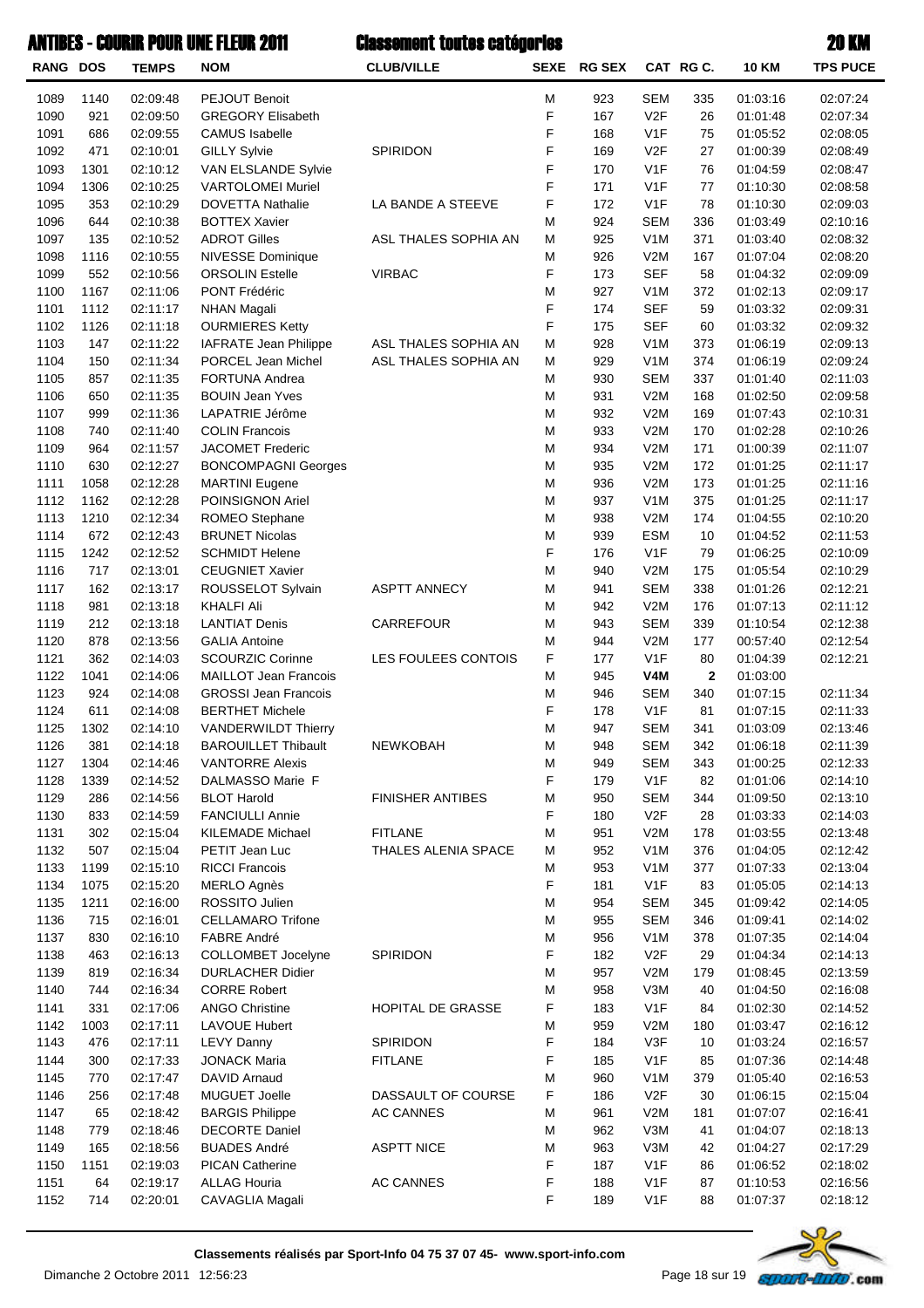| <b>RANG DOS</b> |      | <b>TEMPS</b> | <b>NOM</b>                  | <b>CLUB/VILLE</b>       |   | SEXE RG SEX |                  | CAT RG C.    | <b>10 KM</b> | <b>TPS PUCE</b> |
|-----------------|------|--------------|-----------------------------|-------------------------|---|-------------|------------------|--------------|--------------|-----------------|
| 1089            | 1140 | 02:09:48     | PEJOUT Benoit               |                         | Μ | 923         | <b>SEM</b>       | 335          | 01:03:16     | 02:07:24        |
| 1090            | 921  | 02:09:50     | <b>GREGORY Elisabeth</b>    |                         | F | 167         | V <sub>2F</sub>  | 26           | 01:01:48     | 02:07:34        |
| 1091            | 686  | 02:09:55     | <b>CAMUS</b> Isabelle       |                         | F | 168         | V <sub>1</sub> F | 75           | 01:05:52     | 02:08:05        |
| 1092            | 471  | 02:10:01     | <b>GILLY Sylvie</b>         | SPIRIDON                | F | 169         | V <sub>2</sub> F | 27           | 01:00:39     | 02:08:49        |
| 1093            | 1301 | 02:10:12     | VAN ELSLANDE Sylvie         |                         | F | 170         | V <sub>1</sub> F | 76           | 01:04:59     | 02:08:47        |
| 1094            | 1306 | 02:10:25     | <b>VARTOLOMEI Muriel</b>    |                         | F | 171         | V <sub>1</sub> F | 77           | 01:10:30     | 02:08:58        |
| 1095            | 353  | 02:10:29     | <b>DOVETTA Nathalie</b>     | LA BANDE A STEEVE       | F | 172         | V <sub>1</sub> F | 78           | 01:10:30     | 02:09:03        |
| 1096            | 644  | 02:10:38     | <b>BOTTEX Xavier</b>        |                         | M | 924         | <b>SEM</b>       | 336          | 01:03:49     | 02:10:16        |
| 1097            | 135  | 02:10:52     | <b>ADROT Gilles</b>         | ASL THALES SOPHIA AN    | Μ | 925         | V <sub>1</sub> M | 371          | 01:03:40     | 02:08:32        |
| 1098            | 1116 | 02:10:55     | NIVESSE Dominique           |                         | M | 926         | V2M              | 167          | 01:07:04     | 02:08:20        |
| 1099            | 552  | 02:10:56     | <b>ORSOLIN Estelle</b>      | <b>VIRBAC</b>           | F | 173         | <b>SEF</b>       | 58           | 01:04:32     | 02:09:09        |
| 1100            | 1167 | 02:11:06     | PONT Frédéric               |                         | M | 927         | V <sub>1</sub> M | 372          | 01:02:13     | 02:09:17        |
| 1101            | 1112 | 02:11:17     | <b>NHAN Magali</b>          |                         | F | 174         | <b>SEF</b>       | 59           | 01:03:32     | 02:09:31        |
| 1102            | 1126 | 02:11:18     | <b>OURMIERES Ketty</b>      |                         | F | 175         | <b>SEF</b>       | 60           | 01:03:32     | 02:09:32        |
| 1103            | 147  | 02:11:22     | IAFRATE Jean Philippe       | ASL THALES SOPHIA AN    | M | 928         | V <sub>1</sub> M | 373          | 01:06:19     | 02:09:13        |
| 1104            | 150  | 02:11:34     | PORCEL Jean Michel          | ASL THALES SOPHIA AN    | M | 929         | V <sub>1</sub> M | 374          | 01:06:19     | 02:09:24        |
| 1105            | 857  | 02:11:35     | <b>FORTUNA Andrea</b>       |                         | Μ | 930         | <b>SEM</b>       | 337          | 01:01:40     | 02:11:03        |
| 1106            | 650  | 02:11:35     | <b>BOUIN Jean Yves</b>      |                         | M | 931         | V2M              | 168          | 01:02:50     | 02:09:58        |
| 1107            | 999  | 02:11:36     | LAPATRIE Jérôme             |                         | M | 932         | V2M              | 169          | 01:07:43     | 02:10:31        |
| 1108            | 740  | 02:11:40     | <b>COLIN Francois</b>       |                         | M | 933         | V2M              | 170          | 01:02:28     | 02:10:26        |
| 1109            | 964  | 02:11:57     | JACOMET Frederic            |                         | M | 934         | V2M              | 171          | 01:00:39     | 02:11:07        |
| 1110            | 630  | 02:12:27     | <b>BONCOMPAGNI Georges</b>  |                         | M | 935         | V2M              | 172          | 01:01:25     | 02:11:17        |
| 1111            | 1058 | 02:12:28     | <b>MARTINI</b> Eugene       |                         | M | 936         | V2M              | 173          | 01:01:25     | 02:11:16        |
| 1112            | 1162 | 02:12:28     | POINSIGNON Ariel            |                         | M | 937         | V <sub>1</sub> M | 375          | 01:01:25     | 02:11:17        |
| 1113            | 1210 | 02:12:34     | ROMEO Stephane              |                         | M | 938         | V2M              | 174          | 01:04:55     | 02:10:20        |
| 1114            | 672  | 02:12:43     | <b>BRUNET Nicolas</b>       |                         | M | 939         | <b>ESM</b>       | 10           | 01:04:52     | 02:11:53        |
| 1115            | 1242 | 02:12:52     | <b>SCHMIDT Helene</b>       |                         | F | 176         | V <sub>1</sub> F | 79           | 01:06:25     | 02:10:09        |
| 1116            | 717  | 02:13:01     | <b>CEUGNIET Xavier</b>      |                         | M | 940         | V2M              | 175          | 01:05:54     | 02:10:29        |
| 1117            | 162  | 02:13:17     | ROUSSELOT Sylvain           | <b>ASPTT ANNECY</b>     | Μ | 941         | <b>SEM</b>       | 338          | 01:01:26     | 02:12:21        |
| 1118            | 981  | 02:13:18     | <b>KHALFI Ali</b>           |                         | M | 942         | V2M              | 176          | 01:07:13     | 02:11:12        |
| 1119            | 212  | 02:13:18     | <b>LANTIAT Denis</b>        | CARREFOUR               | M | 943         | <b>SEM</b>       | 339          | 01:10:54     | 02:12:38        |
| 1120            | 878  | 02:13:56     | <b>GALIA Antoine</b>        |                         | M | 944         | V2M              | 177          | 00:57:40     | 02:12:54        |
| 1121            | 362  | 02:14:03     | <b>SCOURZIC Corinne</b>     | LES FOULEES CONTOIS     | F | 177         | V <sub>1</sub> F | 80           | 01:04:39     | 02:12:21        |
| 1122            | 1041 | 02:14:06     | MAILLOT Jean Francois       |                         | M | 945         | V4M              | $\mathbf{2}$ | 01:03:00     |                 |
| 1123            | 924  | 02:14:08     | <b>GROSSI Jean Francois</b> |                         | M | 946         | <b>SEM</b>       | 340          | 01:07:15     | 02:11:34        |
| 1124            | 611  | 02:14:08     | <b>BERTHET Michele</b>      |                         | F | 178         | V <sub>1</sub> F | 81           | 01:07:15     | 02:11:33        |
| 1125            | 1302 | 02:14:10     | <b>VANDERWILDT Thierry</b>  |                         | Μ | 947         | <b>SEM</b>       | 341          | 01:03:09     | 02:13:46        |
| 1126            | 381  | 02:14:18     | <b>BAROUILLET Thibault</b>  | NEWKOBAH                | M | 948         | <b>SEM</b>       | 342          | 01:06:18     | 02:11:39        |
| 1127            | 1304 | 02:14:46     | <b>VANTORRE Alexis</b>      |                         | M | 949         | <b>SEM</b>       | 343          | 01:00:25     | 02:12:33        |
| 1128            | 1339 | 02:14:52     | DALMASSO Marie F            |                         | F | 179         | V1F              | 82           | 01:01:06     | 02:14:10        |
| 1129            | 286  | 02:14:56     | <b>BLOT Harold</b>          | <b>FINISHER ANTIBES</b> | M | 950         | <b>SEM</b>       | 344          | 01:09:50     | 02:13:10        |
| 1130            | 833  | 02:14:59     | <b>FANCIULLI Annie</b>      |                         | F | 180         | V2F              | 28           | 01:03:33     | 02:14:03        |
| 1131            | 302  | 02:15:04     | <b>KILEMADE Michael</b>     | <b>FITLANE</b>          | M | 951         | V2M              | 178          | 01:03:55     | 02:13:48        |
| 1132            | 507  | 02:15:04     | PETIT Jean Luc              | THALES ALENIA SPACE     | M | 952         | V <sub>1</sub> M | 376          | 01:04:05     | 02:12:42        |
| 1133            | 1199 | 02:15:10     | <b>RICCI Francois</b>       |                         | M | 953         | V <sub>1</sub> M | 377          | 01:07:33     | 02:13:04        |
| 1134            | 1075 | 02:15:20     | <b>MERLO Agnès</b>          |                         | F | 181         | V <sub>1</sub> F | 83           | 01:05:05     | 02:14:13        |
| 1135            | 1211 | 02:16:00     | ROSSITO Julien              |                         | M | 954         | <b>SEM</b>       | 345          | 01:09:42     | 02:14:05        |
| 1136            | 715  | 02:16:01     | <b>CELLAMARO Trifone</b>    |                         | M | 955         | <b>SEM</b>       | 346          | 01:09:41     | 02:14:02        |
| 1137            | 830  | 02:16:10     | <b>FABRE André</b>          |                         | M | 956         | V <sub>1</sub> M | 378          | 01:07:35     | 02:14:04        |
| 1138            | 463  | 02:16:13     | COLLOMBET Jocelyne          | SPIRIDON                | F | 182         | V2F              | 29           | 01:04:34     | 02:14:13        |
| 1139            | 819  | 02:16:34     | <b>DURLACHER Didier</b>     |                         | M | 957         | V2M              | 179          | 01:08:45     | 02:13:59        |
| 1140            | 744  | 02:16:34     | <b>CORRE Robert</b>         |                         | M | 958         | V3M              | 40           | 01:04:50     | 02:16:08        |
| 1141            | 331  | 02:17:06     | <b>ANGO Christine</b>       | HOPITAL DE GRASSE       | F | 183         | V <sub>1</sub> F | 84           | 01:02:30     | 02:14:52        |
| 1142            | 1003 | 02:17:11     | <b>LAVOUE Hubert</b>        |                         | M | 959         | V2M              | 180          | 01:03:47     | 02:16:12        |
| 1143            | 476  | 02:17:11     | <b>LEVY Danny</b>           | SPIRIDON                | F | 184         | V3F              | 10           | 01:03:24     | 02:16:57        |
| 1144            | 300  | 02:17:33     | <b>JONACK Maria</b>         | <b>FITLANE</b>          | F | 185         | V1F              | 85           | 01:07:36     | 02:14:48        |
| 1145            | 770  | 02:17:47     | DAVID Arnaud                |                         | M | 960         | V <sub>1</sub> M | 379          | 01:05:40     | 02:16:53        |
| 1146            | 256  | 02:17:48     | <b>MUGUET Joelle</b>        | DASSAULT OF COURSE      | F | 186         | V2F              | 30           | 01:06:15     | 02:15:04        |
| 1147            | 65   | 02:18:42     | <b>BARGIS Philippe</b>      | <b>AC CANNES</b>        | M | 961         | V2M              | 181          | 01:07:07     | 02:16:41        |
| 1148            | 779  | 02:18:46     | <b>DECORTE Daniel</b>       |                         | M | 962         | V3M              | 41           | 01:04:07     | 02:18:13        |
| 1149            | 165  | 02:18:56     | <b>BUADES André</b>         | <b>ASPTT NICE</b>       | M | 963         | V3M              | 42           | 01:04:27     | 02:17:29        |
| 1150            | 1151 | 02:19:03     | <b>PICAN Catherine</b>      |                         | F | 187         | V <sub>1</sub> F | 86           | 01:06:52     | 02:18:02        |
| 1151            | 64   | 02:19:17     | <b>ALLAG Houria</b>         | <b>AC CANNES</b>        | F | 188         | V <sub>1</sub> F | 87           | 01:10:53     | 02:16:56        |
| 1152            | 714  | 02:20:01     | CAVAGLIA Magali             |                         | F | 189         | V <sub>1</sub> F | 88           | 01:07:37     | 02:18:12        |